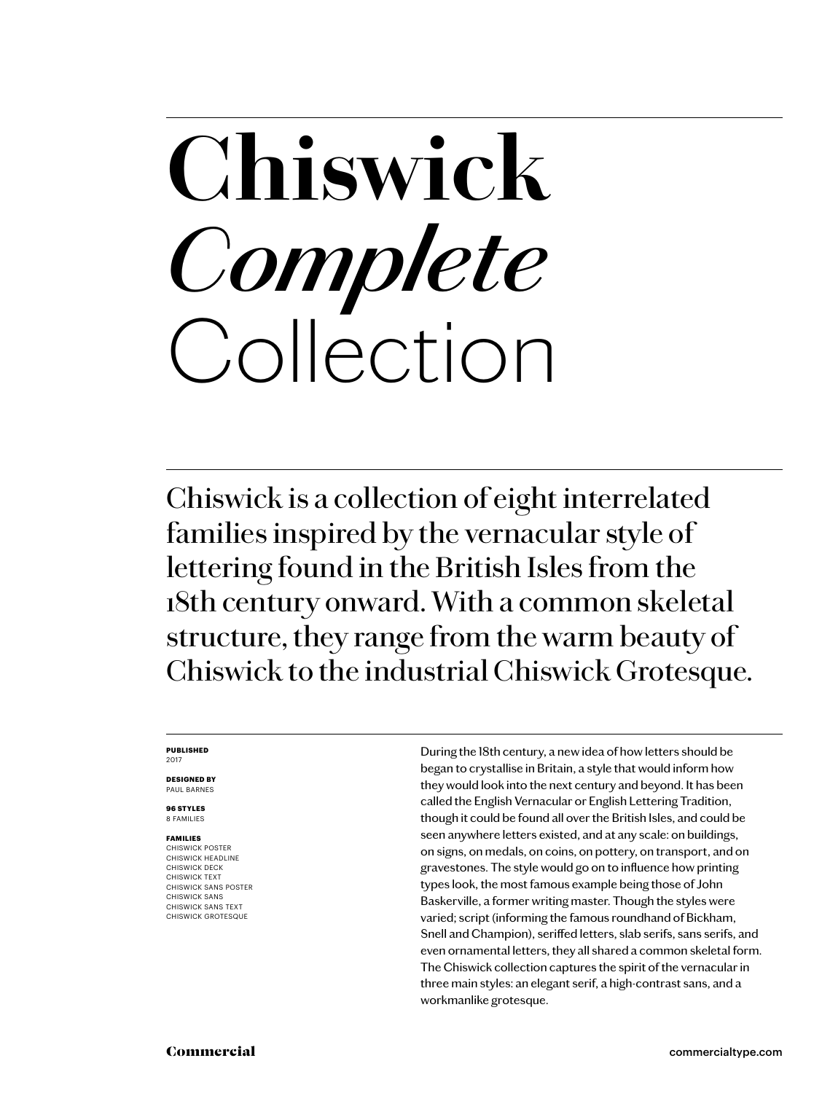### **Chiswick** *Complete* Collection

Chiswick is a collection of eight interrelated families inspired by the vernacular style of lettering found in the British Isles from the 18th century onward. With a common skeletal structure, they range from the warm beauty of Chiswick to the industrial Chiswick Grotesque.

### **PUBLISHED** 2017

**DESIGNED BY** PAUL BARNES

**96 STYLES** 8 FAMILIES

### **FAMILIES**

CHISWICK POSTER CHISWICK HEADLINE CHISWICK DECK CHISWICK TEXT CHISWICK SANS POSTER CHISWICK SANS CHISWICK SANS TEXT CHISWICK GROTESQUE

During the 18th century, a new idea of how letters should be began to crystallise in Britain, a style that would inform how they would look into the next century and beyond. It has been called the English Vernacular or English Lettering Tradition, though it could be found all over the British Isles, and could be seen anywhere letters existed, and at any scale: on buildings, on signs, on medals, on coins, on pottery, on transport, and on gravestones. The style would go on to influence how printing types look, the most famous example being those of John Baskerville, a former writing master. Though the styles were varied; script (informing the famous roundhand of Bickham, Snell and Champion), seriffed letters, slab serifs, sans serifs, and even ornamental letters, they all shared a common skeletal form. The Chiswick collection captures the spirit of the vernacular in three main styles: an elegant serif, a high-contrast sans, and a workmanlike grotesque.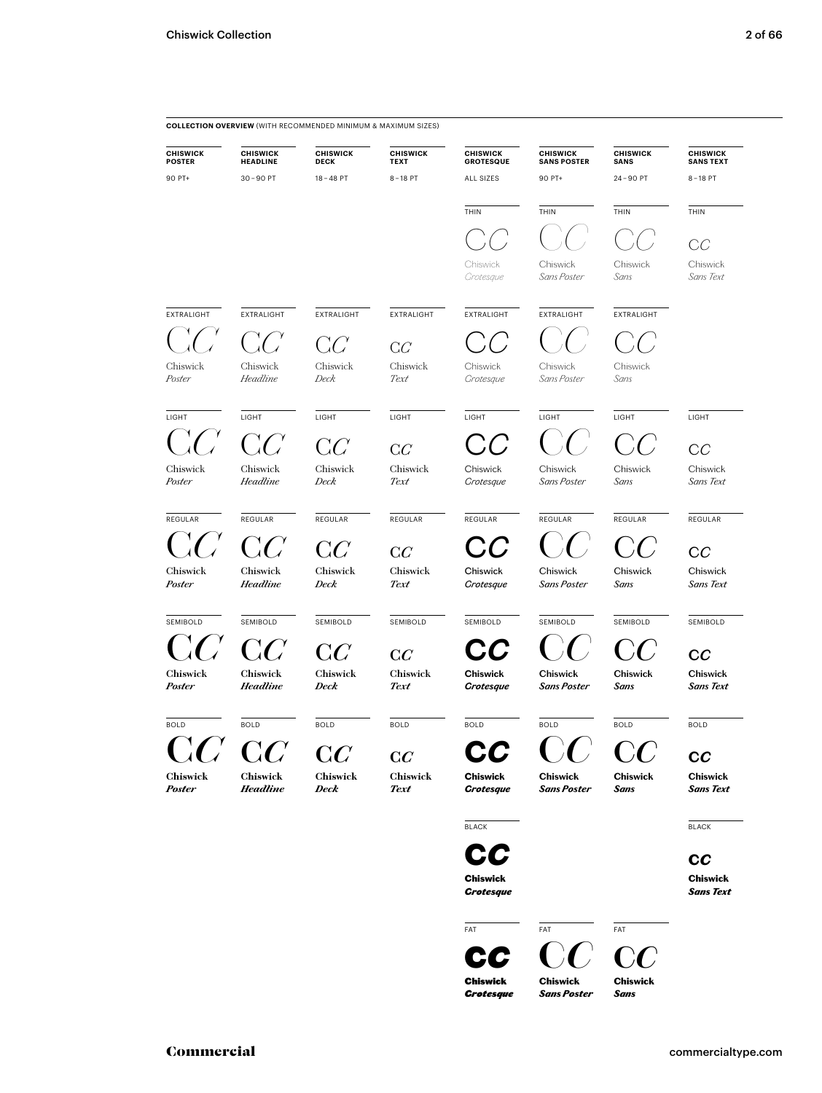| $30 - 90$ PT<br>90 PT+<br>$8 - 18$ PT<br>$18 - 48$ PT<br>$8 - 18$ PT<br>ALL SIZES<br>$24 - 90$ PT<br>THIN<br>THIN<br>THIN<br>THIN<br>CC<br>Chiswick<br>Chiswick<br>Chiswick<br>Crotesque<br>Sans Poster<br>Sans<br><b>EXTRALIGHT</b><br>EXTRALIGHT<br>EXTRALIGHT<br>EXTRALIGHT<br>EXTRALIGHT<br>EXTRALIGHT<br>CC<br>Chiswick<br>Chiswick<br>Chiswick<br>Chiswick<br>Chiswick<br>Chiswick<br>Headline<br>Deck<br>Text<br>Sans Poster<br>Sans<br>Crotesque<br>LIGHT<br>LIGHT<br>LIGHT<br>LIGHT<br>LIGHT<br>LIGHT<br>LIGHT<br>$C\mathcal{C}$<br>Ι,<br>$C\mathcal{C}$<br>CC<br>Chiswick<br>Chiswick<br>Chiswick<br>Chiswick<br>Chiswick<br>Chiswick<br>Headline<br>Deck<br>Sans Poster<br>Text<br>Crotesque<br>Sans<br>REGULAR<br>REGULAR<br>REGULAR<br>REGULAR<br>REGULAR<br>REGULAR<br>$C\overline{C}$<br>CC<br>Chiswick<br>Chiswick<br>Chiswick<br>Chiswick<br>Chiswick<br>Chiswick<br>Headline<br>Deck<br>Text<br>Crotesque<br><b>Sans Poster</b><br>Sans<br>SEMIBOLD<br>SEMIBOLD<br>SEMIBOLD<br>SEMIBOLD<br>SEMIBOLD<br>SEMIBOLD<br>CC<br>$C\mathcal{C}$<br>cc<br>Chiswick<br>Chiswick<br>Chiswick<br>Chiswick<br>Chiswick<br>Chiswick<br>Headline<br>Deck<br><b>Text</b><br><b>Crotesque</b><br>Sans Poster<br>Sans<br><b>BOLD</b><br><b>BOLD</b><br><b>BOLD</b><br><b>BOLD</b><br><b>BOLD</b><br><b>BOLD</b><br><b>BOLD</b><br>$\Omega C$<br>${\mathbf C}$<br>$C\mathbb{C}$<br>C C<br>cc<br>Chiswick<br>Chiswick<br>Chiswick<br><b>Chiswick</b><br>Chiswick<br><b>Chiswick</b><br><b>Headline</b><br>Deck<br><b>Text</b><br><b>Sans Poster</b><br>Sans<br><b>Crotesque</b><br><b>BLACK</b><br><b>BLACK</b><br>CC<br>cc | <b>CHISWICK</b><br><b>POSTER</b> | <b>CHISWICK</b><br><b>HEADLINE</b> | <b>CHISWICK</b><br><b>DECK</b> | <b>CHISWICK</b><br><b>TEXT</b> | <b>CHISWICK</b><br><b>GROTESQUE</b> | <b>CHISWICK</b><br><b>SANS POSTER</b> | <b>CHISWICK</b><br><b>SANS</b> | <b>CHISWICK</b><br><b>SANS TEXT</b> |
|---------------------------------------------------------------------------------------------------------------------------------------------------------------------------------------------------------------------------------------------------------------------------------------------------------------------------------------------------------------------------------------------------------------------------------------------------------------------------------------------------------------------------------------------------------------------------------------------------------------------------------------------------------------------------------------------------------------------------------------------------------------------------------------------------------------------------------------------------------------------------------------------------------------------------------------------------------------------------------------------------------------------------------------------------------------------------------------------------------------------------------------------------------------------------------------------------------------------------------------------------------------------------------------------------------------------------------------------------------------------------------------------------------------------------------------------------------------------------------------------------------------------------------------------------------------------------------------------------------------------------|----------------------------------|------------------------------------|--------------------------------|--------------------------------|-------------------------------------|---------------------------------------|--------------------------------|-------------------------------------|
|                                                                                                                                                                                                                                                                                                                                                                                                                                                                                                                                                                                                                                                                                                                                                                                                                                                                                                                                                                                                                                                                                                                                                                                                                                                                                                                                                                                                                                                                                                                                                                                                                           | 90 PT+                           |                                    |                                |                                |                                     |                                       |                                |                                     |
|                                                                                                                                                                                                                                                                                                                                                                                                                                                                                                                                                                                                                                                                                                                                                                                                                                                                                                                                                                                                                                                                                                                                                                                                                                                                                                                                                                                                                                                                                                                                                                                                                           |                                  |                                    |                                |                                |                                     |                                       |                                |                                     |
|                                                                                                                                                                                                                                                                                                                                                                                                                                                                                                                                                                                                                                                                                                                                                                                                                                                                                                                                                                                                                                                                                                                                                                                                                                                                                                                                                                                                                                                                                                                                                                                                                           |                                  |                                    |                                |                                |                                     |                                       |                                |                                     |
|                                                                                                                                                                                                                                                                                                                                                                                                                                                                                                                                                                                                                                                                                                                                                                                                                                                                                                                                                                                                                                                                                                                                                                                                                                                                                                                                                                                                                                                                                                                                                                                                                           |                                  |                                    |                                |                                |                                     |                                       |                                | Chiswick                            |
|                                                                                                                                                                                                                                                                                                                                                                                                                                                                                                                                                                                                                                                                                                                                                                                                                                                                                                                                                                                                                                                                                                                                                                                                                                                                                                                                                                                                                                                                                                                                                                                                                           |                                  |                                    |                                |                                |                                     |                                       |                                | Sans Text                           |
|                                                                                                                                                                                                                                                                                                                                                                                                                                                                                                                                                                                                                                                                                                                                                                                                                                                                                                                                                                                                                                                                                                                                                                                                                                                                                                                                                                                                                                                                                                                                                                                                                           | EXTRALIGHT                       |                                    |                                |                                |                                     |                                       |                                |                                     |
|                                                                                                                                                                                                                                                                                                                                                                                                                                                                                                                                                                                                                                                                                                                                                                                                                                                                                                                                                                                                                                                                                                                                                                                                                                                                                                                                                                                                                                                                                                                                                                                                                           |                                  |                                    |                                |                                |                                     |                                       |                                |                                     |
|                                                                                                                                                                                                                                                                                                                                                                                                                                                                                                                                                                                                                                                                                                                                                                                                                                                                                                                                                                                                                                                                                                                                                                                                                                                                                                                                                                                                                                                                                                                                                                                                                           | Chiswick<br>Poster               |                                    |                                |                                |                                     |                                       |                                |                                     |
|                                                                                                                                                                                                                                                                                                                                                                                                                                                                                                                                                                                                                                                                                                                                                                                                                                                                                                                                                                                                                                                                                                                                                                                                                                                                                                                                                                                                                                                                                                                                                                                                                           | LIGHT                            |                                    |                                |                                |                                     |                                       |                                |                                     |
|                                                                                                                                                                                                                                                                                                                                                                                                                                                                                                                                                                                                                                                                                                                                                                                                                                                                                                                                                                                                                                                                                                                                                                                                                                                                                                                                                                                                                                                                                                                                                                                                                           |                                  |                                    |                                |                                |                                     |                                       |                                |                                     |
|                                                                                                                                                                                                                                                                                                                                                                                                                                                                                                                                                                                                                                                                                                                                                                                                                                                                                                                                                                                                                                                                                                                                                                                                                                                                                                                                                                                                                                                                                                                                                                                                                           | Chiswick                         |                                    |                                |                                |                                     |                                       |                                | Chiswick                            |
|                                                                                                                                                                                                                                                                                                                                                                                                                                                                                                                                                                                                                                                                                                                                                                                                                                                                                                                                                                                                                                                                                                                                                                                                                                                                                                                                                                                                                                                                                                                                                                                                                           | Poster                           |                                    |                                |                                |                                     |                                       |                                | Sans Text                           |
|                                                                                                                                                                                                                                                                                                                                                                                                                                                                                                                                                                                                                                                                                                                                                                                                                                                                                                                                                                                                                                                                                                                                                                                                                                                                                                                                                                                                                                                                                                                                                                                                                           | REGULAR                          |                                    |                                |                                |                                     |                                       |                                | REGULAR                             |
|                                                                                                                                                                                                                                                                                                                                                                                                                                                                                                                                                                                                                                                                                                                                                                                                                                                                                                                                                                                                                                                                                                                                                                                                                                                                                                                                                                                                                                                                                                                                                                                                                           |                                  |                                    |                                |                                |                                     |                                       |                                |                                     |
|                                                                                                                                                                                                                                                                                                                                                                                                                                                                                                                                                                                                                                                                                                                                                                                                                                                                                                                                                                                                                                                                                                                                                                                                                                                                                                                                                                                                                                                                                                                                                                                                                           | Chiswick<br>Poster               |                                    |                                |                                |                                     |                                       |                                | Chiswick<br>Sans Text               |
|                                                                                                                                                                                                                                                                                                                                                                                                                                                                                                                                                                                                                                                                                                                                                                                                                                                                                                                                                                                                                                                                                                                                                                                                                                                                                                                                                                                                                                                                                                                                                                                                                           | SEMIBOLD                         |                                    |                                |                                |                                     |                                       |                                | SEMIBOLD                            |
|                                                                                                                                                                                                                                                                                                                                                                                                                                                                                                                                                                                                                                                                                                                                                                                                                                                                                                                                                                                                                                                                                                                                                                                                                                                                                                                                                                                                                                                                                                                                                                                                                           |                                  |                                    |                                |                                |                                     |                                       |                                |                                     |
|                                                                                                                                                                                                                                                                                                                                                                                                                                                                                                                                                                                                                                                                                                                                                                                                                                                                                                                                                                                                                                                                                                                                                                                                                                                                                                                                                                                                                                                                                                                                                                                                                           | Chiswick<br>Poster               |                                    |                                |                                |                                     |                                       |                                | Chiswick<br><b>Sans Text</b>        |
|                                                                                                                                                                                                                                                                                                                                                                                                                                                                                                                                                                                                                                                                                                                                                                                                                                                                                                                                                                                                                                                                                                                                                                                                                                                                                                                                                                                                                                                                                                                                                                                                                           | <b>BOLD</b>                      |                                    |                                |                                |                                     |                                       |                                |                                     |
|                                                                                                                                                                                                                                                                                                                                                                                                                                                                                                                                                                                                                                                                                                                                                                                                                                                                                                                                                                                                                                                                                                                                                                                                                                                                                                                                                                                                                                                                                                                                                                                                                           |                                  |                                    |                                |                                |                                     |                                       |                                |                                     |
|                                                                                                                                                                                                                                                                                                                                                                                                                                                                                                                                                                                                                                                                                                                                                                                                                                                                                                                                                                                                                                                                                                                                                                                                                                                                                                                                                                                                                                                                                                                                                                                                                           | Chiswick<br>Poster               |                                    |                                |                                |                                     |                                       |                                | Chiswick<br><b>Sans Text</b>        |
|                                                                                                                                                                                                                                                                                                                                                                                                                                                                                                                                                                                                                                                                                                                                                                                                                                                                                                                                                                                                                                                                                                                                                                                                                                                                                                                                                                                                                                                                                                                                                                                                                           |                                  |                                    |                                |                                |                                     |                                       |                                |                                     |
|                                                                                                                                                                                                                                                                                                                                                                                                                                                                                                                                                                                                                                                                                                                                                                                                                                                                                                                                                                                                                                                                                                                                                                                                                                                                                                                                                                                                                                                                                                                                                                                                                           |                                  |                                    |                                |                                |                                     |                                       |                                |                                     |

FAT

Chiswick *Grotesque*

Chiswick *Grotesque* Chiswick *Sans Text*  C*C*

 $FAT$ 

Chiswick *Sans*

C*C* C*C* C*C*

Chiswick *Sans Poster*

FAT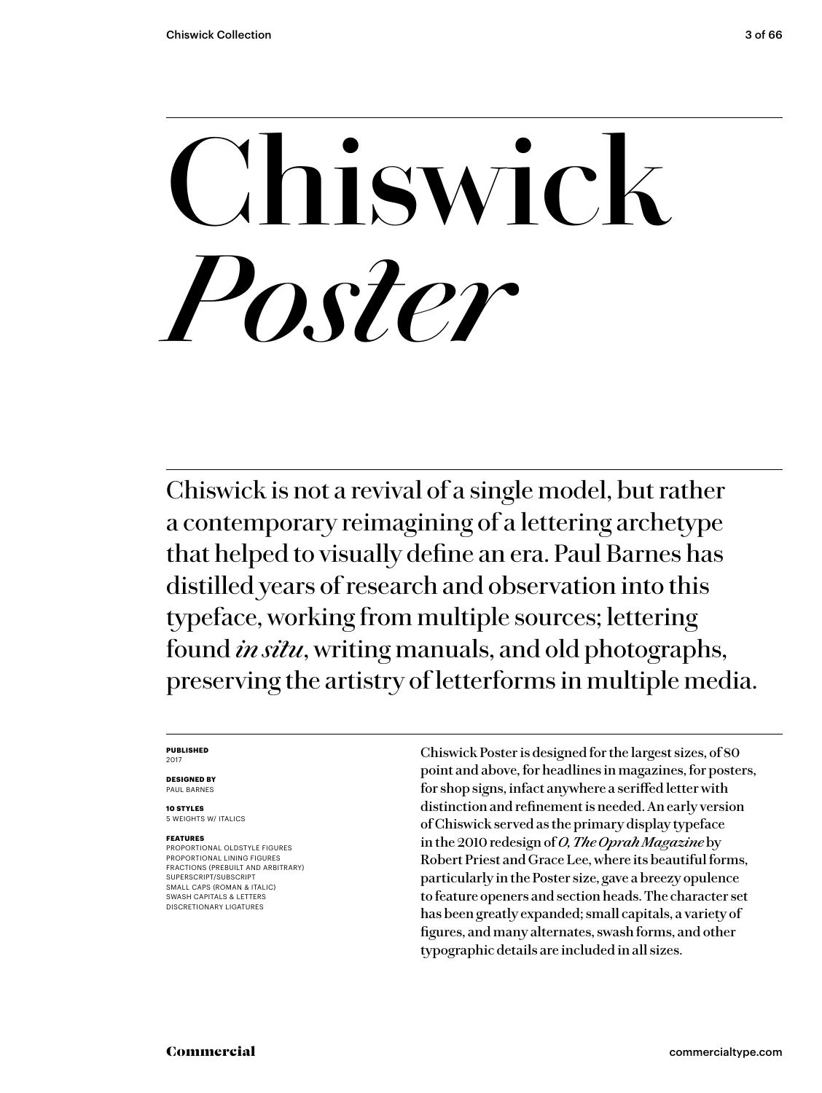# **Chiswick** *Poster*

Chiswick is not a revival of a single model, but rather a contemporary reimagining of a lettering archetype that helped to visually define an era. Paul Barnes has distilled years of research and observation into this typeface, working from multiple sources; lettering found *in situ*, writing manuals, and old photographs, preserving the artistry of letterforms in multiple media.

### **PUBLISHED** 2017

**DESIGNED BY** PAUL BARNES

**10 STYLES** 5 WEIGHTS W/ ITALICS

### **FEATURES**

PROPORTIONAL OLDSTYLE FIGURES PROPORTIONAL LINING FIGURES FRACTIONS (PREBUILT AND ARBITRARY) SUPERSCRIPT/SUBSCRIPT SMALL CAPS (ROMAN & ITALIC) SWASH CAPITALS & LETTERS DISCRETIONARY LIGATURES

Chiswick Poster is designed for the largest sizes, of 80 point and above, for headlines in magazines, for posters, for shop signs, infact anywhere a seriffed letter with distinction and refinement is needed. An early version of Chiswick served as the primary display typeface in the 2010 redesign of *O, The Oprah Magazine* by Robert Priest and Grace Lee, where its beautiful forms, particularly in the Poster size, gave a breezy opulence to feature openers and section heads. The character set has been greatly expanded; small capitals, a variety of figures, and many alternates, swash forms, and other typographic details are included in all sizes.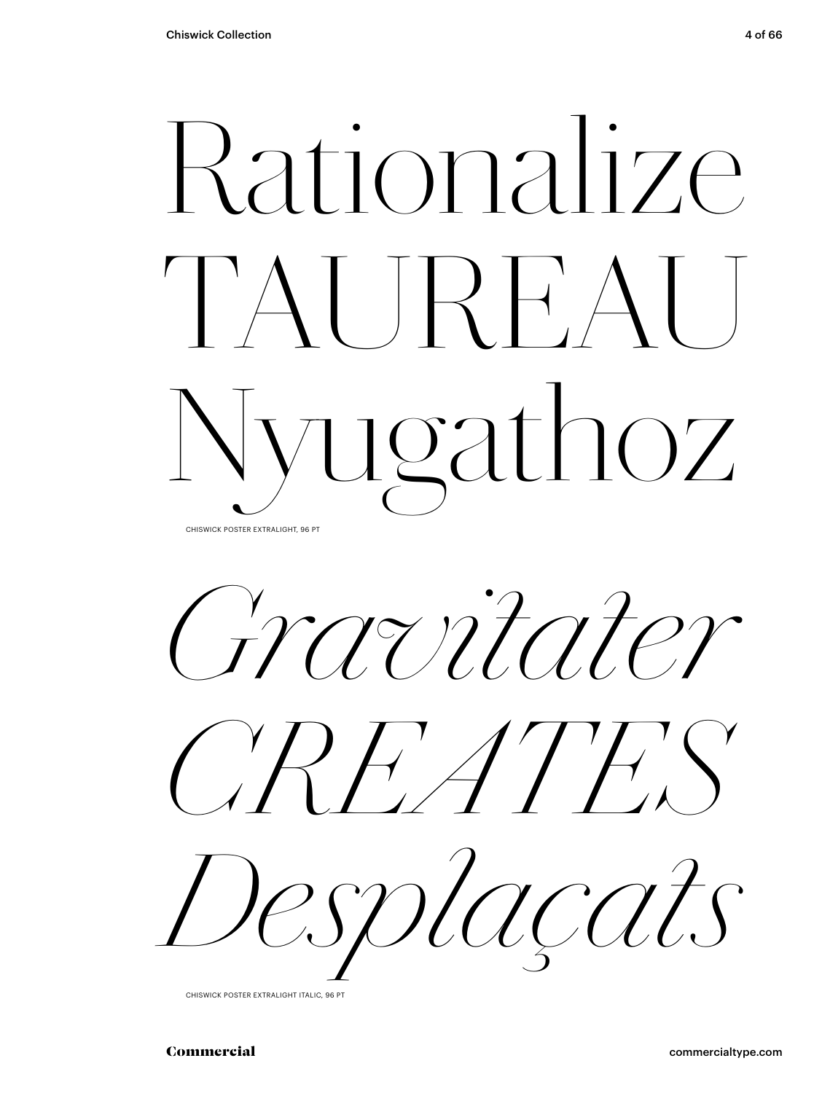# Rationalize TAUREAU Nyugathoz

CHISWICK POSTER EXTRALIGHT, 96 PT

*Gravitater*





CHISWICK POSTER EXTRALIGHT ITALIC, 96 PT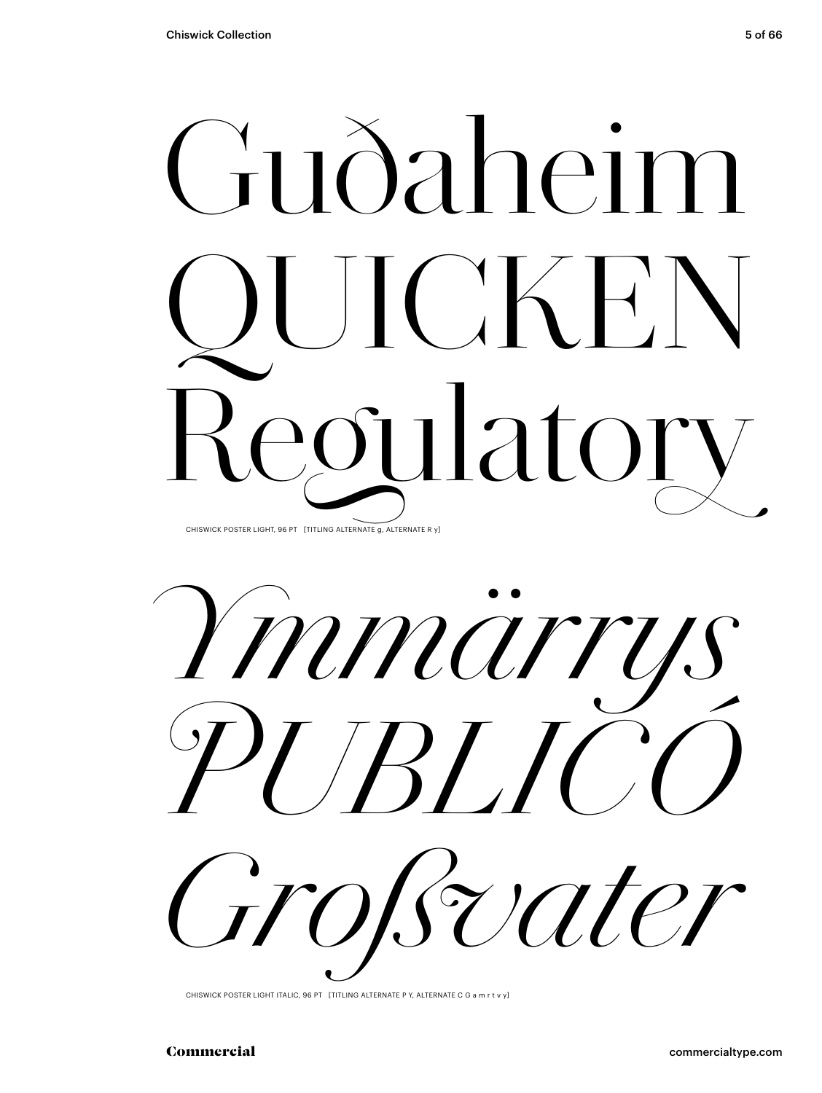



CHISWICK POSTER LIGHT ITALIC, 96 PT [TITLING ALTERNATE P Y, ALTERNATE C G a m r t v y]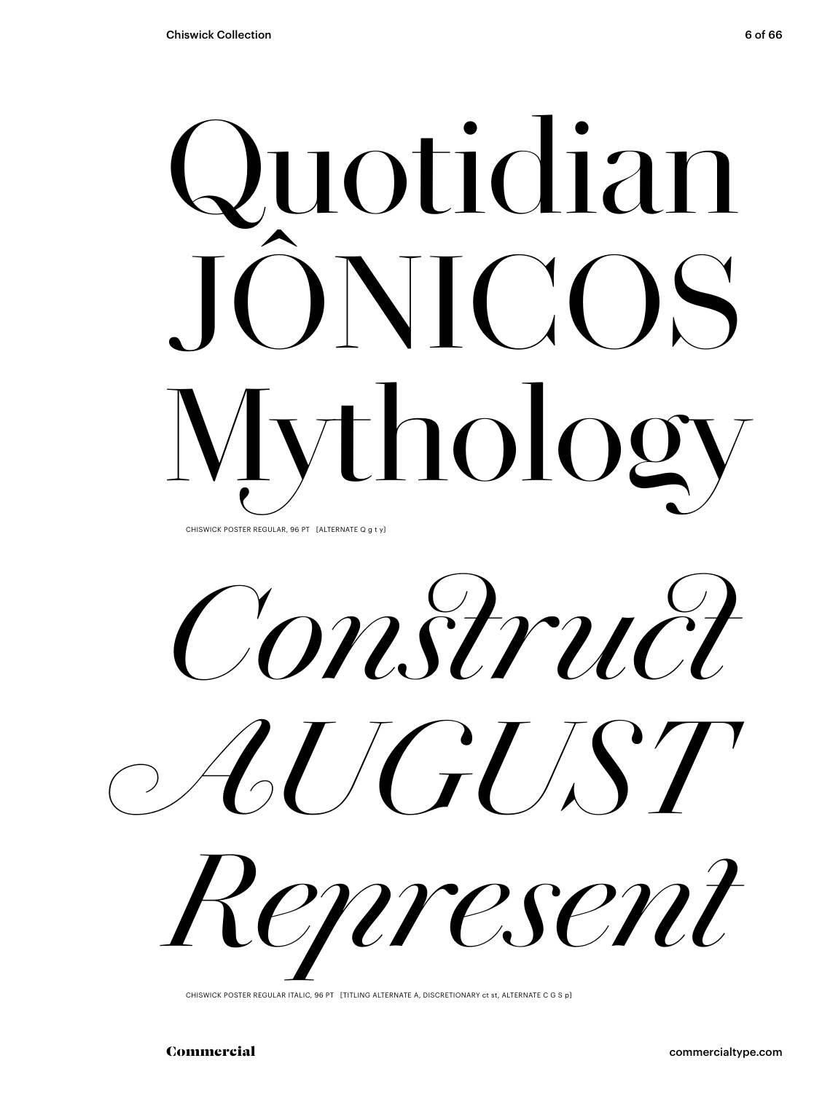## Quotidian ÔNICOS Mythology CHISWICK POSTER REGULAR, 96 PT [ALTERNATE Q q t y]

*Construct AUGUST Represent*

CHISWICK POSTER REGULAR ITALIC, 96 PT [TITLING ALTERNATE A, DISCRETIONARY ct st, ALTERNATE C G S p]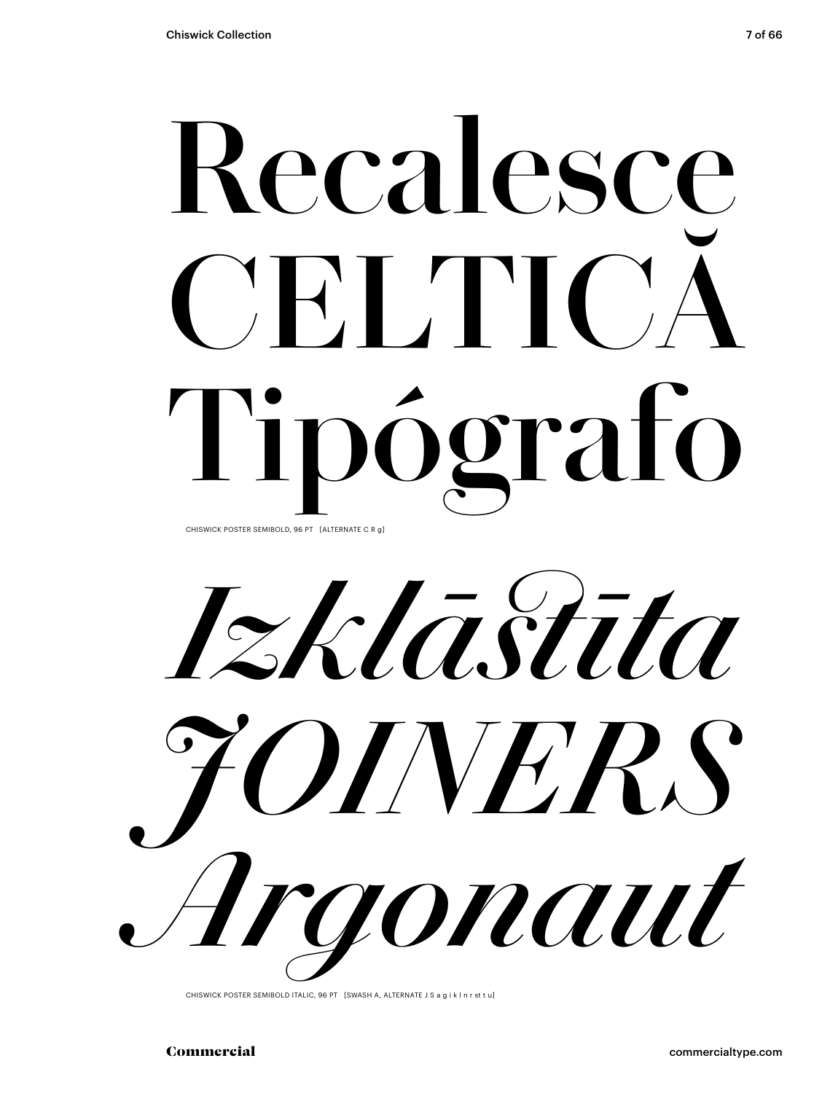## **Recalesce** CEITIC **Tipógrafo** CHISWICK POSTER SEMIBOLD, 96 PT [ALTERNATE C R g]

*Izklāstīta JOINERS Argonaut*

CHISWICK POSTER SEMIBOLD ITALIC, 96 PT [SWASH A, ALTERNATE J S a g i k l n r st t u]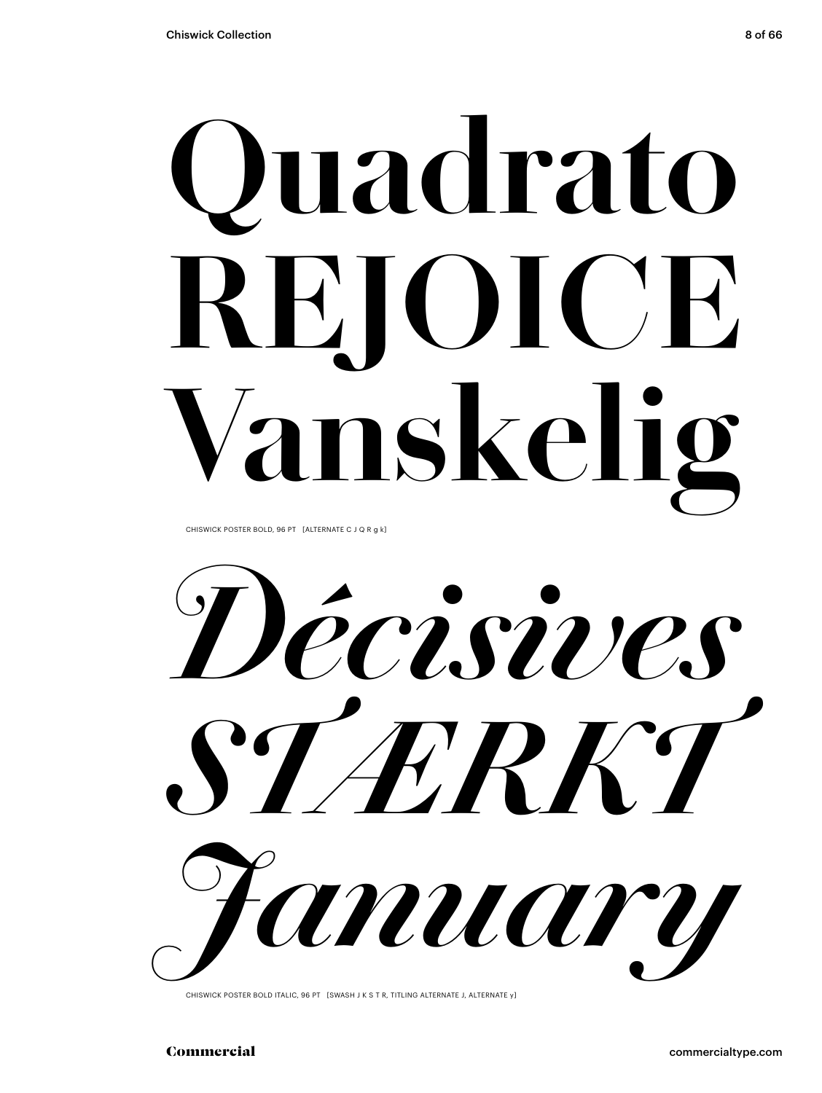# **Quadrato REJOICE nskeli**

CHISWICK POSTER BOLD, 96 PT [ALTERNATE C J Q R g k]

*Décisives STÆRKT January*

CHISWICK POSTER BOLD ITALIC, 96 PT [SWASH J K S T R, TITLING ALTERNATE J, ALTERNATE y]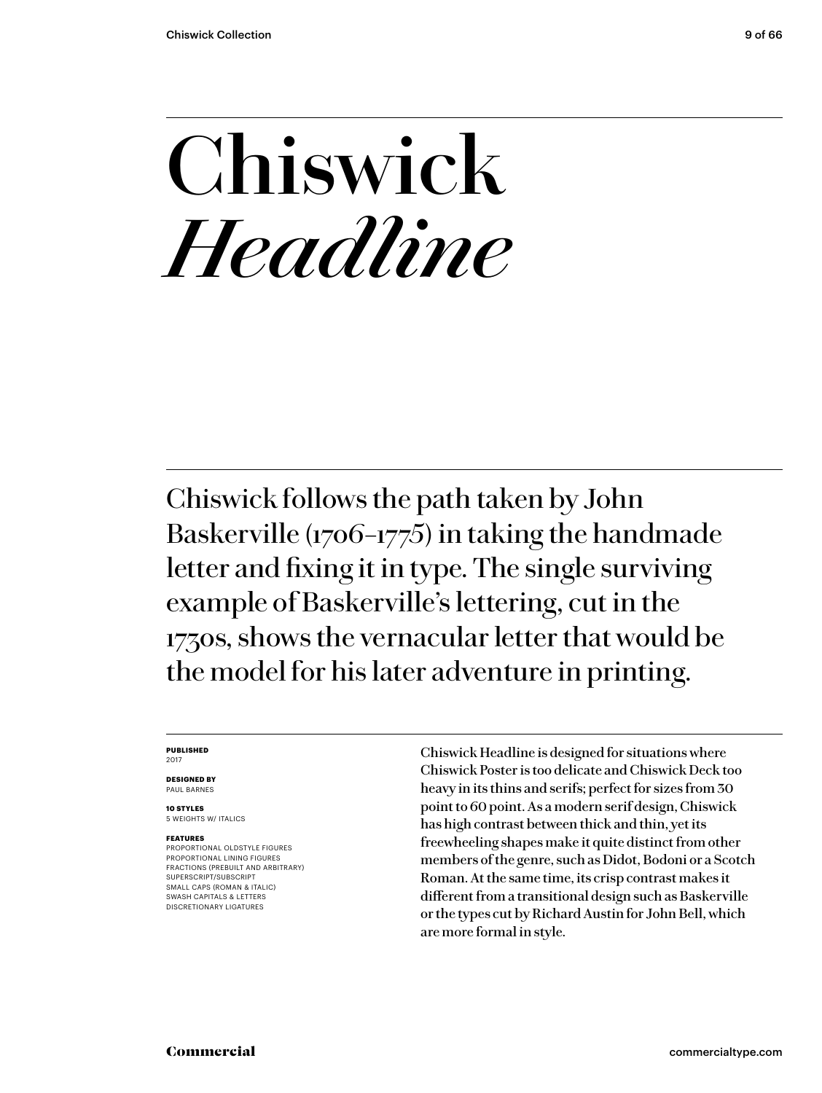### **Chiswick** *Headline*

Chiswick follows the path taken by John Baskerville (1706–1775) in taking the handmade letter and fixing it in type. The single surviving example of Baskerville's lettering, cut in the 1730s, shows the vernacular letter that would be the model for his later adventure in printing.

### **PUBLISHED** 2017

**DESIGNED BY** PAUL BARNES

**10 STYLES** 5 WEIGHTS W/ ITALICS

### **FEATURES**

PROPORTIONAL OLDSTYLE FIGURES PROPORTIONAL LINING FIGURES FRACTIONS (PREBUILT AND ARBITRARY) SUPERSCRIPT/SUBSCRIPT SMALL CAPS (ROMAN & ITALIC) SWASH CAPITALS & LETTERS DISCRETIONARY LIGATURES

Chiswick Headline is designed for situations where Chiswick Poster is too delicate and Chiswick Deck too heavy in its thins and serifs; perfect for sizes from 30 point to 60 point. As a modern serif design, Chiswick has high contrast between thick and thin, yet its freewheeling shapes make it quite distinct from other members of the genre, such as Didot, Bodoni or a Scotch Roman. At the same time, its crisp contrast makes it different from a transitional design such as Baskerville or the types cut by Richard Austin for John Bell, which are more formal in style.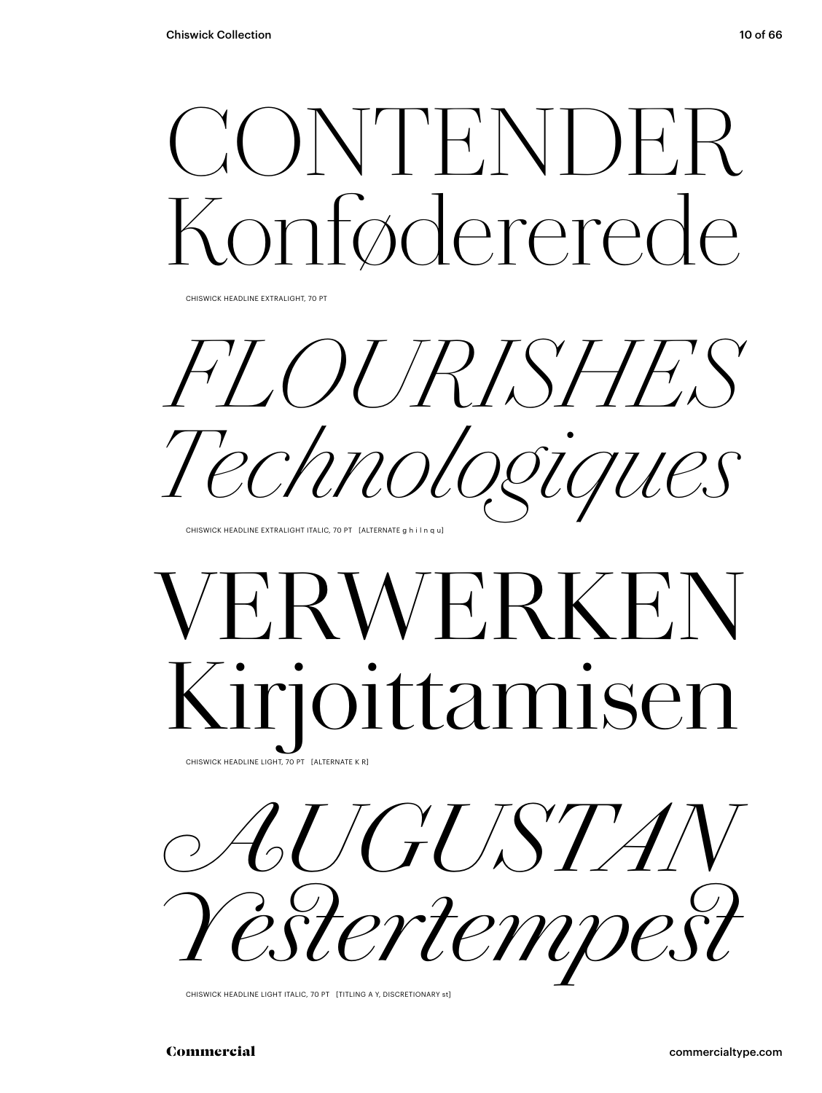### CONTENDER Fødererede

CHISWICK HEADLINE EXTRALIGHT, 70 PT

*FLOURISHES Technologiques*

CHISWICK HEADLINE EXTRALIGHT ITALIC, 70 PT [ALTERNATE g h i l n q u]

### FRWERKE) Kirjoittamisen CHISWICK HEADLINE LIGHT, 70 PT [ALTERNATE K R]



CHISWICK HEADLINE LIGHT ITALIC, 70 PT [TITLING A Y, DISCRETIONARY st]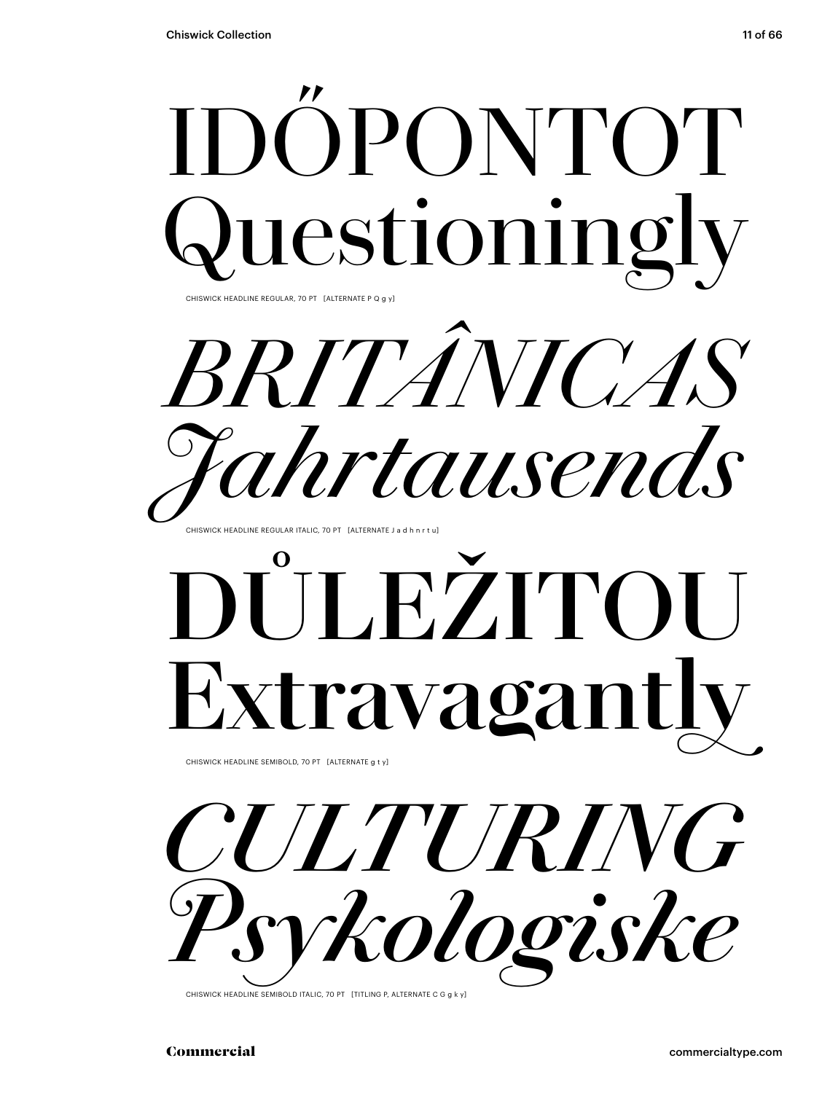

# **Extravagant**

CHISWICK HEADLINE SEMIBOLD, 70 PT [ALTERNATE g t y]



CHISWICK HEADLINE SEMIBOLD ITALIC, 70 PT [TITLING P, ALTERNATE C G g k y]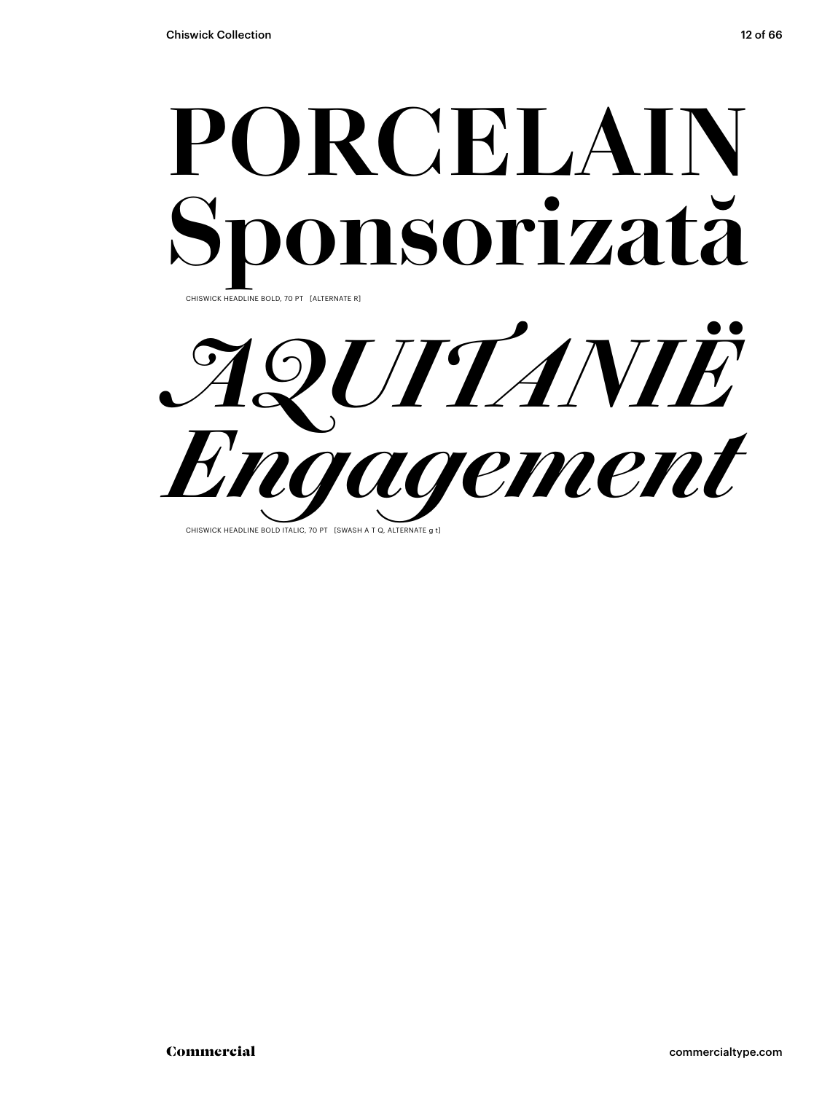

*AQUITANIË Engagement*

CHISWICK HEADLINE BOLD ITALIC, 70 PT [SWASH A T Q, ALTERNATE a t]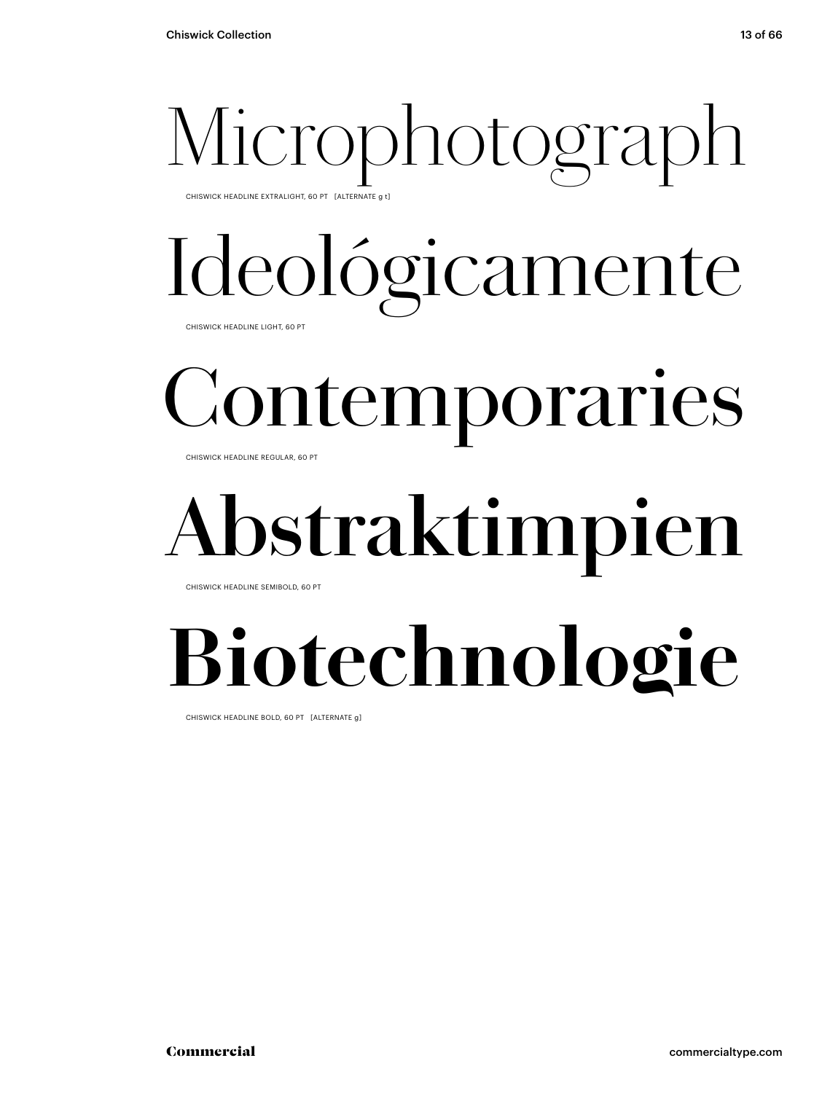## Microphotograph

CHISWICK HEADLINE EXTRALIGHT, 60 PT [ALTERNATE g t]

## Ideológicamente

CHISWICK HEADLINE LIGHT, 60 PT

## Contemporaries

CHISWICK HEADLINE REGULAR, 60 PT

### **Abstraktimpien**

CHISWICK HEADLINE SEMIBOLD, 60 PT

### **Biotechnologie**

CHISWICK HEADLINE BOLD, 60 PT [ALTERNATE g]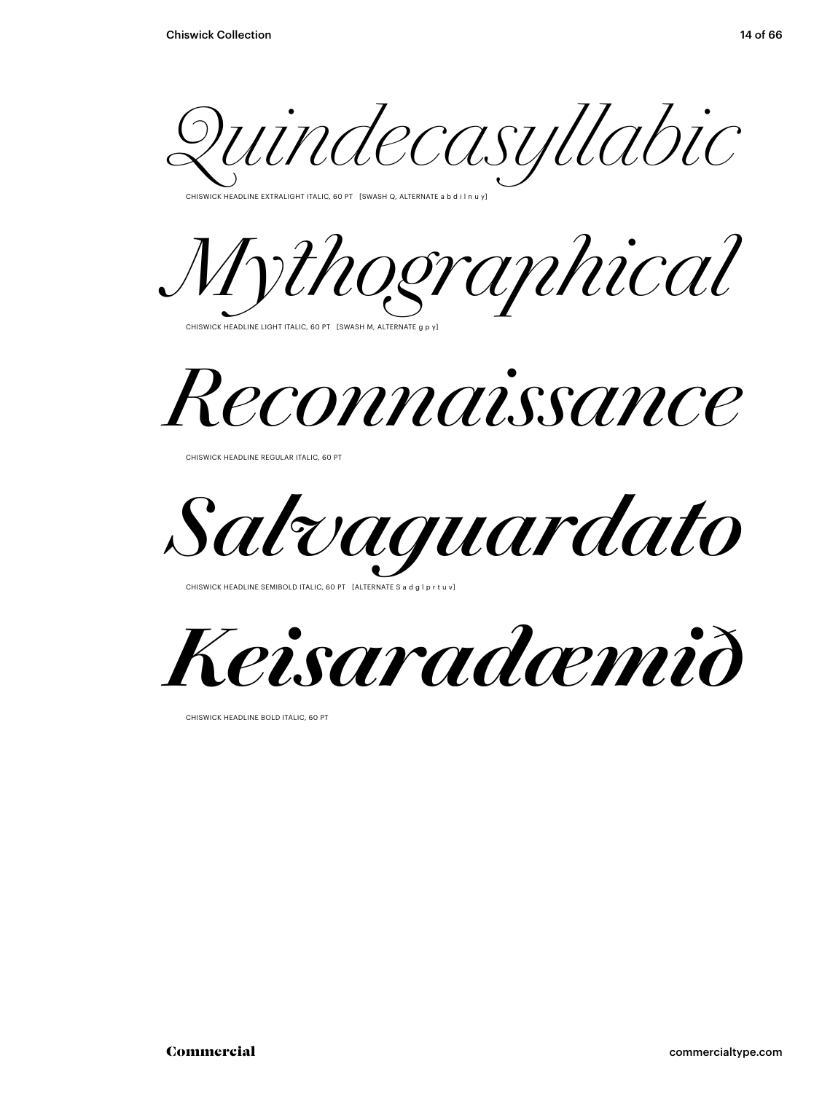*Quindecasyllabic*

.<br>CHISWICK HEADLINE EXTRALIGHT ITALIC, 60 PT [SWASH Q, ALTERNATE a b d i l n u y]





CHISWICK HEADLINE REGULAR ITALIC, 60 PT

*Salvaguardato*

CHISWICK HEADLINE SEMIBOLD ITALIC, 60 PT [ALTERNATE S a d g l p r t u



CHISWICK HEADLINE BOLD ITALIC, 60 PT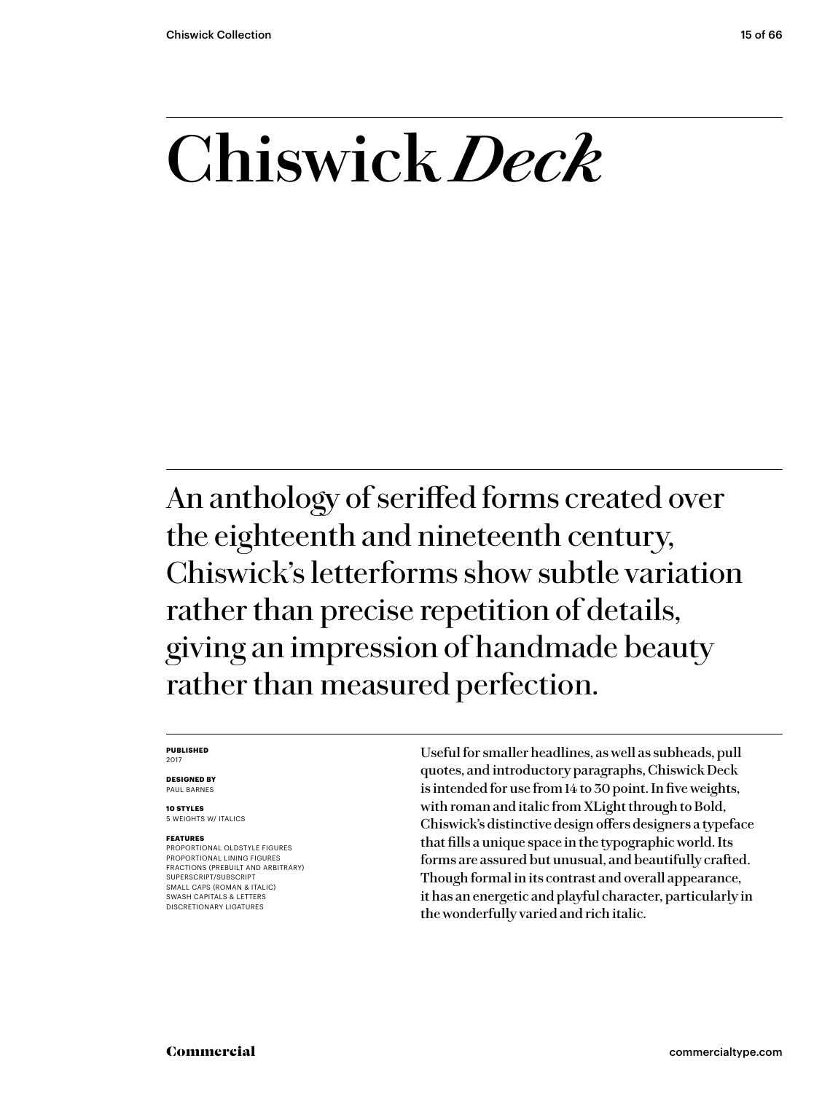### **Chiswick** *Deck*

An anthology of seriffed forms created over the eighteenth and nineteenth century, Chiswick's letterforms show subtle variation rather than precise repetition of details, giving an impression of handmade beauty rather than measured perfection.

### **PUBLISHED** 2017

**DESIGNED BY** PAUL BARNES

**10 STYLES** 5 WEIGHTS W/ ITALICS

### **FEATURES**

PROPORTIONAL OLDSTYLE FIGURES PROPORTIONAL LINING FIGURES FRACTIONS (PREBUILT AND ARBITRARY) SUPERSCRIPT/SUBSCRIPT SMALL CAPS (ROMAN & ITALIC) SWASH CAPITALS & LETTERS DISCRETIONARY LIGATURES

Useful for smaller headlines, as well as subheads, pull quotes, and introductory paragraphs, Chiswick Deck is intended for use from 14 to 30 point. In five weights, with roman and italic from XLight through to Bold, Chiswick's distinctive design offers designers a typeface that fills a unique space in the typographic world. Its forms are assured but unusual, and beautifully crafted. Though formal in its contrast and overall appearance, it has an energetic and playful character, particularly in the wonderfully varied and rich italic.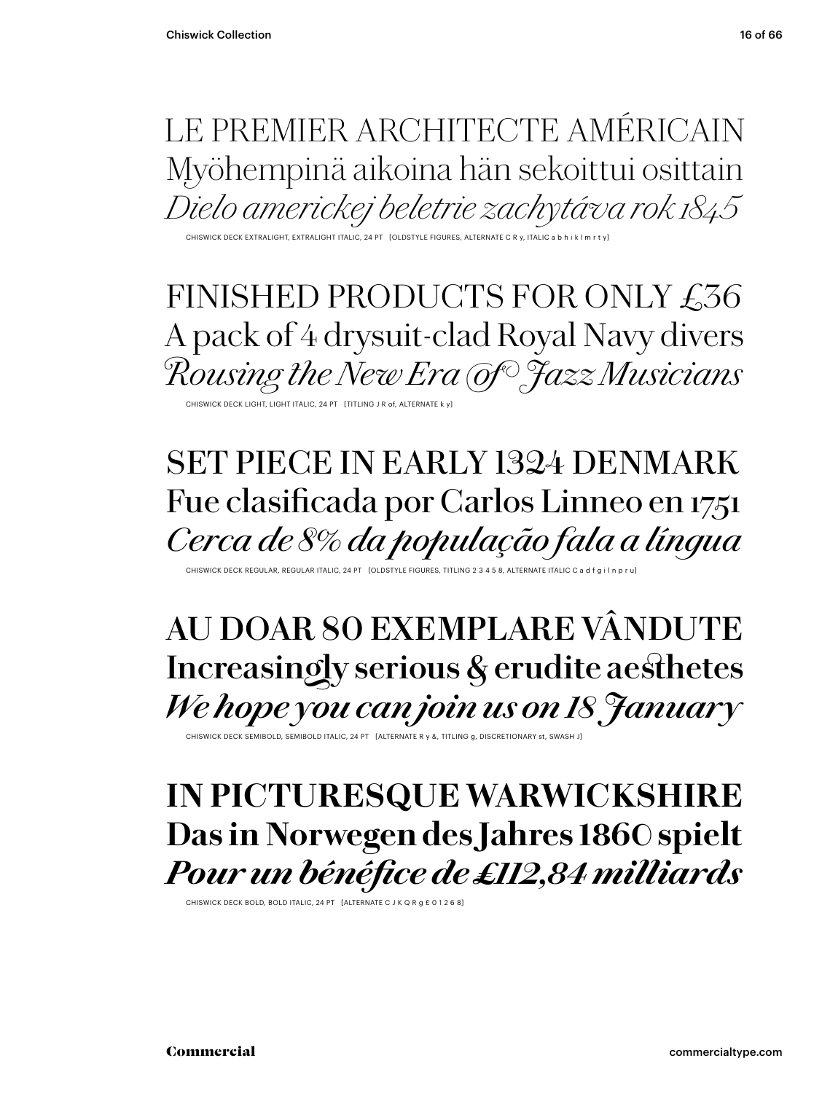### LE PREMIER ARCHITECTE AMÉRICAIN Myöhempinä aikoina hän sekoittui osittain *Dielo americkej beletrie zachytáva rok 1845*

CHISWICK DECK EXTRALIGHT, EXTRALIGHT ITALIC, 24 PT [OLDSTYLE FIGURES, ALTERNATE C R y, ITALIC a b h i k l m r t y]

FINISHED PRODUCTS FOR ONLY £36 A pack of 4 drysuit-clad Royal Navy divers *Rousing the New Era of Jazz Musicians*

CHISWICK DECK LIGHT, LIGHT ITALIC, 24 PT [TITLING J R of, ALTERNATE k y]

### SET PIECE IN EARLY 1324 DENMARK Fue clasificada por Carlos Linneo en 1751 *Cerca de 8% da população fala a língua*

CHISWICK DECK REGULAR, REGULAR ITALIC, 24 PT [OLDSTYLE FIGURES, TITLING 2 3 4 5 8, ALTERNATE ITALIC C a d f g

### **AU DOAR 80 EXEMPLARE VÂNDUTE Increasingly serious & erudite aesthetes** *We hope you can join us on 18 January*

CHISWICK DECK SEMIBOLD, SEMIBOLD ITALIC, 24 PT [ALTERNATE R y &, TITLING g, DISCRETIONARY st, SWASH J]

### **IN PICTURESQUE WARWICKSHIRE Das in Norwegen des Jahres 1860 spielt** *Pour un bénéfice de £112,84 milliards*

CHISWICK DECK BOLD, BOLD ITALIC, 24 PT [ALTERNATE C J K Q R g £ 0 1 2 6 8]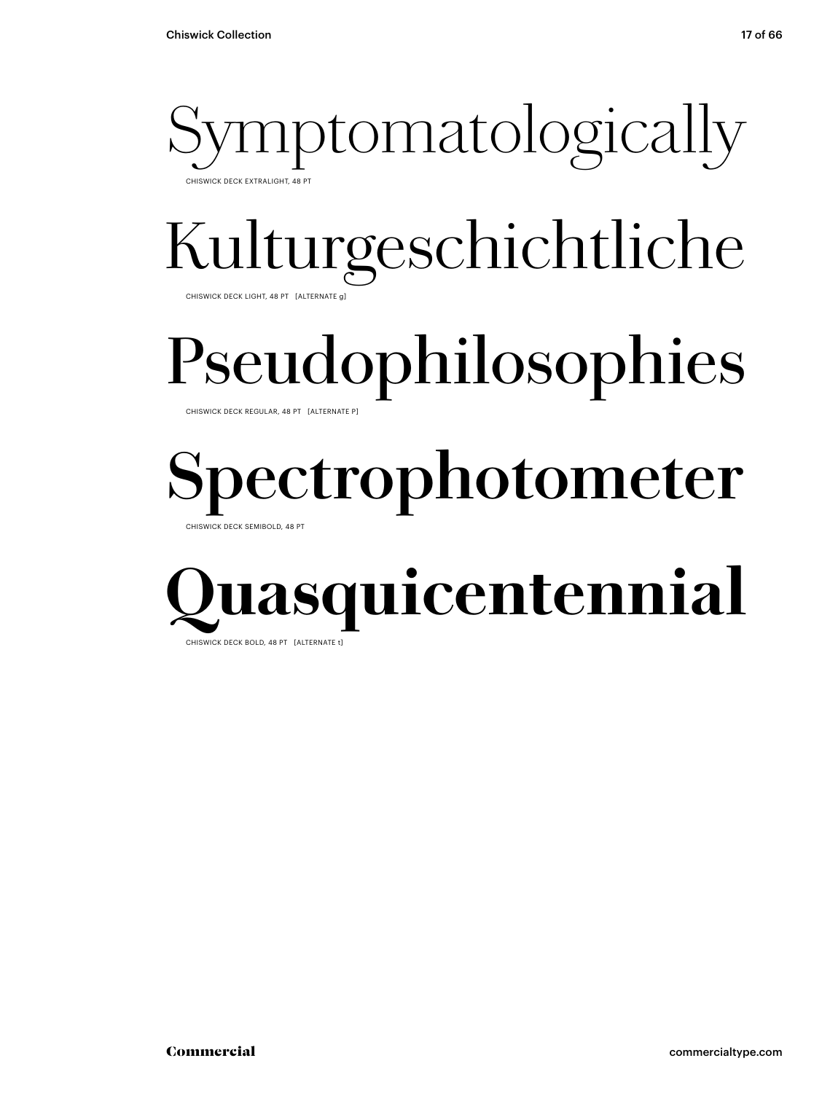

### Kulturgeschichtliche

CHISWICK DECK LIGHT, 48 PT [ALTERNATE g]

### Pseudophilosophies

CHISWICK DECK REGULAR, 48 PT [ALTERNATE P]

### **Spectrophotometer**

CHISWICK DECK SEMIBOLD, 48 PT

### **asquicentennial** CHISWICK DECK BOLD, 48 PT [ALTERNATE t]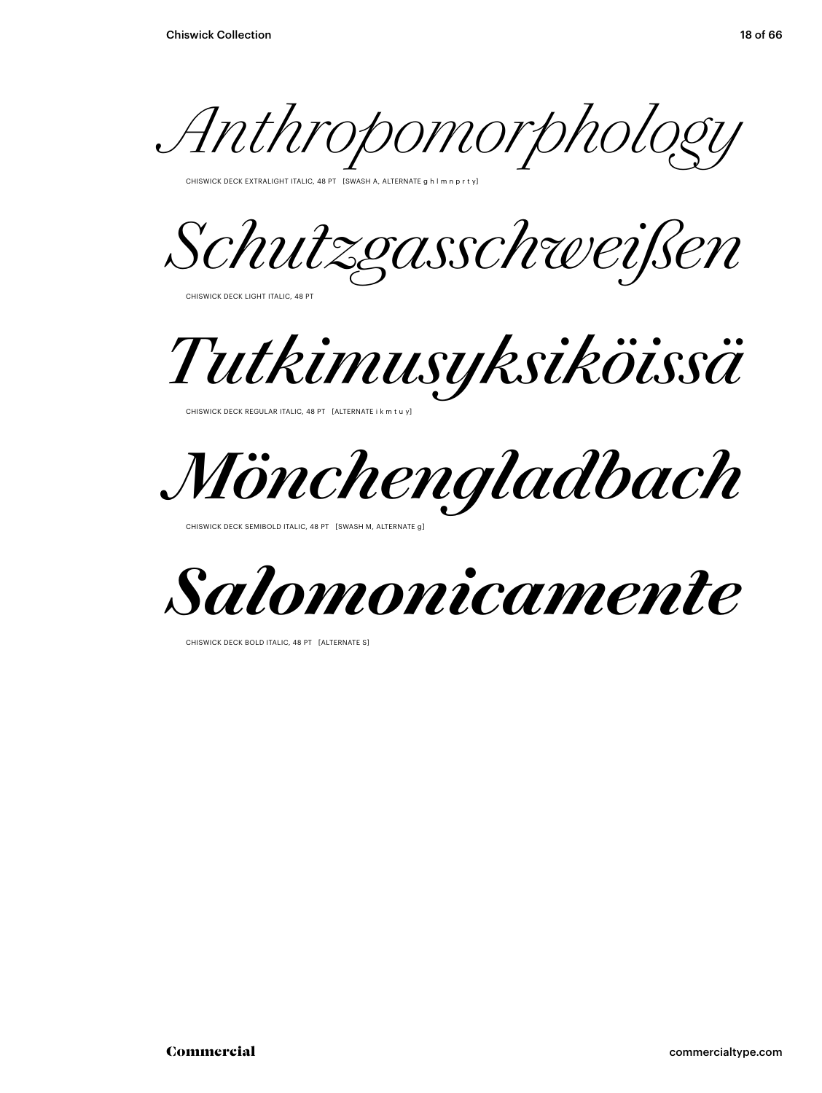*Anthropomorphology*

CHISWICK DECK EXTRALIGHT ITALIC, 48 PT [SWASH A, ALTERNATE g h l m n p r t y]

*Schutzgasschweißen*

CHISWICK DECK LIGHT ITALIC, 48 PT

*Tutkimusyksiköissä*

CHISWICK DECK REGULAR ITALIC, 48 PT [ALTERNATE i k m t u y]

*Mönchengladbach*

CHISWICK DECK SEMIBOLD ITALIC, 48 PT [SWASH M, ALTERNATE g]



CHISWICK DECK BOLD ITALIC, 48 PT [ALTERNATE S]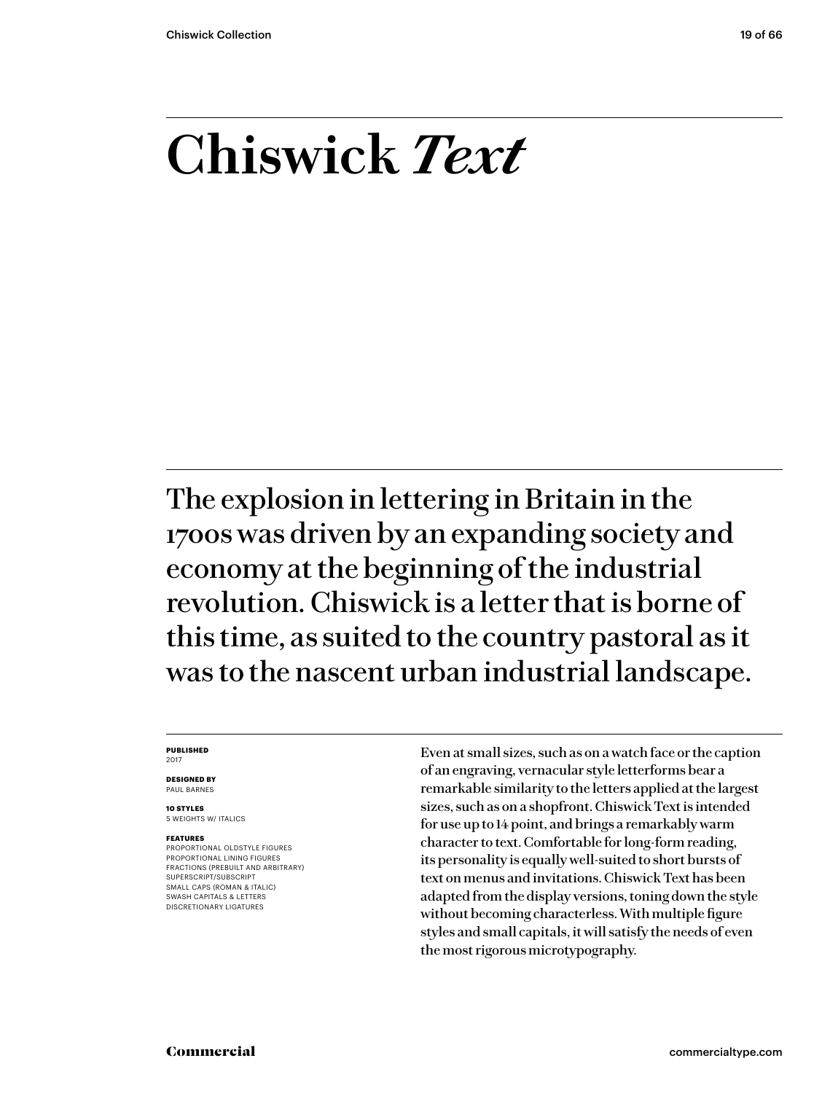### **Chiswick** *Text*

The explosion in lettering in Britain in the 1700s was driven by an expanding society and economy at the beginning of the industrial revolution. Chiswick is a letter that is borne of this time, as suited to the country pastoral as it was to the nascent urban industrial landscape.

### **PUBLISHED** 2017

**DESIGNED BY** PAUL BARNES

**10 STYLES** 5 WEIGHTS W/ ITALICS

### **FEATURES**

PROPORTIONAL OLDSTYLE FIGURES PROPORTIONAL LINING FIGURES FRACTIONS (PREBUILT AND ARBITRARY) SUPERSCRIPT/SUBSCRIPT SMALL CAPS (ROMAN & ITALIC) SWASH CAPITALS & LETTERS DISCRETIONARY LIGATURES

Even at small sizes, such as on a watch face or the caption of an engraving, vernacular style letterforms bear a remarkable similarity to the letters applied at the largest sizes, such as on a shopfront. Chiswick Text is intended for use up to 14 point, and brings a remarkably warm character to text. Comfortable for long-form reading, its personality is equally well-suited to short bursts of text on menus and invitations. Chiswick Text has been adapted from the display versions, toning down the style without becoming characterless. With multiple figure styles and small capitals, it will satisfy the needs of even the most rigorous microtypography.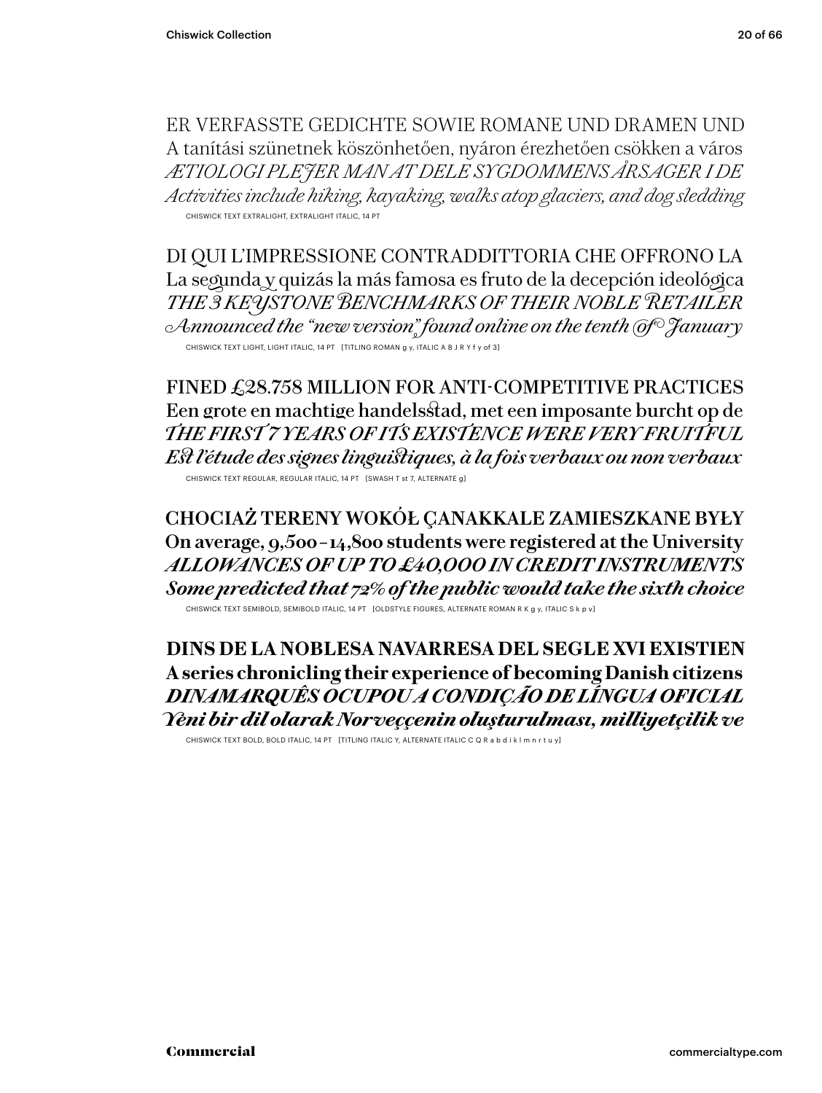ER VERFASSTE GEDICHTE SOWIE ROMANE UND DRAMEN UND A tanítási szünetnek köszönhetően, nyáron érezhetően csökken a város *ÆTIOLOGI PLEJER MAN AT DELE SYGDOMMENS ÅRSAGER I DE Activities include hiking, kayaking, walks atop glaciers, and dog sledding* CHISWICK TEXT EXTRALIGHT, EXTRALIGHT ITALIC, 14 PT

DI QUI L'IMPRESSIONE CONTRADDITTORIA CHE OFFRONO LA La segunda y quizás la más famosa es fruto de la decepción ideológica *THE 3 KEYSTONE BENCHMARKS OF THEIR NOBLE RETAILER Announced the "new version" found online on the tenth of January* CHISWICK TEXT LIGHT, LIGHT ITALIC, 14 PT [TITLING ROMAN g y, ITALIC A B J R Y f y of 3]

FINED £28.758 MILLION FOR ANTI-COMPETITIVE PRACTICES Een grote en machtige handelsstad, met een imposante burcht op de *THE FIRST 7 YEARS OF ITS EXISTENCE WERE VERY FRUITFUL Est l'étude des signes linguistiques, à la fois verbaux ou non verbaux* CHISWICK TEXT REGULAR, REGULAR ITALIC, 14 PT [SWASH T st 7, ALTERNATE g]

**CHOCIAŻ TERENY WOKÓŁ ÇANAKKALE ZAMIESZKANE BYŁY On average, 9,500 – 14,800 students were registered at the University** *ALLOWANCES OF UP TO £40,000 IN CREDIT INSTRUMENTS Some predicted that 72% of the public would take the sixth choice*

CHISWICK TEXT SEMIBOLD, SEMIBOLD ITALIC, 14 PT [OLDSTYLE FIGURES, ALTERNATE ROMAN R K g y, ITALIC S k p v]

**DINS DE LA NOBLESA NAVARRESA DEL SEGLE XVI EXISTIEN A series chronicling their experience of becoming Danish citizens** *DINAMARQUÊS OCUPOU A CONDIÇÃO DE LÍNGUA OFICIAL Yeni bir dil olarak Norveççenin oluşturulması, milliyetçilik ve*

CHISWICK TEXT BOLD, BOLD ITALIC, 14 PT [TITLING ITALIC Y, ALTERNATE ITALIC C Q R a b d i k l m n r t u y]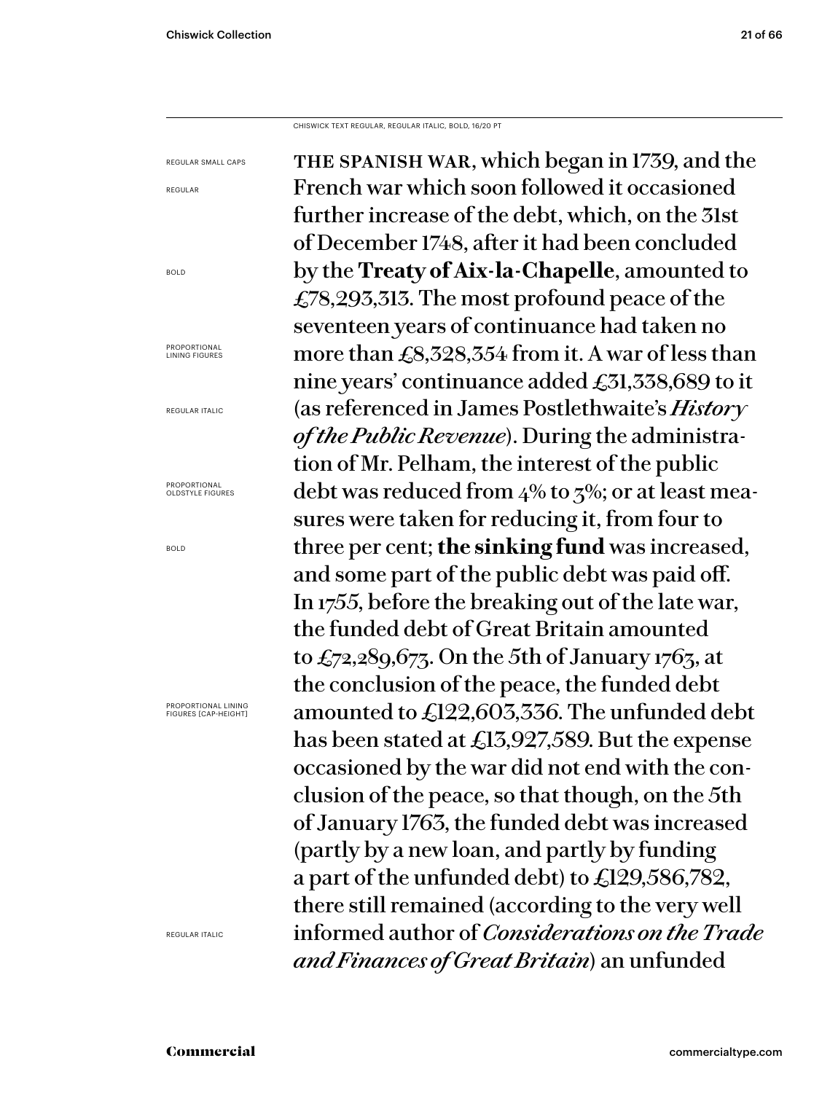CHISWICK TEXT REGULAR, REGULAR ITALIC, BOLD, 16/20 PT

the spanish war, which began in 1739, and the French war which soon followed it occasioned further increase of the debt, which, on the 31st of December 1748, after it had been concluded by the **Treaty of Aix-la-Chapelle**, amounted to £78,293,313. The most profound peace of the seventeen years of continuance had taken no more than £8,328,354 from it. A war of less than nine years' continuance added £31,338,689 to it (as referenced in James Postlethwaite's *History of the Public Revenue*). During the administration of Mr. Pelham, the interest of the public debt was reduced from 4% to 3%; or at least measures were taken for reducing it, from four to three per cent; **the sinking fund** was increased, and some part of the public debt was paid off. In 1755, before the breaking out of the late war, the funded debt of Great Britain amounted to  $\pounds$ 72,289,673. On the 5th of January 1763, at the conclusion of the peace, the funded debt amounted to £122,603,336. The unfunded debt has been stated at £13,927,589. But the expense occasioned by the war did not end with the conclusion of the peace, so that though, on the 5th of January 1763, the funded debt was increased (partly by a new loan, and partly by funding a part of the unfunded debt) to £129,586,782, there still remained (according to the very well informed author of *Considerations on the Trade and Finances of Great Britain*) an unfunded REGULAR SMALL CAPS

REGULAR

BOLD

PROPORTIONAL LINING FIGURES

REGULAR ITALIC

PROPORTIONAL OLDSTYLE FIGURES

BOLD

PROPORTIONAL LINING FIGURES [CAP-HEIGHT]

REGULAR ITALIC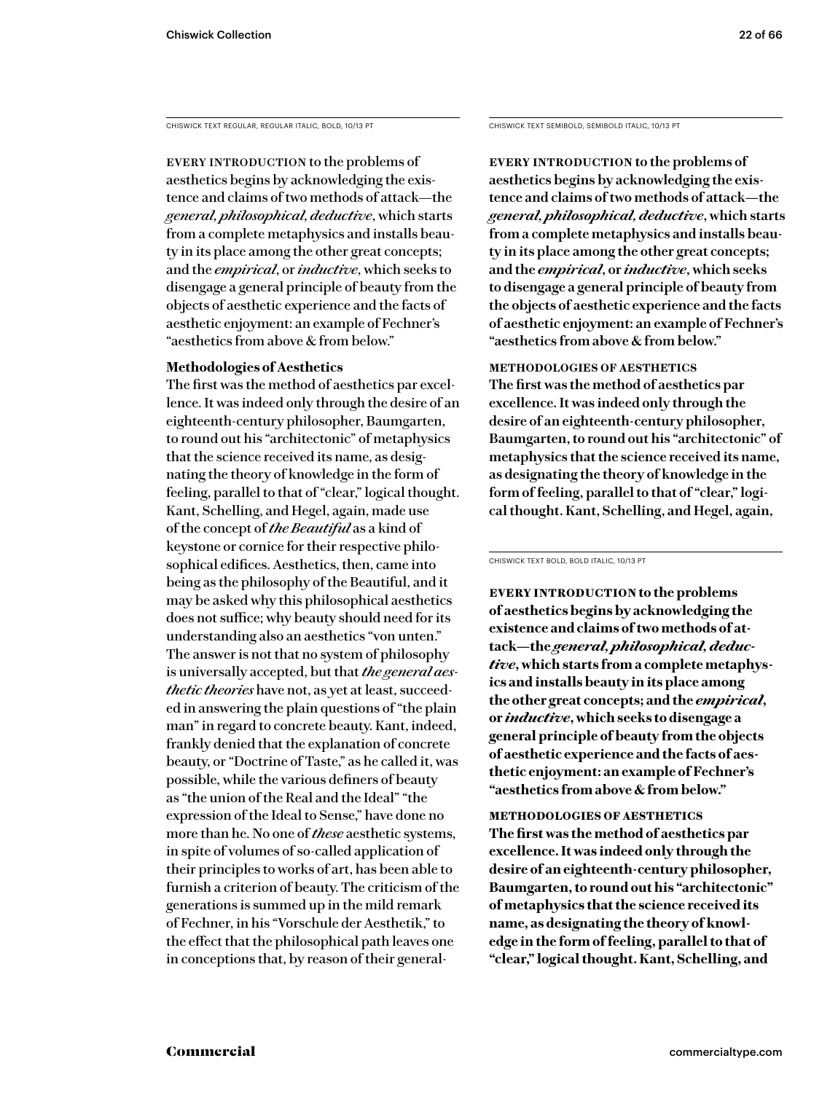CHISWICK TEXT REGULAR, REGULAR ITALIC, BOLD, 10/13 PT

EVERY INTRODUCTION to the problems of aesthetics begins by acknowledging the existence and claims of two methods of attack—the *general, philosophical, deductive*, which starts from a complete metaphysics and installs beauty in its place among the other great concepts; and the *empirical*, or *inductive*, which seeks to disengage a general principle of beauty from the objects of aesthetic experience and the facts of aesthetic enjoyment: an example of Fechner's "aesthetics from above & from below."

### **Methodologies of Aesthetics**

The first was the method of aesthetics par excellence. It was indeed only through the desire of an eighteenth-century philosopher, Baumgarten, to round out his "architectonic" of metaphysics that the science received its name, as designating the theory of knowledge in the form of feeling, parallel to that of "clear," logical thought. Kant, Schelling, and Hegel, again, made use of the concept of *the Beautiful* as a kind of keystone or cornice for their respective philosophical edifices. Aesthetics, then, came into being as the philosophy of the Beautiful, and it may be asked why this philosophical aesthetics does not suffice; why beauty should need for its understanding also an aesthetics "von unten." The answer is not that no system of philosophy is universally accepted, but that *the general aesthetic theories* have not, as yet at least, succeeded in answering the plain questions of "the plain man" in regard to concrete beauty. Kant, indeed, frankly denied that the explanation of concrete beauty, or "Doctrine of Taste," as he called it, was possible, while the various definers of beauty as "the union of the Real and the Ideal" "the expression of the Ideal to Sense," have done no more than he. No one of *these* aesthetic systems, in spite of volumes of so-called application of their principles to works of art, has been able to furnish a criterion of beauty. The criticism of the generations is summed up in the mild remark of Fechner, in his "Vorschule der Aesthetik," to the effect that the philosophical path leaves one in conceptions that, by reason of their generalCHISWICK TEXT SEMIBOLD, SEMIBOLD ITALIC, 10/13 PT

**Every introduction to the problems of aesthetics begins by acknowledging the existence and claims of two methods of attack—the**  *general, philosophical, deductive***, which starts from a complete metaphysics and installs beauty in its place among the other great concepts; and the** *empirical***, or** *inductive***, which seeks to disengage a general principle of beauty from the objects of aesthetic experience and the facts of aesthetic enjoyment: an example of Fechner's "aesthetics from above & from below."** 

**methodologies of aesthetics The first was the method of aesthetics par excellence. It was indeed only through the desire of an eighteenth-century philosopher, Baumgarten, to round out his "architectonic" of metaphysics that the science received its name, as designating the theory of knowledge in the form of feeling, parallel to that of "clear," logical thought. Kant, Schelling, and Hegel, again,** 

CHISWICK TEXT BOLD, BOLD ITALIC, 10/13 PT

**Every introduction to the problems of aesthetics begins by acknowledging the existence and claims of two methods of attack—the** *general, philosophical, deductive***, which starts from a complete metaphysics and installs beauty in its place among the other great concepts; and the** *empirical***, or** *inductive***, which seeks to disengage a general principle of beauty from the objects of aesthetic experience and the facts of aesthetic enjoyment: an example of Fechner's "aesthetics from above & from below."** 

**methodologies of aesthetics The first was the method of aesthetics par excellence. It was indeed only through the desire of an eighteenth-century philosopher, Baumgarten, to round out his "architectonic" of metaphysics that the science received its name, as designating the theory of knowledge in the form of feeling, parallel to that of "clear," logical thought. Kant, Schelling, and**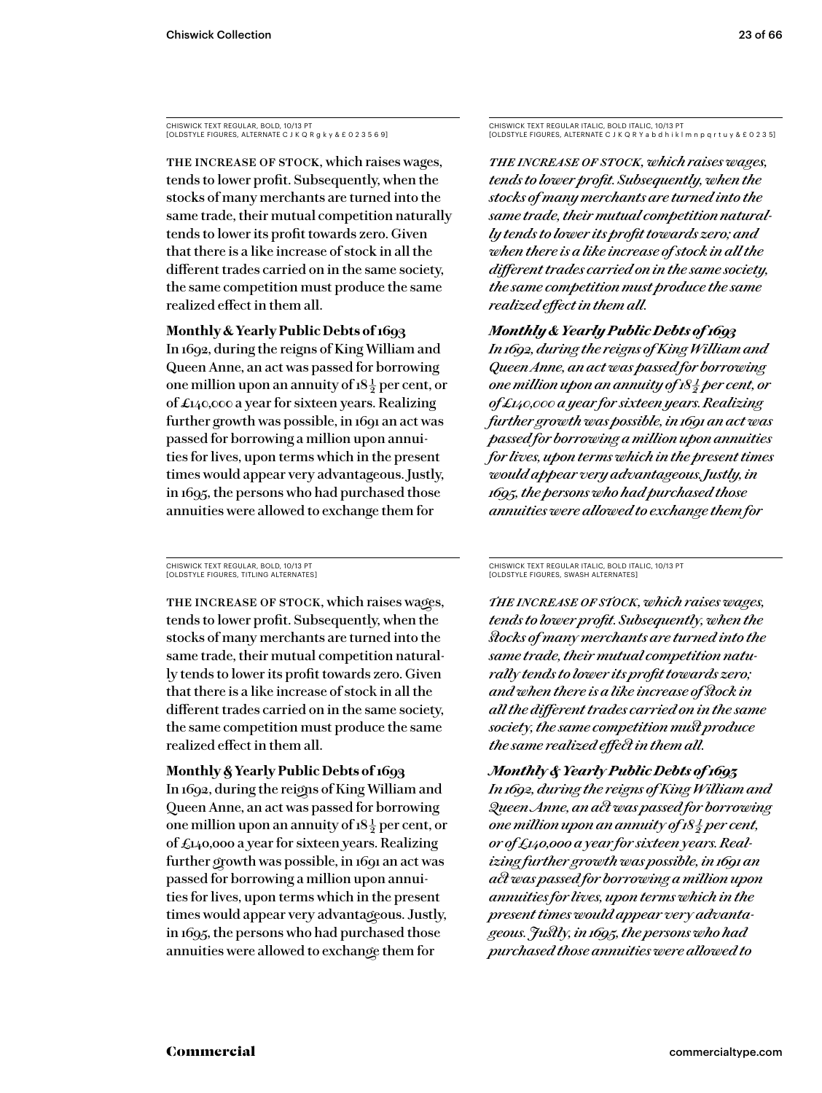CHISWICK TEXT REGULAR, BOLD, 10/13 PT [OLDSTYLE FIGURES, ALTERNATE C J K Q R g k y & £ 0 2 3 5 6 9]

The increase of stock, which raises wages, tends to lower profit. Subsequently, when the stocks of many merchants are turned into the same trade, their mutual competition naturally tends to lower its profit towards zero. Given that there is a like increase of stock in all the different trades carried on in the same society, the same competition must produce the same realized effect in them all.

### **Monthly & Yearly Public Debts of 1693**

In 1692, during the reigns of King William and Queen Anne, an act was passed for borrowing one million upon an annuity of  $18\frac{1}{2}$  per cent, or of £140,000 a year for sixteen years. Realizing further growth was possible, in 1691 an act was passed for borrowing a million upon annuities for lives, upon terms which in the present times would appear very advantageous. Justly, in 1695, the persons who had purchased those annuities were allowed to exchange them for

CHISWICK TEXT REGULAR, BOLD, 10/13 PT [OLDSTYLE FIGURES, TITLING ALTERNATES]

THE INCREASE OF STOCK, which raises wages, tends to lower profit. Subsequently, when the stocks of many merchants are turned into the same trade, their mutual competition naturally tends to lower its profit towards zero. Given that there is a like increase of stock in all the different trades carried on in the same society, the same competition must produce the same realized effect in them all.

**Monthly & Yearly Public Debts of 1693** In 1692, during the reigns of King William and Queen Anne, an act was passed for borrowing one million upon an annuity of  $18\frac{1}{2}$  per cent, or of £140,000 a year for sixteen years. Realizing further growth was possible, in 1691 an act was passed for borrowing a million upon annuities for lives, upon terms which in the present times would appear very advantageous. Justly, in 1695, the persons who had purchased those annuities were allowed to exchange them for

CHISWICK TEXT REGULAR ITALIC, BOLD ITALIC, 10/13 PT [OLDSTYLE FIGURES, ALTERNATE C J K Q R Y a b d h i k l m n p q r t u y & £ 0 2 3 5]

*The increase of stock, which raises wages, tends to lower profit. Subsequently, when the stocks of many merchants are turned into the same trade, their mutual competition naturally tends to lower its profit towards zero; and when there is a like increase of stock in all the different trades carried on in the same society, the same competition must produce the same realized effect in them all.*

### *Monthly & Yearly Public Debts of 1693*

*In 1692, during the reigns of King William and Queen Anne, an act was passed for borrowing one million upon an annuity of 18 1/2 per cent, or of £140,000 a year for sixteen years. Realizing further growth was possible, in 1691 an act was passed for borrowing a million upon annuities for lives, upon terms which in the present times would appear very advantageous. Justly, in 1695, the persons who had purchased those annuities were allowed to exchange them for* 

CHISWICK TEXT REGULAR ITALIC, BOLD ITALIC, 10/13 PT [OLDSTYLE FIGURES, SWASH ALTERNATES]

*The increase of stock, which raises wages, tends to lower profit. Subsequently, when the stocks of many merchants are turned into the same trade, their mutual competition naturally tends to lower its profit towards zero; and when there is a like increase of stock in all the different trades carried on in the same society, the same competition must produce the same realized effect in them all.*

*Monthly & Yearly Public Debts of 1693 In 1692, during the reigns of King William and Queen Anne, an act was passed for borrowing one million upon an annuity of 18* $\frac{1}{2}$  *per cent, or of £140,000 a year for sixteen years. Realizing further growth was possible, in 1691 an act was passed for borrowing a million upon annuities for lives, upon terms which in the present times would appear very advantageous. Justly, in 1695, the persons who had purchased those annuities were allowed to*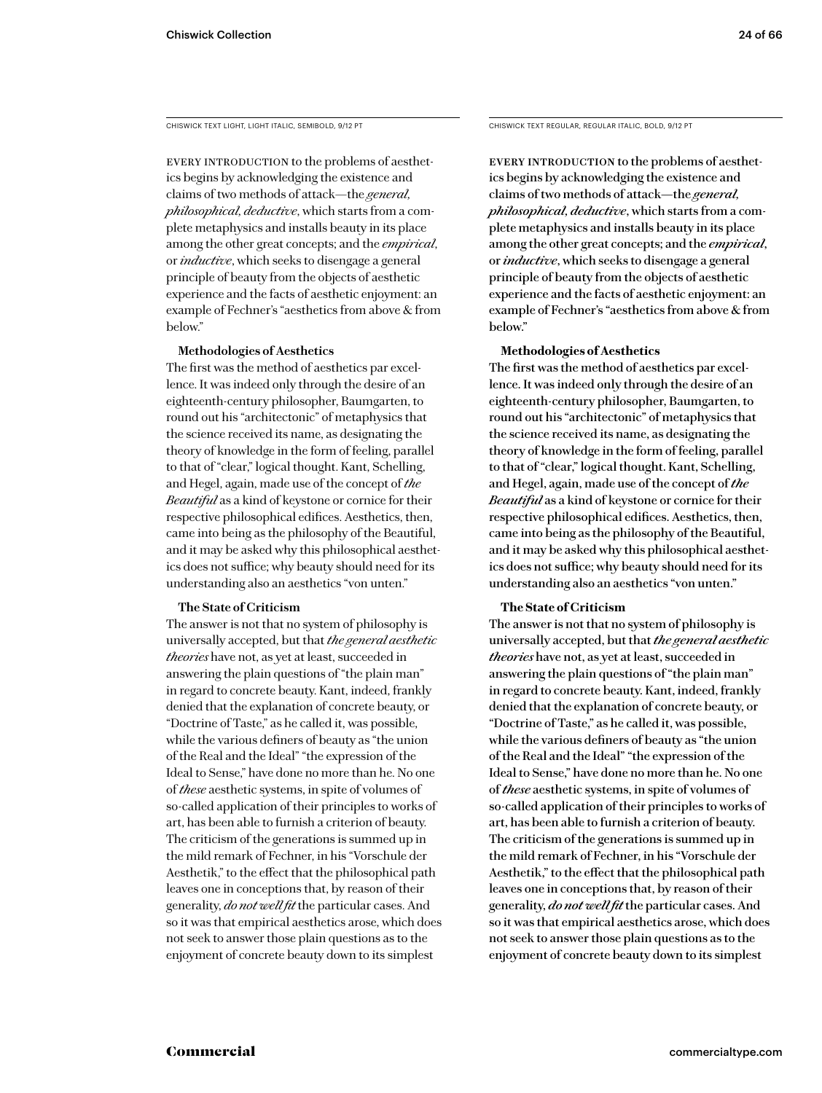CHISWICK TEXT LIGHT, LIGHT ITALIC, SEMIBOLD, 9/12 PT

EVERY INTRODUCTION to the problems of aesthetics begins by acknowledging the existence and claims of two methods of attack—the *general, philosophical, deductive*, which starts from a complete metaphysics and installs beauty in its place among the other great concepts; and the *empirical*, or *inductive*, which seeks to disengage a general principle of beauty from the objects of aesthetic experience and the facts of aesthetic enjoyment: an example of Fechner's "aesthetics from above & from below."

### **Methodologies of Aesthetics**

The first was the method of aesthetics par excellence. It was indeed only through the desire of an eighteenth-century philosopher, Baumgarten, to round out his "architectonic" of metaphysics that the science received its name, as designating the theory of knowledge in the form of feeling, parallel to that of "clear," logical thought. Kant, Schelling, and Hegel, again, made use of the concept of *the Beautiful* as a kind of keystone or cornice for their respective philosophical edifices. Aesthetics, then, came into being as the philosophy of the Beautiful, and it may be asked why this philosophical aesthetics does not suffice; why beauty should need for its understanding also an aesthetics "von unten."

### **The State of Criticism**

The answer is not that no system of philosophy is universally accepted, but that *the general aesthetic theories* have not, as yet at least, succeeded in answering the plain questions of "the plain man" in regard to concrete beauty. Kant, indeed, frankly denied that the explanation of concrete beauty, or "Doctrine of Taste," as he called it, was possible, while the various definers of beauty as "the union of the Real and the Ideal" "the expression of the Ideal to Sense," have done no more than he. No one of *these* aesthetic systems, in spite of volumes of so-called application of their principles to works of art, has been able to furnish a criterion of beauty. The criticism of the generations is summed up in the mild remark of Fechner, in his "Vorschule der Aesthetik," to the effect that the philosophical path leaves one in conceptions that, by reason of their generality, *do not well fit* the particular cases. And so it was that empirical aesthetics arose, which does not seek to answer those plain questions as to the enjoyment of concrete beauty down to its simplest

CHISWICK TEXT REGULAR, REGULAR ITALIC, BOLD, 9/12 PT

EVERY INTRODUCTION to the problems of aesthetics begins by acknowledging the existence and claims of two methods of attack—the *general, philosophical, deductive*, which starts from a complete metaphysics and installs beauty in its place among the other great concepts; and the *empirical*, or *inductive*, which seeks to disengage a general principle of beauty from the objects of aesthetic experience and the facts of aesthetic enjoyment: an example of Fechner's "aesthetics from above & from below."

### **Methodologies of Aesthetics**

The first was the method of aesthetics par excellence. It was indeed only through the desire of an eighteenth-century philosopher, Baumgarten, to round out his "architectonic" of metaphysics that the science received its name, as designating the theory of knowledge in the form of feeling, parallel to that of "clear," logical thought. Kant, Schelling, and Hegel, again, made use of the concept of *the Beautiful* as a kind of keystone or cornice for their respective philosophical edifices. Aesthetics, then, came into being as the philosophy of the Beautiful, and it may be asked why this philosophical aesthetics does not suffice; why beauty should need for its understanding also an aesthetics "von unten."

### **The State of Criticism**

The answer is not that no system of philosophy is universally accepted, but that *the general aesthetic theories* have not, as yet at least, succeeded in answering the plain questions of "the plain man" in regard to concrete beauty. Kant, indeed, frankly denied that the explanation of concrete beauty, or "Doctrine of Taste," as he called it, was possible, while the various definers of beauty as "the union of the Real and the Ideal" "the expression of the Ideal to Sense," have done no more than he. No one of *these* aesthetic systems, in spite of volumes of so-called application of their principles to works of art, has been able to furnish a criterion of beauty. The criticism of the generations is summed up in the mild remark of Fechner, in his "Vorschule der Aesthetik," to the effect that the philosophical path leaves one in conceptions that, by reason of their generality, *do not well fit* the particular cases. And so it was that empirical aesthetics arose, which does not seek to answer those plain questions as to the enjoyment of concrete beauty down to its simplest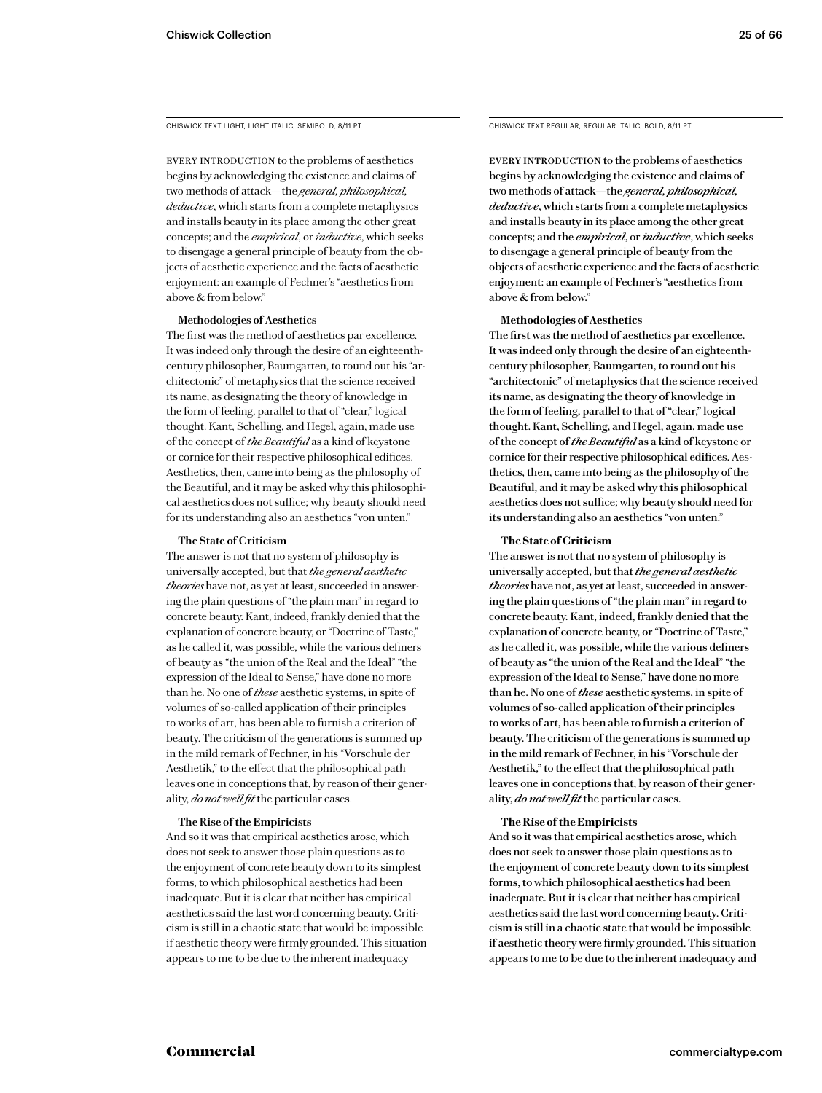CHISWICK TEXT LIGHT, LIGHT ITALIC, SEMIBOLD, 8/11 PT

EVERY INTRODUCTION to the problems of aesthetics begins by acknowledging the existence and claims of two methods of attack—the *general, philosophical, deductive*, which starts from a complete metaphysics and installs beauty in its place among the other great concepts; and the *empirical*, or *inductive*, which seeks to disengage a general principle of beauty from the objects of aesthetic experience and the facts of aesthetic enjoyment: an example of Fechner's "aesthetics from above & from below."

### **Methodologies of Aesthetics**

The first was the method of aesthetics par excellence. It was indeed only through the desire of an eighteenthcentury philosopher, Baumgarten, to round out his "architectonic" of metaphysics that the science received its name, as designating the theory of knowledge in the form of feeling, parallel to that of "clear," logical thought. Kant, Schelling, and Hegel, again, made use of the concept of *the Beautiful* as a kind of keystone or cornice for their respective philosophical edifices. Aesthetics, then, came into being as the philosophy of the Beautiful, and it may be asked why this philosophical aesthetics does not suffice; why beauty should need for its understanding also an aesthetics "von unten."

### **The State of Criticism**

The answer is not that no system of philosophy is universally accepted, but that *the general aesthetic theories* have not, as yet at least, succeeded in answering the plain questions of "the plain man" in regard to concrete beauty. Kant, indeed, frankly denied that the explanation of concrete beauty, or "Doctrine of Taste," as he called it, was possible, while the various definers of beauty as "the union of the Real and the Ideal" "the expression of the Ideal to Sense," have done no more than he. No one of *these* aesthetic systems, in spite of volumes of so-called application of their principles to works of art, has been able to furnish a criterion of beauty. The criticism of the generations is summed up in the mild remark of Fechner, in his "Vorschule der Aesthetik," to the effect that the philosophical path leaves one in conceptions that, by reason of their generality, *do not well fit* the particular cases.

### **The Rise of the Empiricists**

And so it was that empirical aesthetics arose, which does not seek to answer those plain questions as to the enjoyment of concrete beauty down to its simplest forms, to which philosophical aesthetics had been inadequate. But it is clear that neither has empirical aesthetics said the last word concerning beauty. Criticism is still in a chaotic state that would be impossible if aesthetic theory were firmly grounded. This situation appears to me to be due to the inherent inadequacy

CHISWICK TEXT REGULAR, REGULAR ITALIC, BOLD, 8/11 PT

EVERY INTRODUCTION to the problems of aesthetics begins by acknowledging the existence and claims of two methods of attack—the *general, philosophical, deductive*, which starts from a complete metaphysics and installs beauty in its place among the other great concepts; and the *empirical*, or *inductive*, which seeks to disengage a general principle of beauty from the objects of aesthetic experience and the facts of aesthetic enjoyment: an example of Fechner's "aesthetics from above & from below."

### **Methodologies of Aesthetics**

The first was the method of aesthetics par excellence. It was indeed only through the desire of an eighteenthcentury philosopher, Baumgarten, to round out his "architectonic" of metaphysics that the science received its name, as designating the theory of knowledge in the form of feeling, parallel to that of "clear," logical thought. Kant, Schelling, and Hegel, again, made use of the concept of *the Beautiful* as a kind of keystone or cornice for their respective philosophical edifices. Aesthetics, then, came into being as the philosophy of the Beautiful, and it may be asked why this philosophical aesthetics does not suffice; why beauty should need for its understanding also an aesthetics "von unten."

### **The State of Criticism**

The answer is not that no system of philosophy is universally accepted, but that *the general aesthetic theories* have not, as yet at least, succeeded in answering the plain questions of "the plain man" in regard to concrete beauty. Kant, indeed, frankly denied that the explanation of concrete beauty, or "Doctrine of Taste," as he called it, was possible, while the various definers of beauty as "the union of the Real and the Ideal" "the expression of the Ideal to Sense," have done no more than he. No one of *these* aesthetic systems, in spite of volumes of so-called application of their principles to works of art, has been able to furnish a criterion of beauty. The criticism of the generations is summed up in the mild remark of Fechner, in his "Vorschule der Aesthetik," to the effect that the philosophical path leaves one in conceptions that, by reason of their generality, *do not well fit* the particular cases.

### **The Rise of the Empiricists**

And so it was that empirical aesthetics arose, which does not seek to answer those plain questions as to the enjoyment of concrete beauty down to its simplest forms, to which philosophical aesthetics had been inadequate. But it is clear that neither has empirical aesthetics said the last word concerning beauty. Criticism is still in a chaotic state that would be impossible if aesthetic theory were firmly grounded. This situation appears to me to be due to the inherent inadequacy and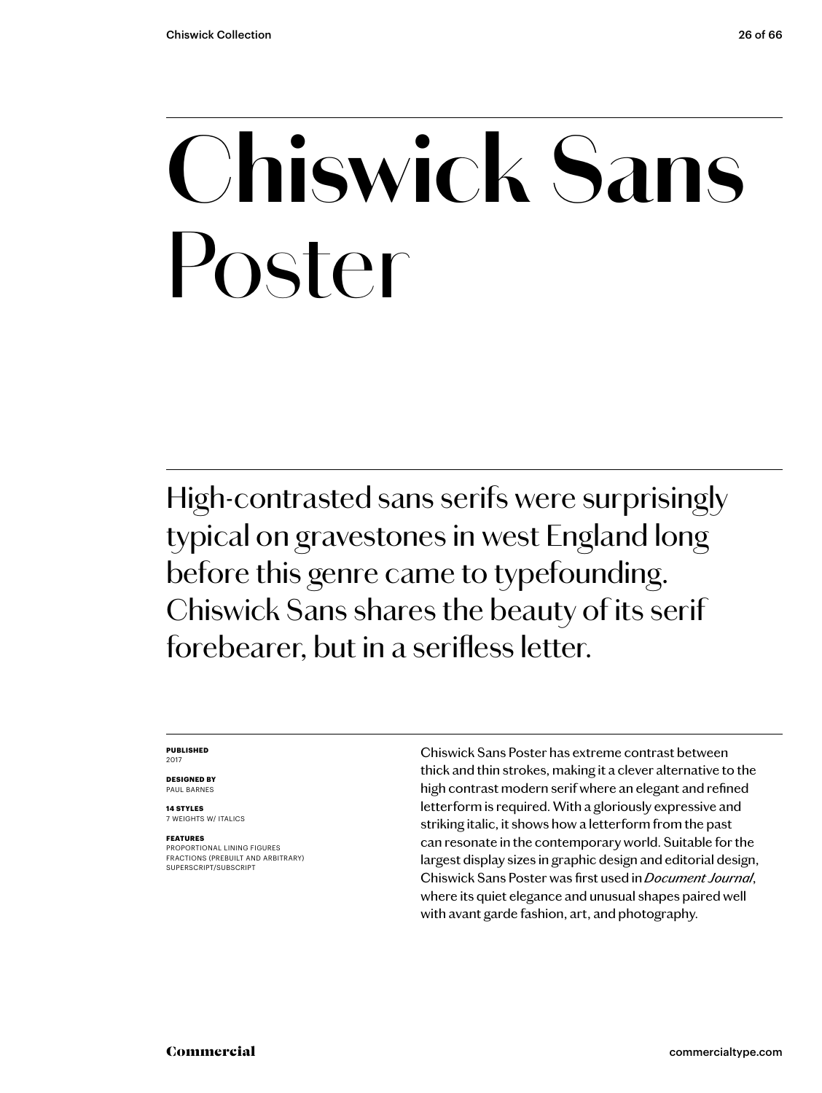## **Chiswick Sans** Poster

High-contrasted sans serifs were surprisingly typical on gravestones in west England long before this genre came to typefounding. Chiswick Sans shares the beauty of its serif forebearer, but in a serifless letter.

### **PUBLISHED** 2017

**DESIGNED BY** PAUL BARNES

**14 STYLES** 7 WEIGHTS W/ ITALICS

### **FEATURES**

PROPORTIONAL LINING FIGURES FRACTIONS (PREBUILT AND ARBITRARY) SUPERSCRIPT/SUBSCRIPT

Chiswick Sans Poster has extreme contrast between thick and thin strokes, making it a clever alternative to the high contrast modern serif where an elegant and refined letterform is required. With a gloriously expressive and striking italic, it shows how a letterform from the past can resonate in the contemporary world. Suitable for the largest display sizes in graphic design and editorial design, Chiswick Sans Poster was first used in *Document Journal*, where its quiet elegance and unusual shapes paired well with avant garde fashion, art, and photography.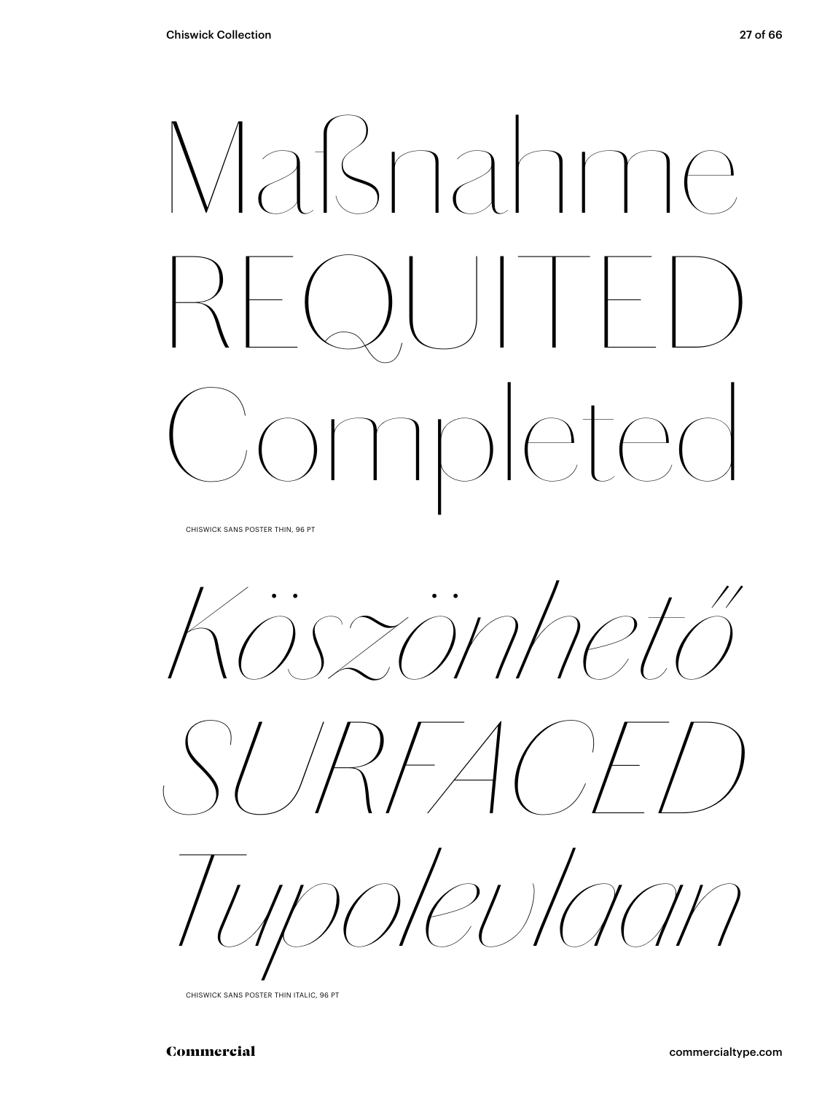

CHISWICK SANS POSTER THIN, 96 PT

*Köszönhető* 





CHISWICK SANS POSTER THIN ITALIC, 96 PT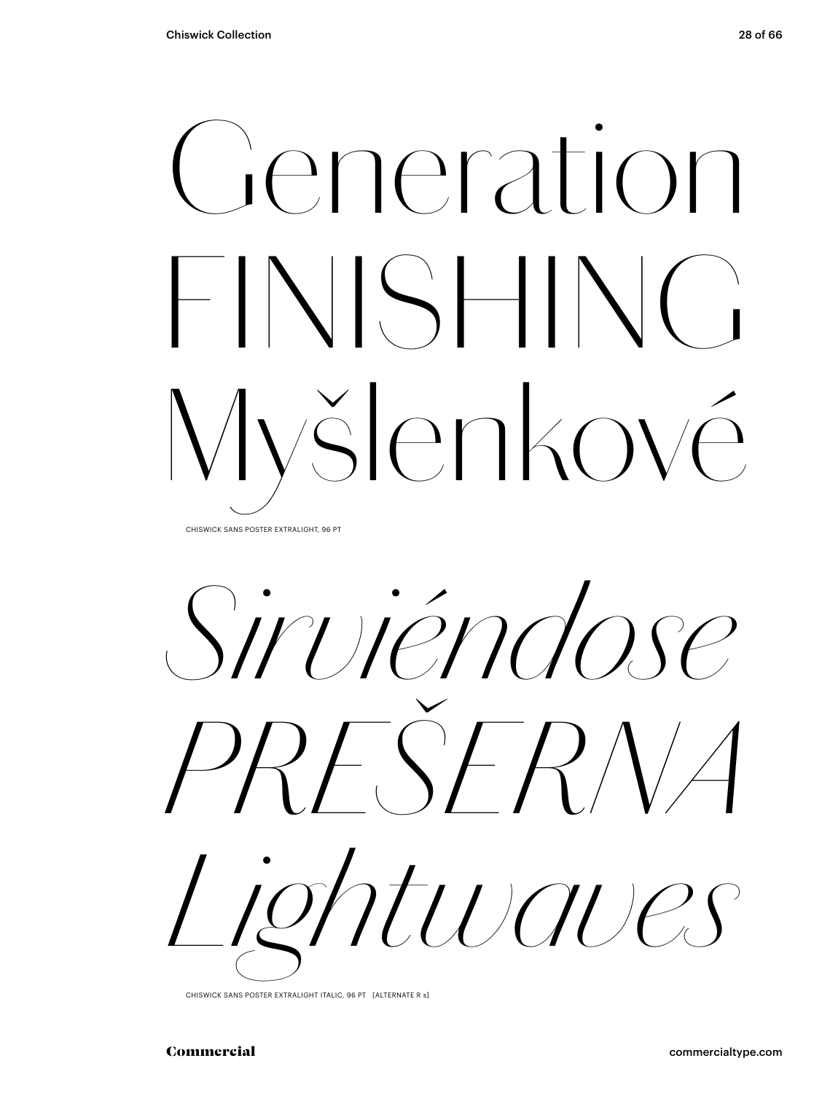## Generation FINISHING Myšlenkové CHISWICK SANS POSTER EXTRALIGHT, 96 PT



CHISWICK SANS POSTER EXTRALIGHT ITALIC, 96 PT [ALTERNATE R s]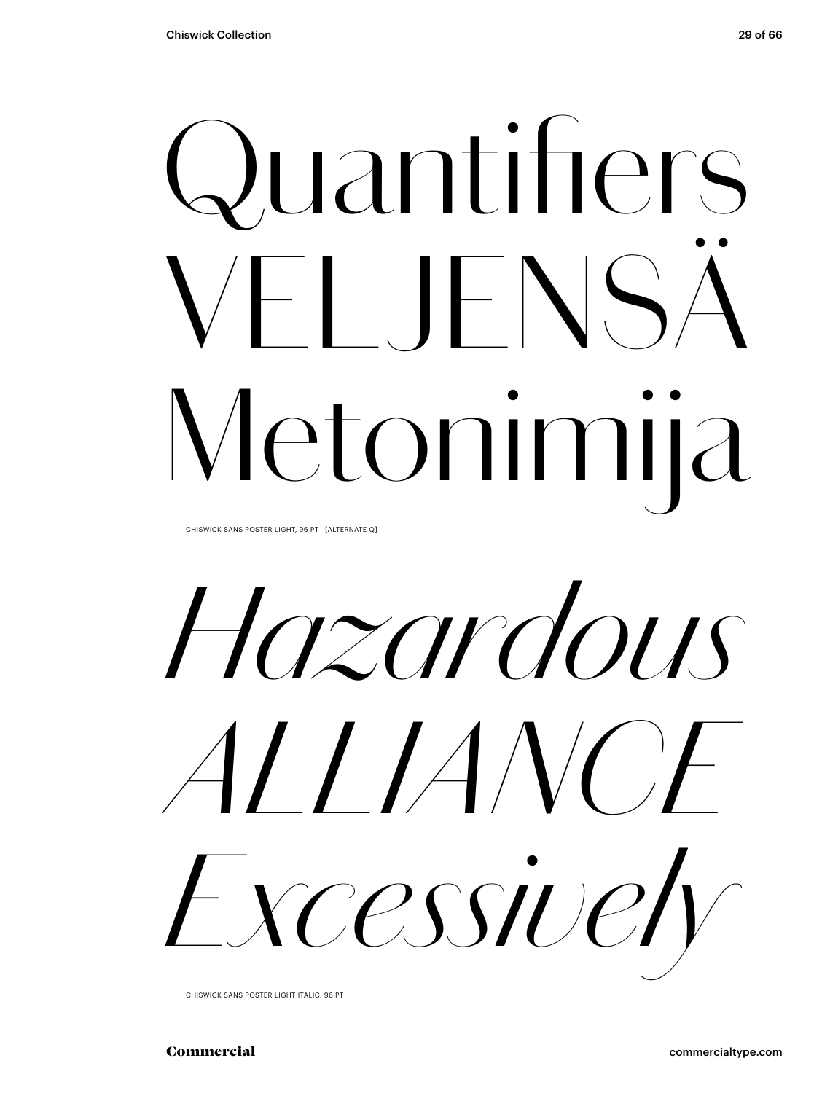# Quantifiers VELJENSÄ

CHISWICK SANS POSTER LIGHT, 96 PT [ALTERNATE Q]

*Hazardous ALLIANCE Excessively*

Metonimija

CHISWICK SANS POSTER LIGHT ITALIC, 96 PT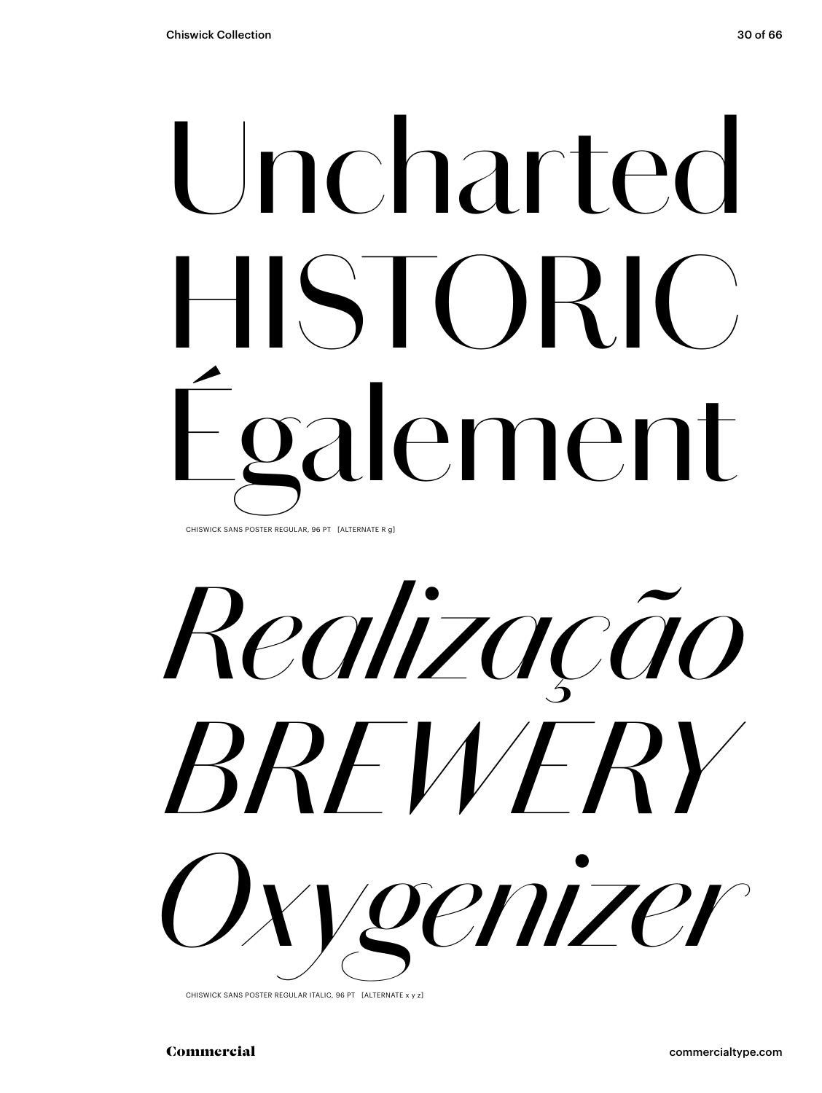## Uncharted HISTORIC) galement CHISWICK SANS POSTER REGULAR, 96 PT [ALTERNATE R g]

*Realização BREWERY Oxygenizer*

CHISWICK SANS POSTER REGULAR ITALIC, 96 PT [ALTERNATE x y z]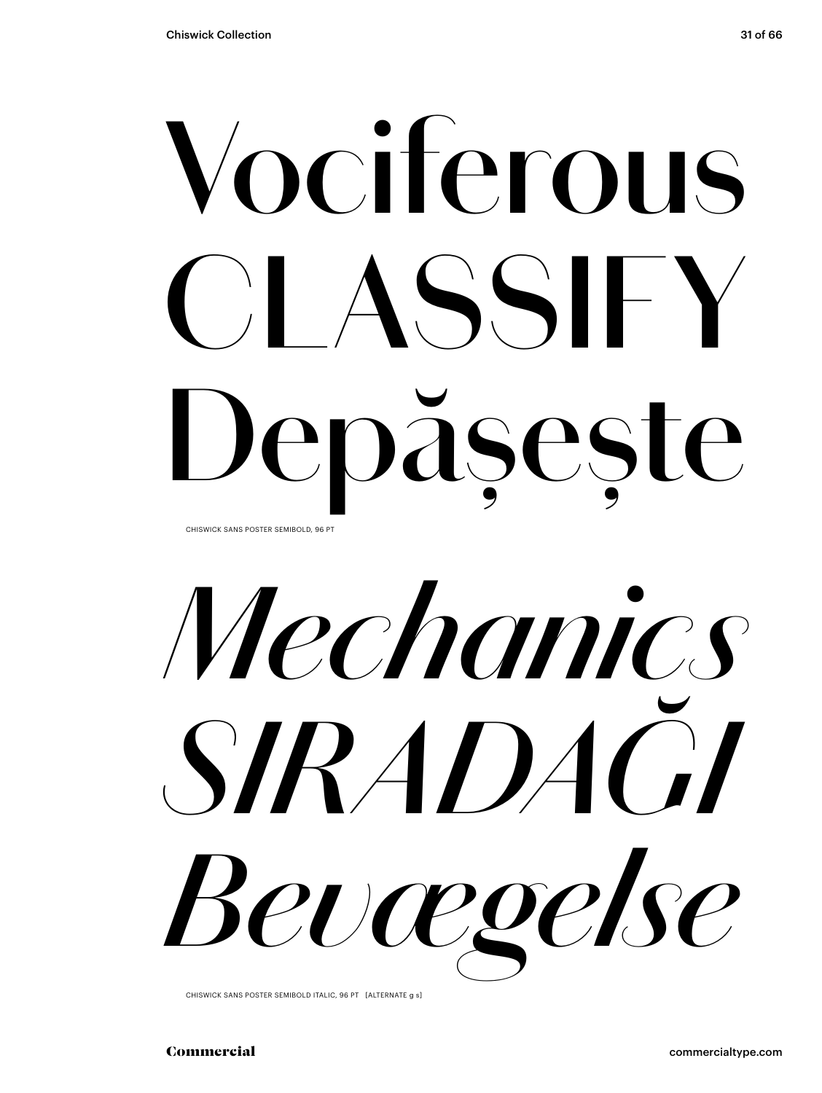# **Vociferous CLASSIFY Depășește**

CHISWICK SANS POSTER SEMIBOLD, 96 PT

*Mechanics SIRADAĞI Bevægelse*

CHISWICK SANS POSTER SEMIBOLD ITALIC, 96 PT [ALTERNATE g s]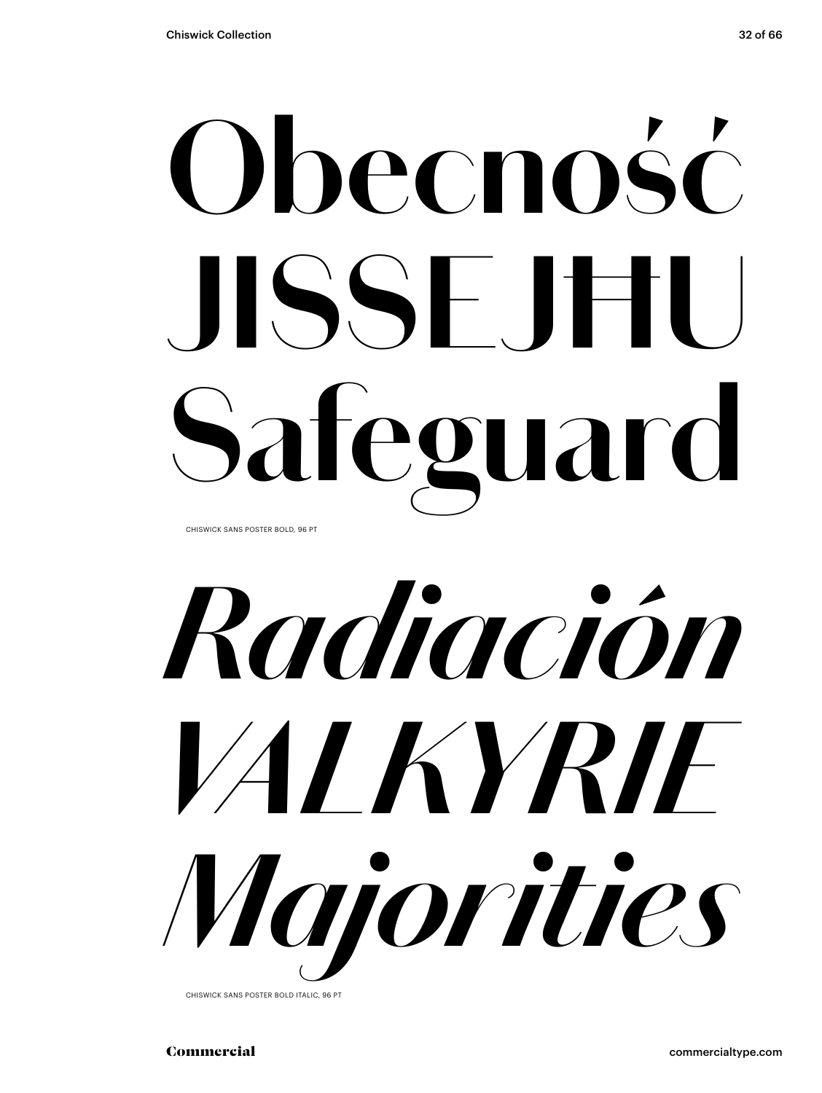## **Obecność JISSEJĦU Safeguard** CHISWICK SANS POSTER BOLD, 96 PT



CHISWICK SANS POSTER BOLD ITALIC, 96 PT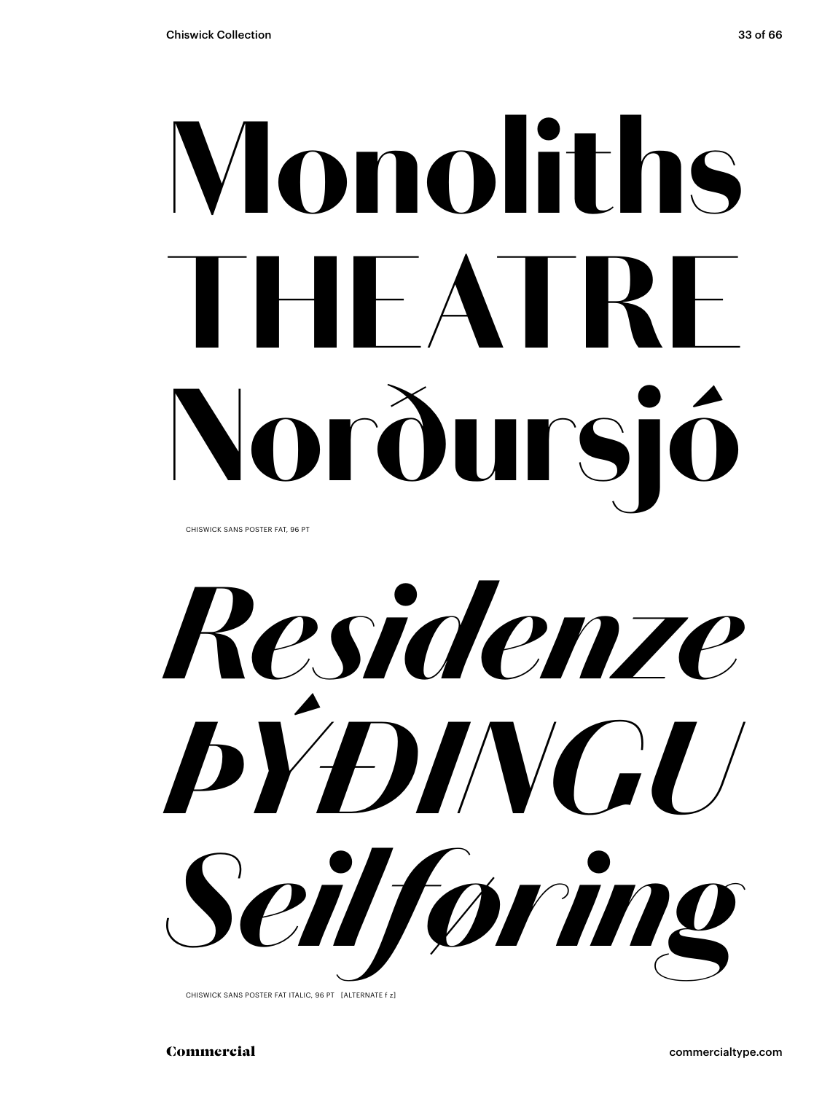# Monoliths THEATRE Norðursió

CHISWICK SANS POSTER FAT, 96 PT

*Residenze ÞÝÐINGU Seilføring*

CHISWICK SANS POSTER FAT ITALIC, 96 PT [ALTERNATE f z]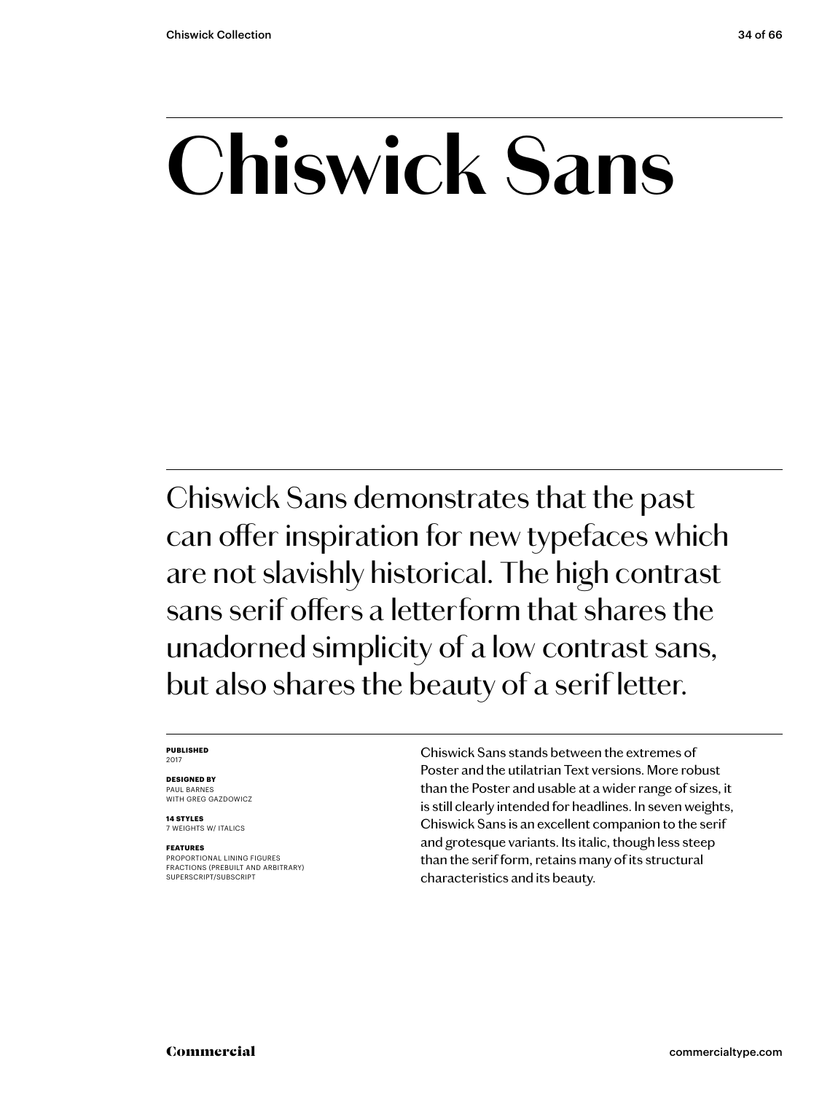### **Chiswick Sans**

Chiswick Sans demonstrates that the past can offer inspiration for new typefaces which are not slavishly historical. The high contrast sans serif offers a letterform that shares the unadorned simplicity of a low contrast sans, but also shares the beauty of a serif letter.

### **PUBLISHED** 2017

### **DESIGNED BY** PAUL BARNES

WITH GREG GAZDOWICZ

**14 STYLES** 7 WEIGHTS W/ ITALICS

### **FEATURES**

PROPORTIONAL LINING FIGURES FRACTIONS (PREBUILT AND ARBITRARY) SUPERSCRIPT/SUBSCRIPT

Chiswick Sans stands between the extremes of Poster and the utilatrian Text versions. More robust than the Poster and usable at a wider range of sizes, it is still clearly intended for headlines. In seven weights, Chiswick Sans is an excellent companion to the serif and grotesque variants. Its italic, though less steep than the serif form, retains many of its structural characteristics and its beauty.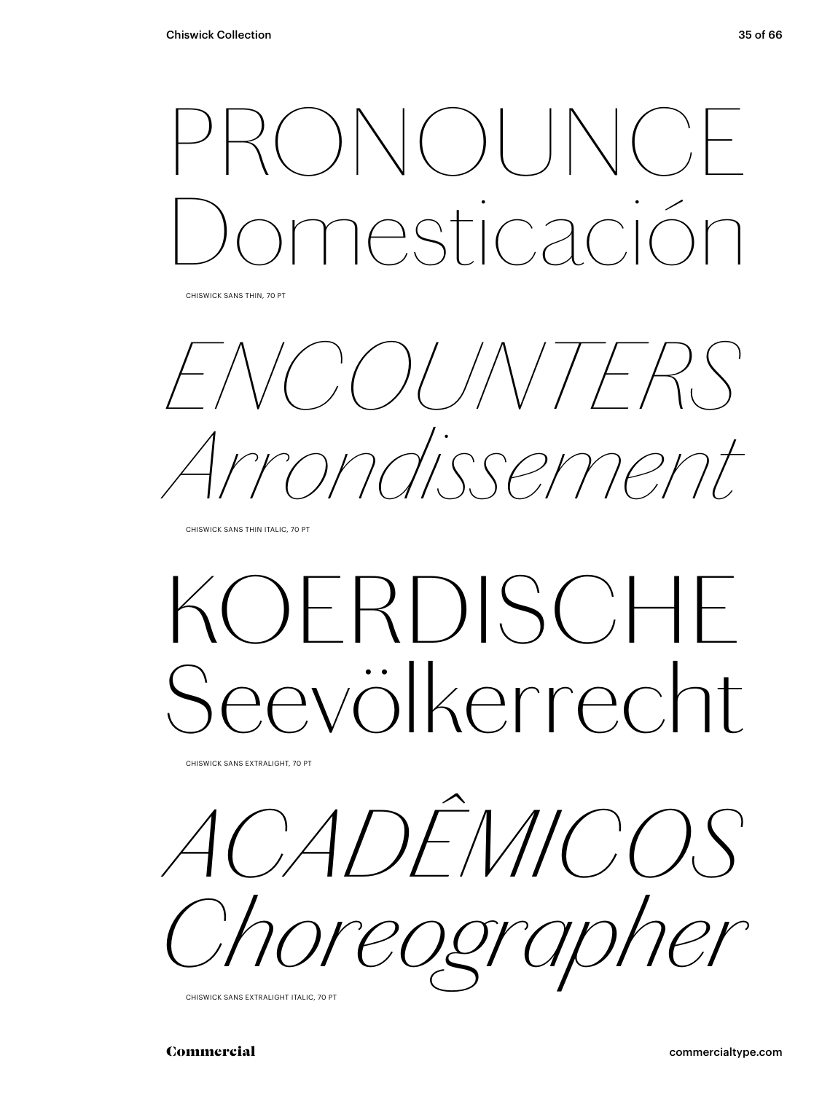### $\setminus$  | ( ) | Domesticación

CHISWICK SANS THIN, 70 PT

*ENCOUNTERS Arrondissement*

CHISWICK SANS THIN ITALIC, 70 PT

### *KOERDISCHE Seevölkerrecht*

CHISWICK SANS EXTRALIGHT, 70 PT

*ACADÊMICOS Choreographer*

CHISWICK SANS EXTRALIGHT ITALIC, 70 PT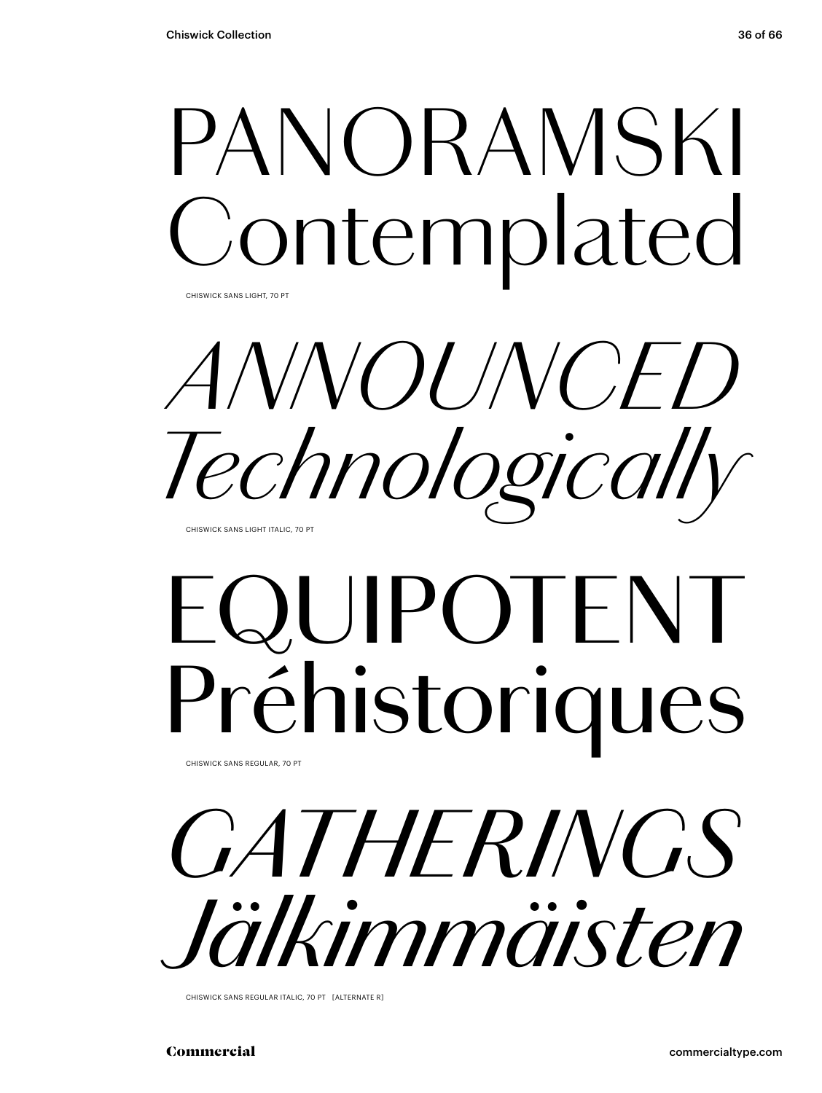## PANORAMSKI ontemplated

CHISWICK SANS LIGHT, 70 PT

*ANNOUNCED Technologically*

### CHISWICK SANS LIGHT ITALIC, 70 PT

## EQUIPOTENT Préhistoriques

CHISWICK SANS REGULAR, 70 PT

*GATHERINGS Jälkimmäisten*

CHISWICK SANS REGULAR ITALIC, 70 PT [ALTERNATE R]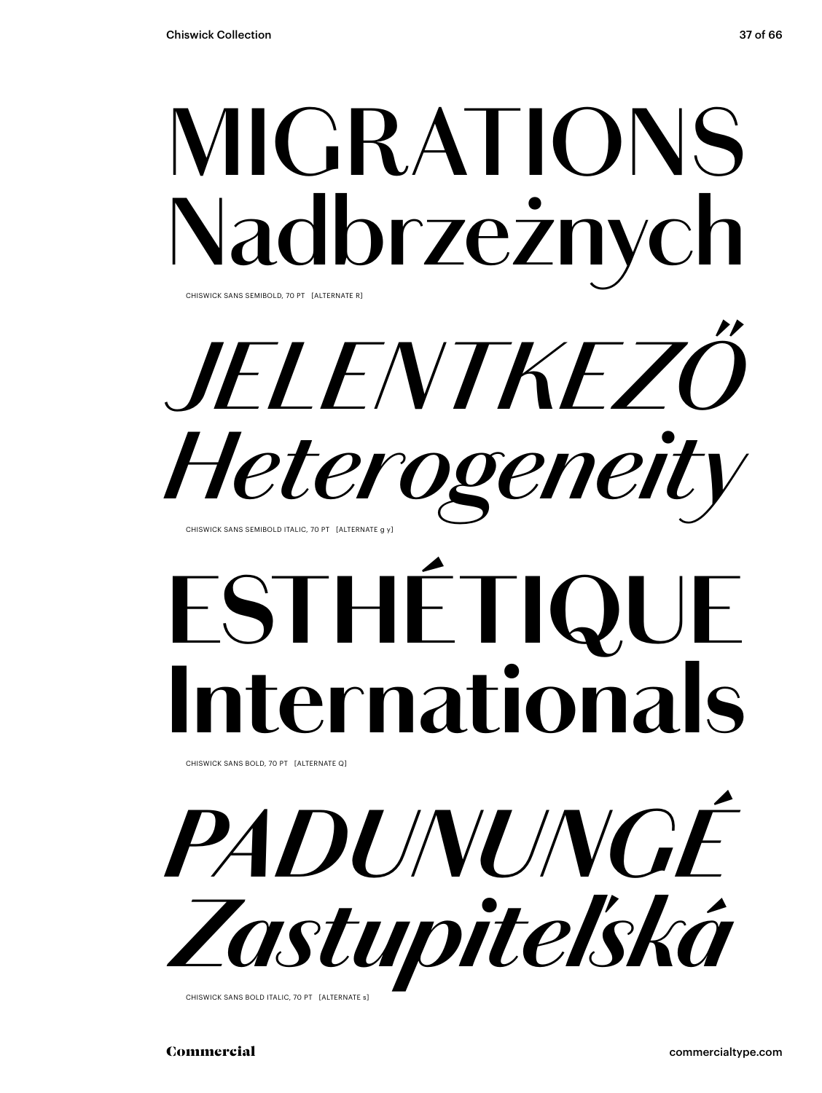### **MIGRATIONS** Nadbrzeżnych CHISWICK SANS SEMIBOLD, 70 PT [ALTERNATE R]

*JELENTKEZŐ Heterogeneit* CHISWICK SANS SEMIBOLD ITALIC, 70 PT [ALTERNATE g y]

## **ESTHÉTI Iernationals**

CHISWICK SANS BOLD, 70 PT [ALTERNATE Q]



CHISWICK SANS BOLD ITALIC, 70 PT [ALTERNATE s]

Commercial commercialtype.com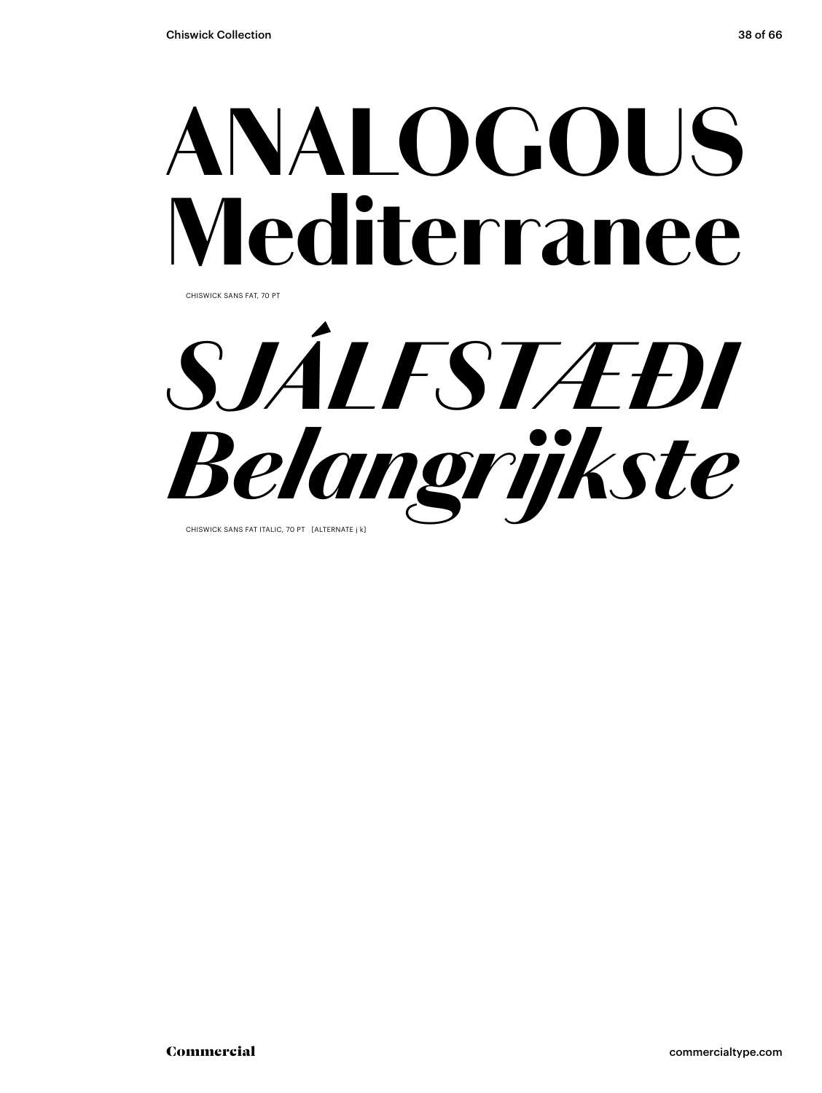## ANALOGOUS Mediterranee

CHISWICK SANS FAT, 70 PT

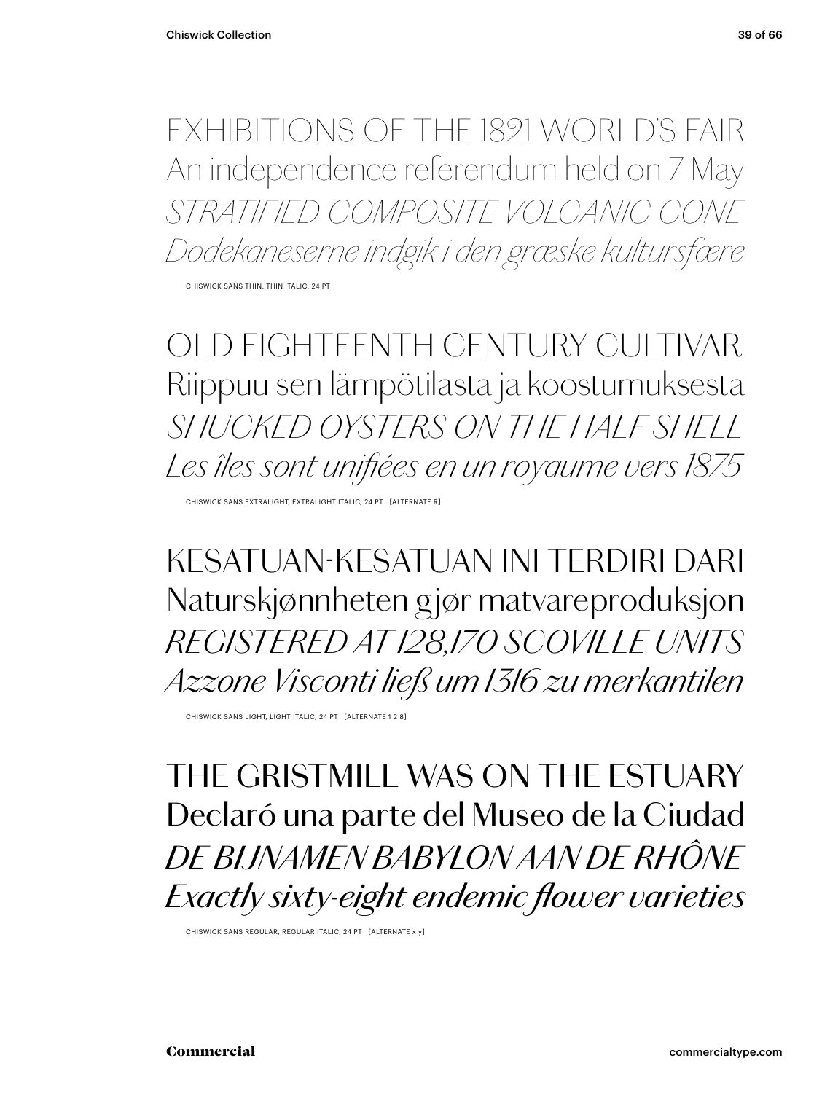EXHIBITIONS OF THE 1821 WORLD'S FAIR An independence referendum held on 7 May *STRATIFIED COMPOSITE VOLCANIC CONE Dodekaneserne indgik i den græske kultursfære*

CHISWICK SANS THIN, THIN ITALIC, 24 PT

*OLD EIGHTEENTH CENTURY CULTIVAR Riippuu sen lämpötilasta ja koostumuksesta SHUCKED OYSTERS ON THE HALF SHELL Les îles sont unifiées en un royaume vers 1875*

CHISWICK SANS EXTRALIGHT, EXTRALIGHT ITALIC, 24 PT [ALTERNATE R]

KESATUAN-KESATUAN INI TERDIRI DARI Naturskjønnheten gjør matvareproduksjon *REGISTERED AT 128,170 SCOVILLE UNITS Azzone Visconti ließ um 1316 zu merkantilen*

CHISWICK SANS LIGHT, LIGHT ITALIC, 24 PT [ALTERNATE 1 2 8]

THE GRISTMILL WAS ON THE ESTUARY Declaró una parte del Museo de la Ciudad *DE BIJNAMEN BABYLON AAN DE RHÔNE Exactly sixty-eight endemic flower varieties*

CHISWICK SANS REGULAR, REGULAR ITALIC, 24 PT [ALTERNATE x y]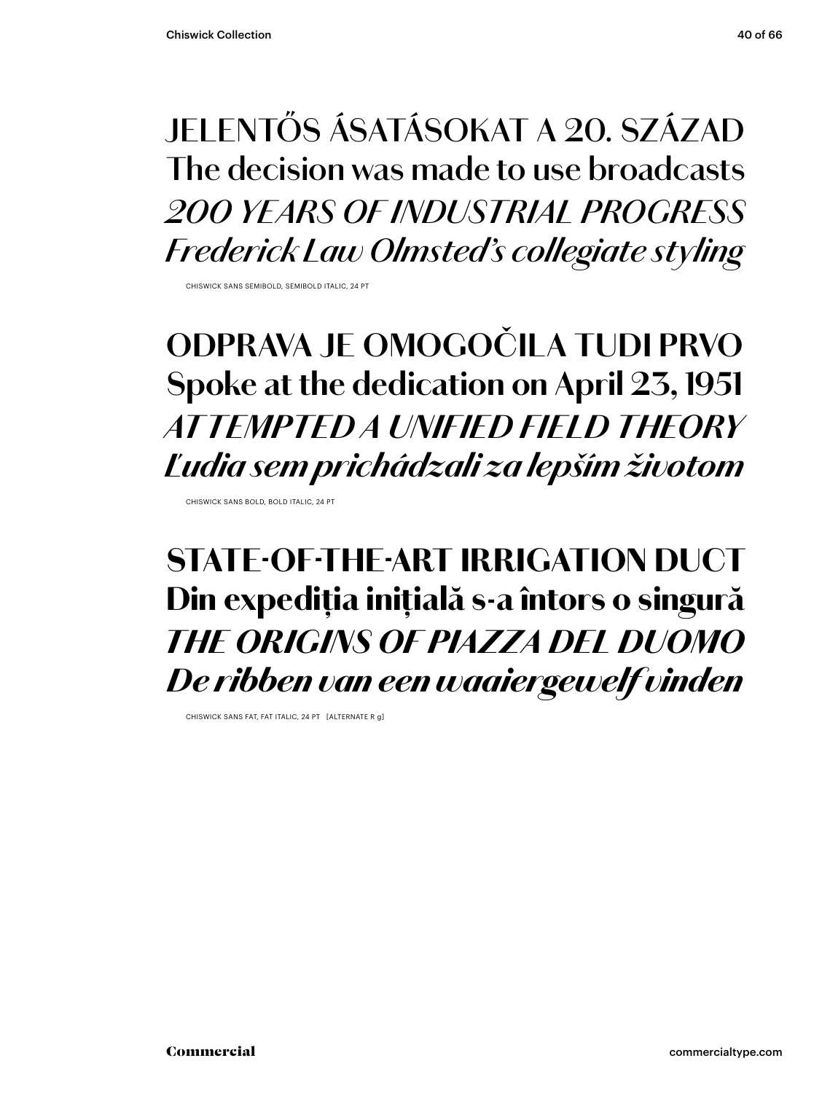### **JELENTŐS ÁSATÁSOKAT A 20. SZÁZAD The decision was made to use broadcasts** *200 YEARS OF INDUSTRIAL PROGRESS Frederick Law Olmsted's collegiate styling*

CHISWICK SANS SEMIBOLD, SEMIBOLD ITALIC, 24 PT

### **ODPRAVA JE OMOGOČILA TUDI PRVO Spoke at the dedication on April 23, 1951** *AT TEMPTED A UNIFIED FIELD THEORY Ľudia sem prichádzali za lepším životom*

CHISWICK SANS BOLD, BOLD ITALIC, 24 PT

### STATE-OF-THE-ART IRRIGATION DUCT Din expediția inițială s-a întors o singură *THE ORIGINS OF PIAZZA DEL DUOMO De ribben van een waaiergewelf vinden*

CHISWICK SANS FAT, FAT ITALIC, 24 PT [ALTERNATE R g]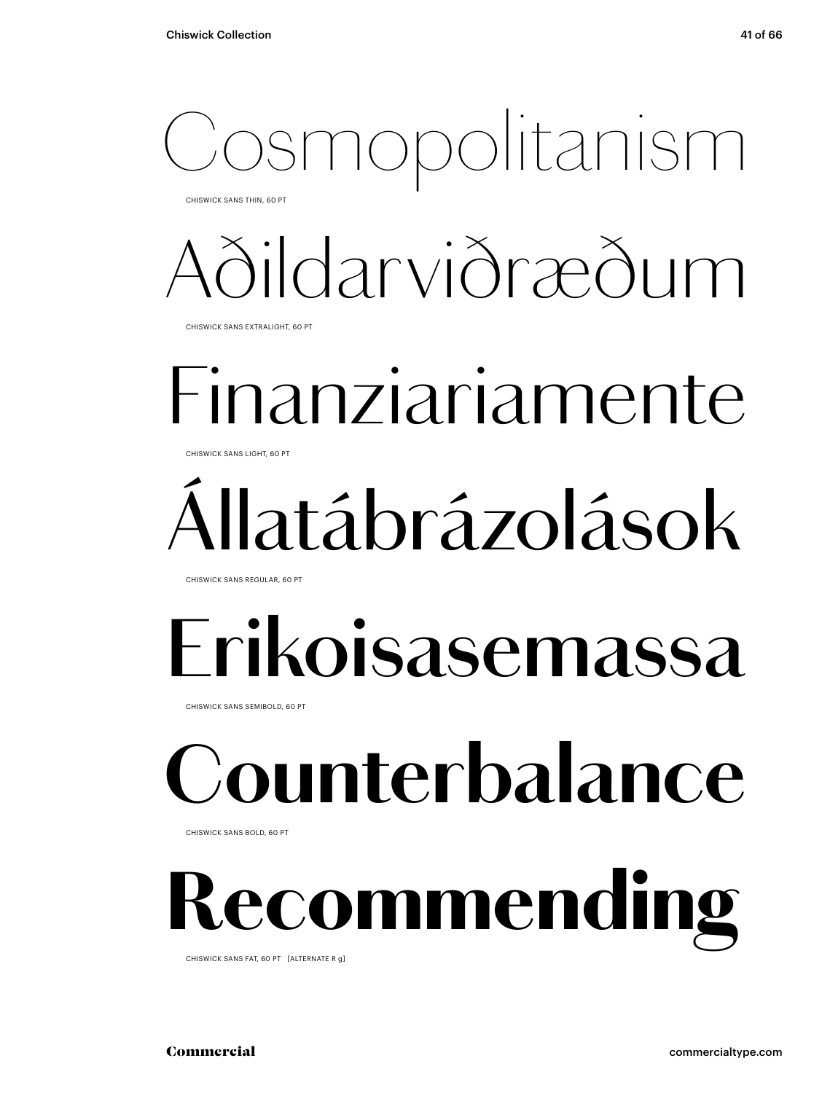CHISWICK SANS THIN, 60 PT

### *Aðildarviðræðum*

CHISWICK SANS EXTRALIGHT, 60 PT

### Finanziariamente

CHISWICK SANS LIGHT, 60 PT

## Állatábrázolások

CHISWICK SANS REGULAR, 60 PT

### **Erikoisasemassa**

CHISWICK SANS SEMIBOLD, 60 PT

### **Counterbalance**

CHISWICK SANS BOLD, 60 PT

## *<u>ecommending</u>*

CHISWICK SANS FAT, 60 PT [ALTERNATE R g]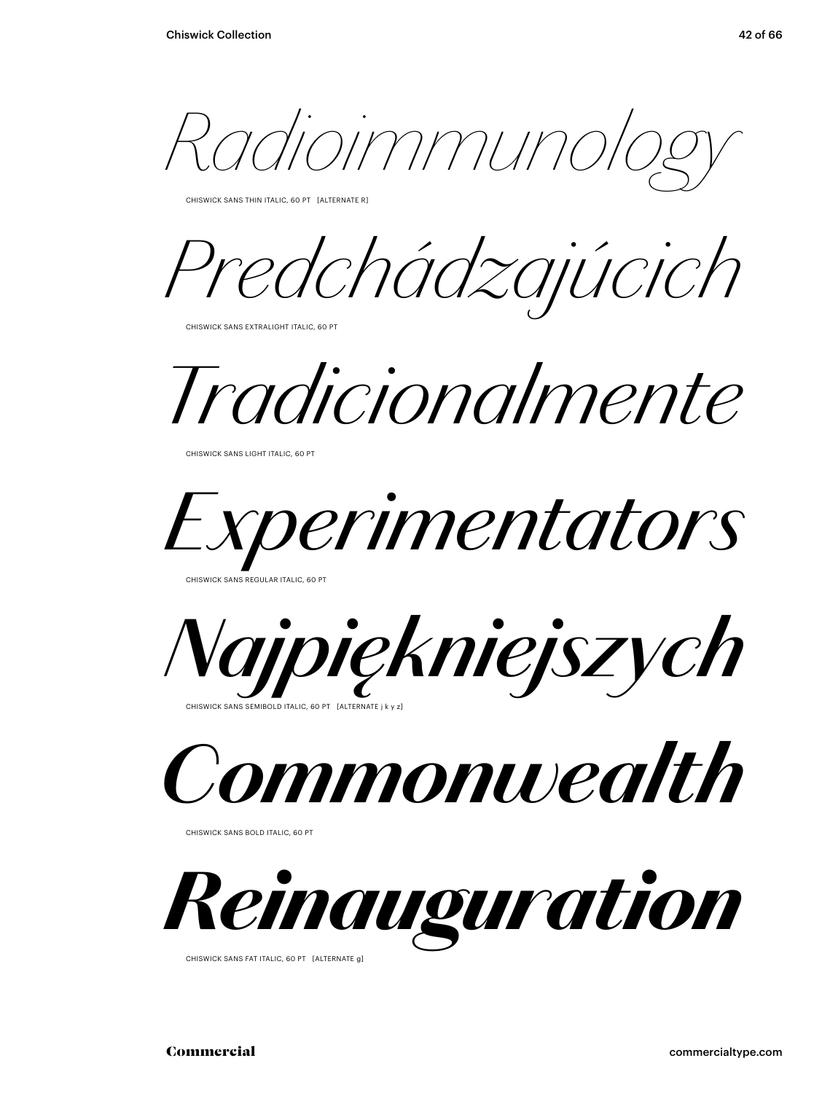*Radioimmunology*

CHISWICK SANS THIN ITALIC, 60 PT [ALTERNATE R]

*Predchádzajúcich*

CHISWICK SANS EXTRALIGHT ITALIC, 60 PT

*Tradicionalmente*

CHISWICK SANS LIGHT ITALIC, 60 PT



CHISWICK SANS REGULAR ITALIC, 60 PT



*Commonwealth*

CHISWICK SANS BOLD ITALIC, 60 PT



CHISWICK SANS FAT ITALIC, 60 PT [ALTERNATE g]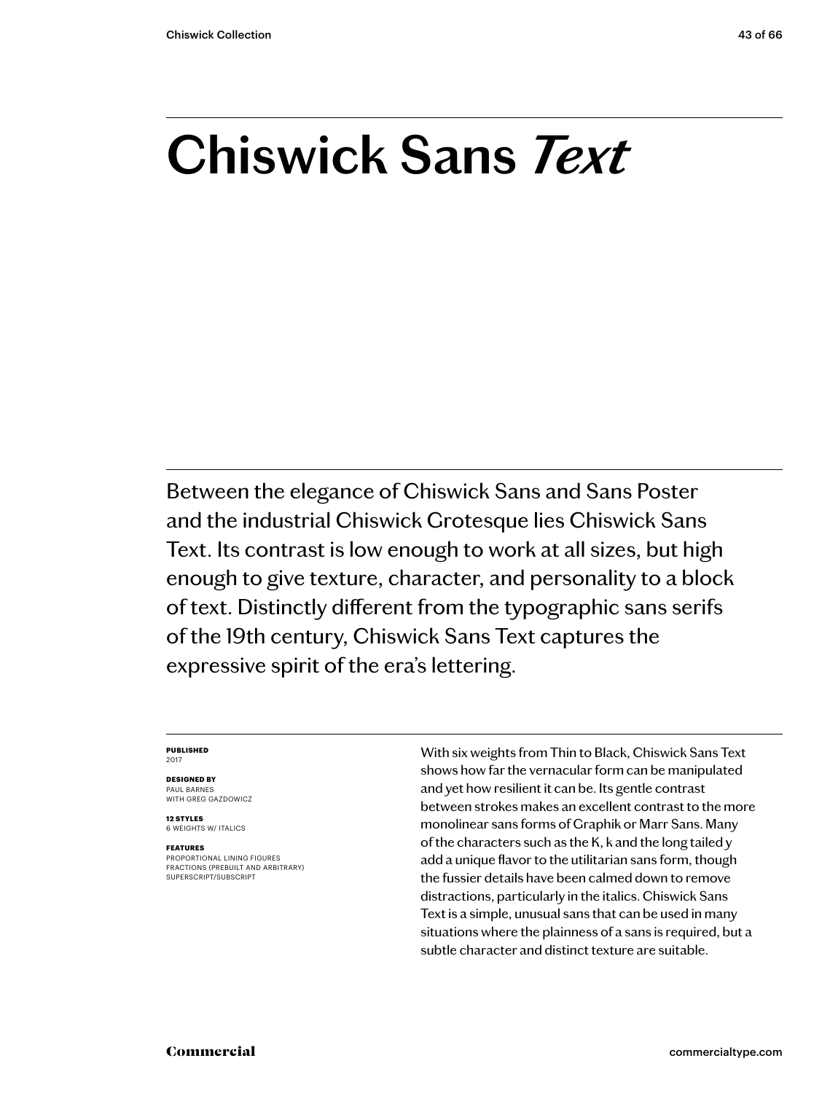### **Chiswick Sans** *Text*

Between the elegance of Chiswick Sans and Sans Poster and the industrial Chiswick Grotesque lies Chiswick Sans Text. Its contrast is low enough to work at all sizes, but high enough to give texture, character, and personality to a block of text. Distinctly different from the typographic sans serifs of the 19th century, Chiswick Sans Text captures the expressive spirit of the era's lettering.

### **PUBLISHED** 2017

### **DESIGNED BY** PAUL BARNES

WITH GREG GAZDOWICZ

**12 STYLES** 6 WEIGHTS W/ ITALICS

### **FEATURES**

PROPORTIONAL LINING FIGURES FRACTIONS (PREBUILT AND ARBITRARY) SUPERSCRIPT/SUBSCRIPT

With six weights from Thin to Black, Chiswick Sans Text shows how far the vernacular form can be manipulated and yet how resilient it can be. Its gentle contrast between strokes makes an excellent contrast to the more monolinear sans forms of Graphik or Marr Sans. Many of the characters such as the K, k and the long tailed y add a unique flavor to the utilitarian sans form, though the fussier details have been calmed down to remove distractions, particularly in the italics. Chiswick Sans Text is a simple, unusual sans that can be used in many situations where the plainness of a sans is required, but a subtle character and distinct texture are suitable.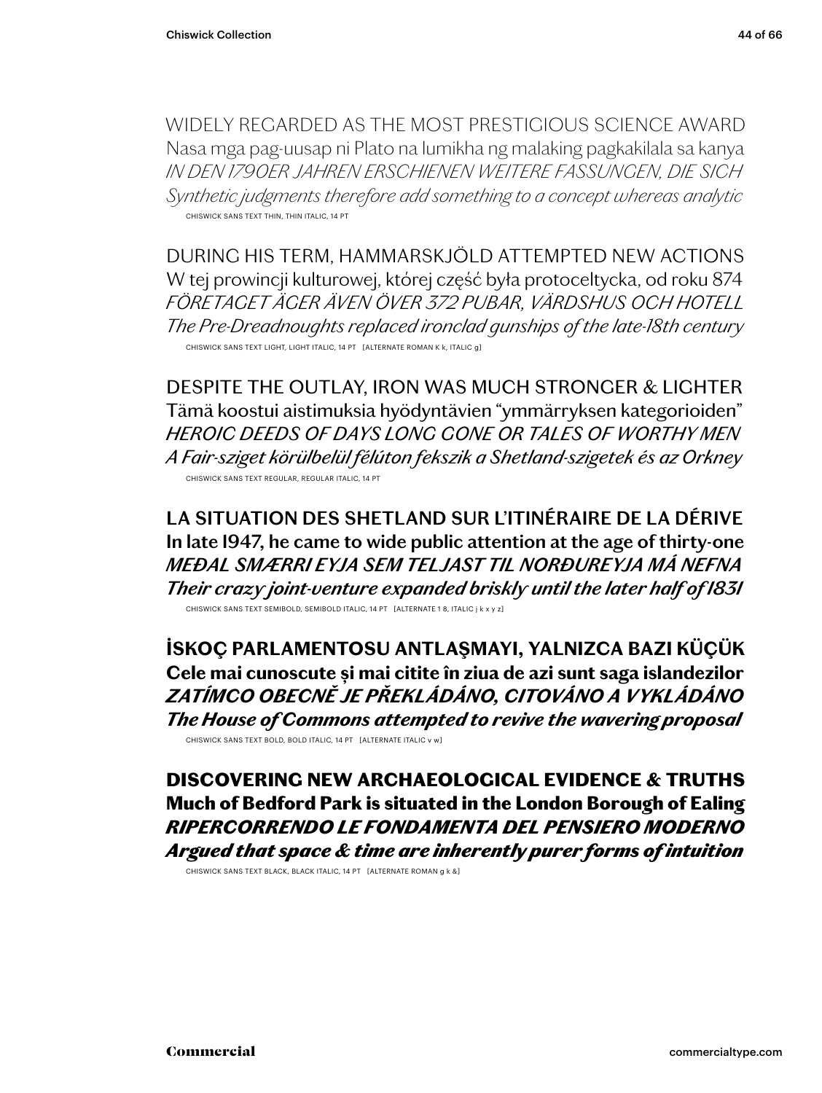WIDELY REGARDED AS THE MOST PRESTIGIOUS SCIENCE AWARD Nasa mga pag-uusap ni Plato na lumikha ng malaking pagkakilala sa kanya *IN DEN 1790ER JAHREN ERSCHIENEN WEITERE FASSUNGEN, DIE SICH Synthetic judgments therefore add something to a concept whereas analytic* CHISWICK SANS TEXT THIN, THIN ITALIC, 14 PT

DURING HIS TERM, HAMMARSKJÖLD ATTEMPTED NEW ACTIONS W tej prowincji kulturowej, której część była protoceltycka, od roku 874 *FÖRETAGET ÄGER ÄVEN ÖVER 372 PUBAR, VÄRDSHUS OCH HOTELL The Pre-Dreadnoughts replaced ironclad gunships of the late-18th century* CHISWICK SANS TEXT LIGHT, LIGHT ITALIC, 14 PT [ALTERNATE ROMAN K k, ITALIC g]

DESPITE THE OUTLAY, IRON WAS MUCH STRONGER & LIGHTER Tämä koostui aistimuksia hyödyntävien "ymmärryksen kategorioiden" *HEROIC DEEDS OF DAYS LONG GONE OR TALES OF WORTHY MEN A Fair-sziget körülbelül félúton fekszik a Shetland-szigetek és az Orkney* CHISWICK SANS TEXT REGULAR, REGULAR ITALIC, 14 PT

**LA SITUATION DES SHETLAND SUR L'ITINÉRAIRE DE LA DÉRIVE In late 1947, he came to wide public attention at the age of thirty-one** *MEÐAL SMÆRRI EYJA SEM TELJAST TIL NORÐUREYJA MÁ NEFNA Their crazy joint-venture expanded briskly until the later half of 1831* CHISWICK SANS TEXT SEMIBOLD, SEMIBOLD ITALIC, 14 PT [ALTERNATE 1 8, ITALIC j k x y z]

**İSKOÇ PARLAMENTOSU ANTLAŞMAYI, YALNIZCA BAZI KÜÇÜK Cele mai cunoscute și mai citite în ziua de azi sunt saga islandezilor** *ZATÍMCO OBECNĚ JE PŘEKLÁDÁNO, CITOVÁNO A VYKLÁDÁNO The House of Commons attempted to revive the wavering proposal* CHISWICK SANS TEXT BOLD, BOLD ITALIC, 14 PT [ALTERNATE ITALIC v w]

DISCOVERING NEW ARCHAEOLOGICAL EVIDENCE & TRUTHS Much of Bedford Park is situated in the London Borough of Ealing *RIPERCORRENDO LE FONDAMENTA DEL PENSIERO MODERNO Argued that space & time are inherently purer forms of intuition*

CHISWICK SANS TEXT BLACK, BLACK ITALIC, 14 PT [ALTERNATE ROMAN g k &]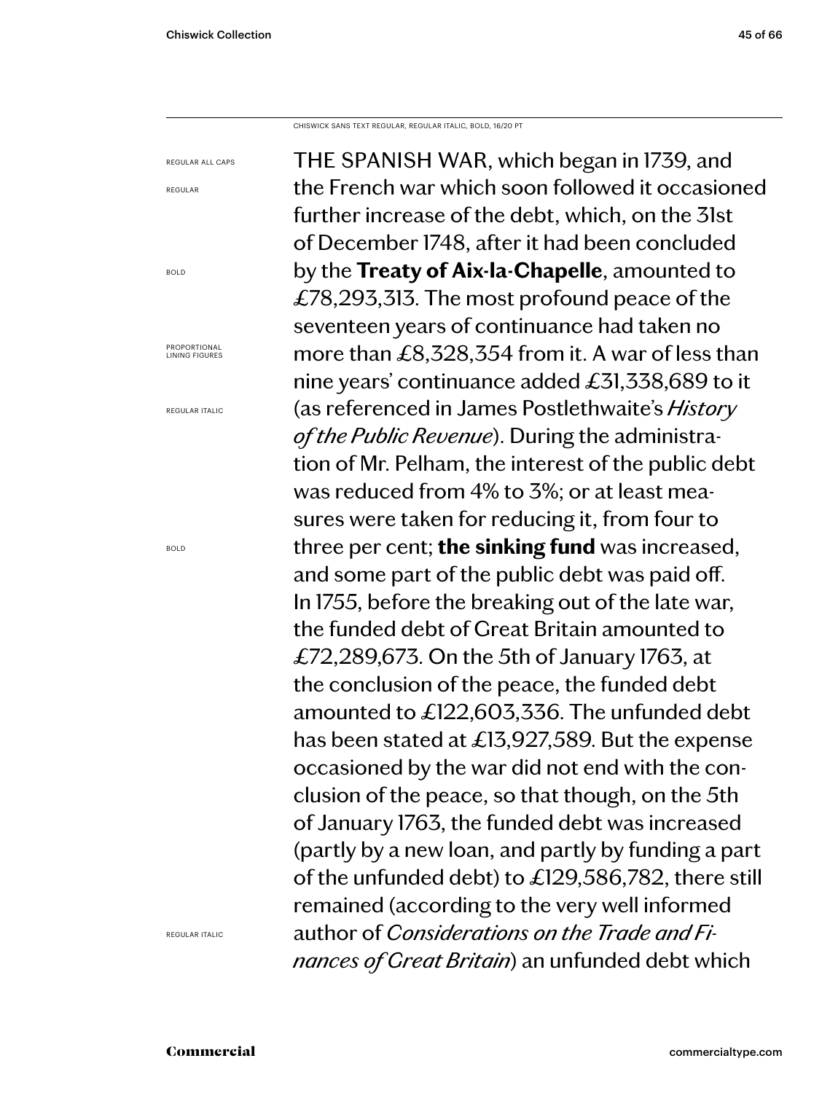REGULAR ALL CAPS

REGULAR

BOLD

PROPORTIONAL LINING FIGURES

REGULAR ITALIC

BOLD

CHISWICK SANS TEXT REGULAR, REGULAR ITALIC, BOLD, 16/20 PT

THE SPANISH WAR, which began in 1739, and the French war which soon followed it occasioned further increase of the debt, which, on the 31st of December 1748, after it had been concluded by the **Treaty of Aix-la-Chapelle**, amounted to £78,293,313. The most profound peace of the seventeen years of continuance had taken no more than £8,328,354 from it. A war of less than nine years' continuance added £31,338,689 to it (as referenced in James Postlethwaite's *History of the Public Revenue*). During the administration of Mr. Pelham, the interest of the public debt was reduced from 4% to 3%; or at least measures were taken for reducing it, from four to three per cent; **the sinking fund** was increased, and some part of the public debt was paid off. In 1755, before the breaking out of the late war, the funded debt of Great Britain amounted to £72,289,673. On the 5th of January 1763, at the conclusion of the peace, the funded debt amounted to £122,603,336. The unfunded debt has been stated at £13,927,589. But the expense occasioned by the war did not end with the conclusion of the peace, so that though, on the 5th of January 1763, the funded debt was increased (partly by a new loan, and partly by funding a part of the unfunded debt) to £129,586,782, there still remained (according to the very well informed author of *Considerations on the Trade and Finances of Great Britain*) an unfunded debt which

REGULAR ITALIC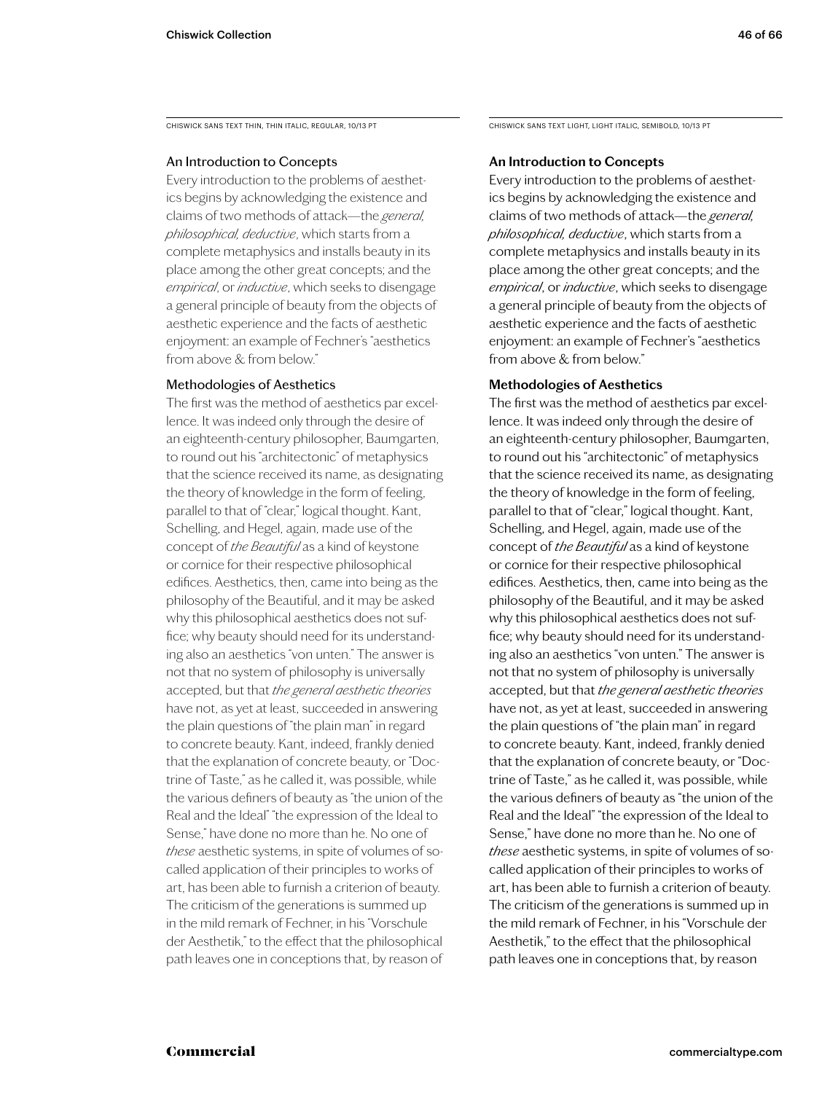CHISWICK SANS TEXT THIN, THIN ITALIC, REGULAR, 10/13 PT

### An Introduction to Concepts

Every introduction to the problems of aesthetics begins by acknowledging the existence and claims of two methods of attack—the *general, philosophical, deductive*, which starts from a complete metaphysics and installs beauty in its place among the other great concepts; and the *empirical*, or *inductive*, which seeks to disengage a general principle of beauty from the objects of aesthetic experience and the facts of aesthetic enjoyment: an example of Fechner's "aesthetics from above & from below."

### Methodologies of Aesthetics

The first was the method of aesthetics par excellence. It was indeed only through the desire of an eighteenth-century philosopher, Baumgarten, to round out his "architectonic" of metaphysics that the science received its name, as designating the theory of knowledge in the form of feeling, parallel to that of "clear," logical thought. Kant, Schelling, and Hegel, again, made use of the concept of *the Beautiful* as a kind of keystone or cornice for their respective philosophical edifices. Aesthetics, then, came into being as the philosophy of the Beautiful, and it may be asked why this philosophical aesthetics does not suffice; why beauty should need for its understanding also an aesthetics "von unten." The answer is not that no system of philosophy is universally accepted, but that *the general aesthetic theories*  have not, as yet at least, succeeded in answering the plain questions of "the plain man" in regard to concrete beauty. Kant, indeed, frankly denied that the explanation of concrete beauty, or "Doctrine of Taste," as he called it, was possible, while the various definers of beauty as "the union of the Real and the Ideal" "the expression of the Ideal to Sense," have done no more than he. No one of *these* aesthetic systems, in spite of volumes of socalled application of their principles to works of art, has been able to furnish a criterion of beauty. The criticism of the generations is summed up in the mild remark of Fechner, in his "Vorschule der Aesthetik," to the effect that the philosophical path leaves one in conceptions that, by reason of

CHISWICK SANS TEXT LIGHT, LIGHT ITALIC, SEMIBOLD, 10/13 PT

### **An Introduction to Concepts**

Every introduction to the problems of aesthetics begins by acknowledging the existence and claims of two methods of attack—the *general, philosophical, deductive*, which starts from a complete metaphysics and installs beauty in its place among the other great concepts; and the *empirical*, or *inductive*, which seeks to disengage a general principle of beauty from the objects of aesthetic experience and the facts of aesthetic enjoyment: an example of Fechner's "aesthetics from above & from below."

### **Methodologies of Aesthetics**

The first was the method of aesthetics par excellence. It was indeed only through the desire of an eighteenth-century philosopher, Baumgarten, to round out his "architectonic" of metaphysics that the science received its name, as designating the theory of knowledge in the form of feeling, parallel to that of "clear," logical thought. Kant, Schelling, and Hegel, again, made use of the concept of *the Beautiful* as a kind of keystone or cornice for their respective philosophical edifices. Aesthetics, then, came into being as the philosophy of the Beautiful, and it may be asked why this philosophical aesthetics does not suffice; why beauty should need for its understanding also an aesthetics "von unten." The answer is not that no system of philosophy is universally accepted, but that *the general aesthetic theories*  have not, as yet at least, succeeded in answering the plain questions of "the plain man" in regard to concrete beauty. Kant, indeed, frankly denied that the explanation of concrete beauty, or "Doctrine of Taste," as he called it, was possible, while the various definers of beauty as "the union of the Real and the Ideal" "the expression of the Ideal to Sense," have done no more than he. No one of *these* aesthetic systems, in spite of volumes of socalled application of their principles to works of art, has been able to furnish a criterion of beauty. The criticism of the generations is summed up in the mild remark of Fechner, in his "Vorschule der Aesthetik," to the effect that the philosophical path leaves one in conceptions that, by reason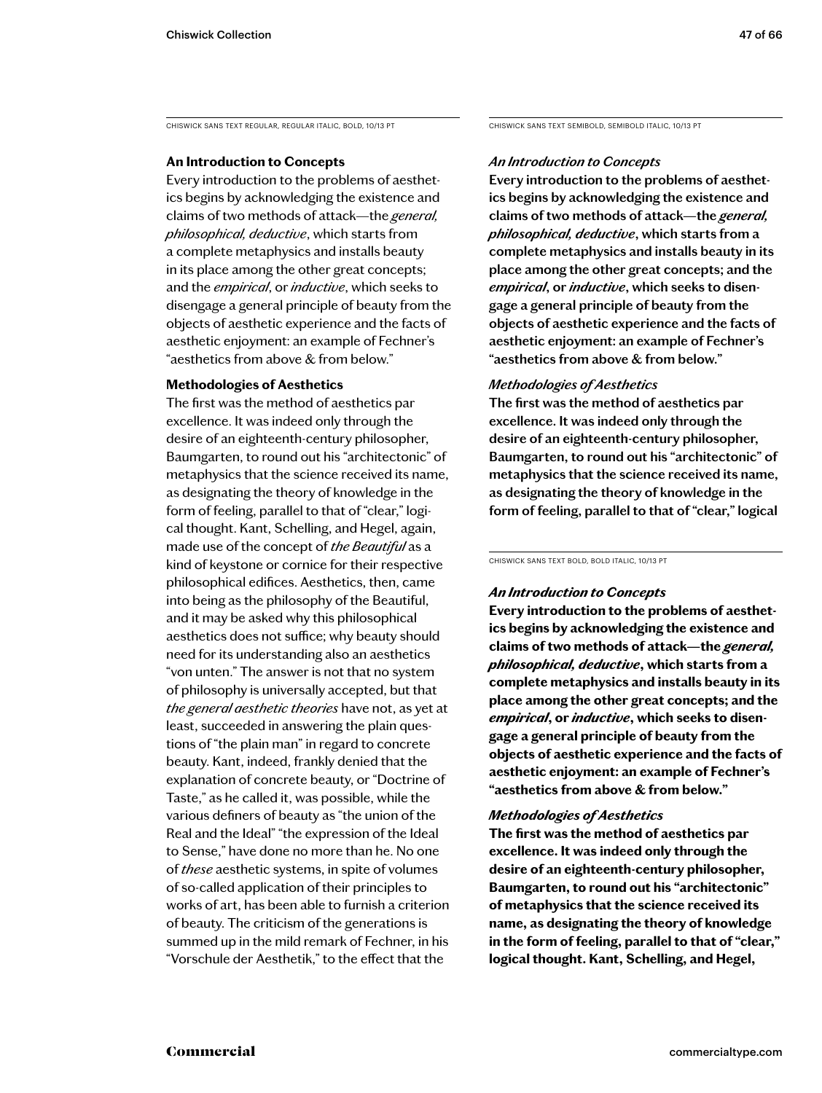CHISWICK SANS TEXT REGULAR, REGULAR ITALIC, BOLD, 10/13 PT

### **An Introduction to Concepts**

Every introduction to the problems of aesthetics begins by acknowledging the existence and claims of two methods of attack—the *general, philosophical, deductive*, which starts from a complete metaphysics and installs beauty in its place among the other great concepts; and the *empirical*, or *inductive*, which seeks to disengage a general principle of beauty from the objects of aesthetic experience and the facts of aesthetic enjoyment: an example of Fechner's "aesthetics from above & from below."

### **Methodologies of Aesthetics**

The first was the method of aesthetics par excellence. It was indeed only through the desire of an eighteenth-century philosopher, Baumgarten, to round out his "architectonic" of metaphysics that the science received its name, as designating the theory of knowledge in the form of feeling, parallel to that of "clear," logical thought. Kant, Schelling, and Hegel, again, made use of the concept of *the Beautiful* as a kind of keystone or cornice for their respective philosophical edifices. Aesthetics, then, came into being as the philosophy of the Beautiful, and it may be asked why this philosophical aesthetics does not suffice; why beauty should need for its understanding also an aesthetics "von unten." The answer is not that no system of philosophy is universally accepted, but that *the general aesthetic theories* have not, as yet at least, succeeded in answering the plain questions of "the plain man" in regard to concrete beauty. Kant, indeed, frankly denied that the explanation of concrete beauty, or "Doctrine of Taste," as he called it, was possible, while the various definers of beauty as "the union of the Real and the Ideal" "the expression of the Ideal to Sense," have done no more than he. No one of *these* aesthetic systems, in spite of volumes of so-called application of their principles to works of art, has been able to furnish a criterion of beauty. The criticism of the generations is summed up in the mild remark of Fechner, in his "Vorschule der Aesthetik," to the effect that the

CHISWICK SANS TEXT SEMIBOLD, SEMIBOLD ITALIC, 10/13 PT

### *An Introduction to Concepts*

**Every introduction to the problems of aesthetics begins by acknowledging the existence and claims of two methods of attack—the** *general, philosophical, deductive***, which starts from a complete metaphysics and installs beauty in its place among the other great concepts; and the**  *empirical***, or** *inductive***, which seeks to disengage a general principle of beauty from the objects of aesthetic experience and the facts of aesthetic enjoyment: an example of Fechner's "aesthetics from above & from below."** 

### *Methodologies of Aesthetics*

**The first was the method of aesthetics par excellence. It was indeed only through the desire of an eighteenth-century philosopher, Baumgarten, to round out his "architectonic" of metaphysics that the science received its name, as designating the theory of knowledge in the form of feeling, parallel to that of "clear," logical** 

CHISWICK SANS TEXT BOLD, BOLD ITALIC, 10/13 PT

### *An Introduction to Concepts*

**Every introduction to the problems of aesthetics begins by acknowledging the existence and claims of two methods of attack—the** *general, philosophical, deductive***, which starts from a complete metaphysics and installs beauty in its place among the other great concepts; and the**  *empirical***, or** *inductive***, which seeks to disengage a general principle of beauty from the objects of aesthetic experience and the facts of aesthetic enjoyment: an example of Fechner's "aesthetics from above & from below."** 

### *Methodologies of Aesthetics*

**The first was the method of aesthetics par excellence. It was indeed only through the desire of an eighteenth-century philosopher, Baumgarten, to round out his "architectonic" of metaphysics that the science received its name, as designating the theory of knowledge in the form of feeling, parallel to that of "clear," logical thought. Kant, Schelling, and Hegel,**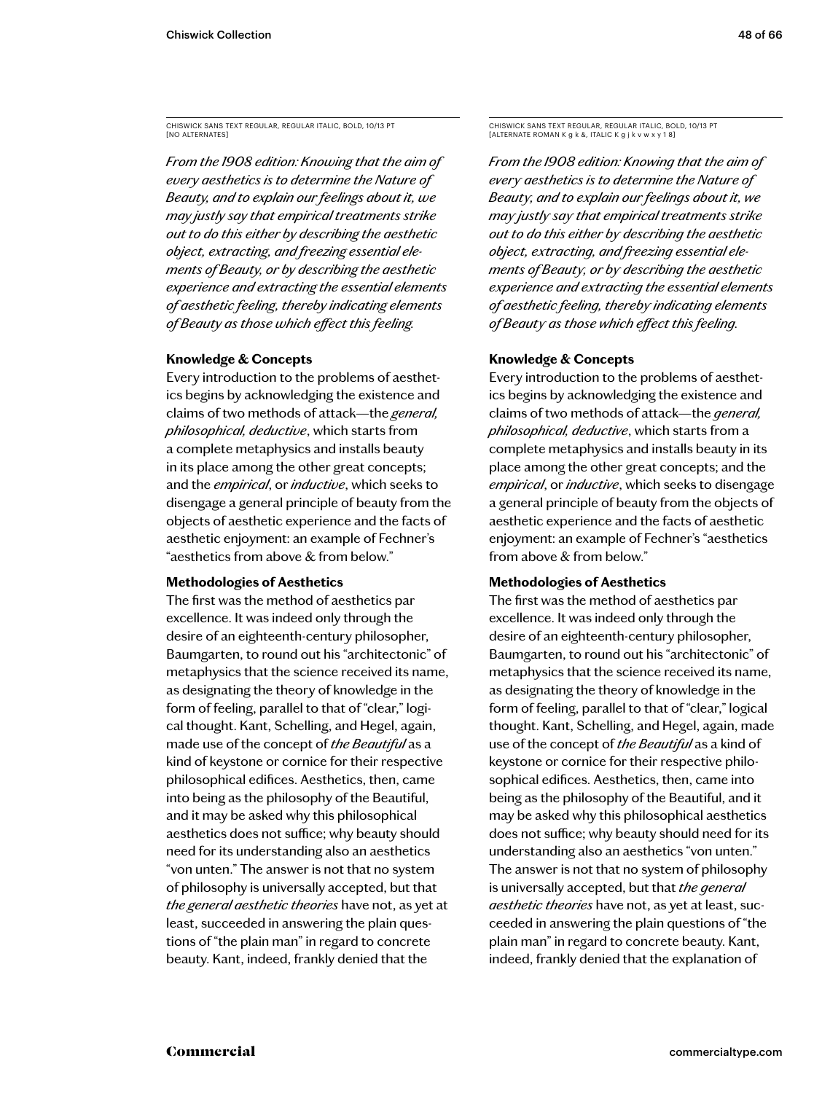CHISWICK SANS TEXT REGULAR, REGULAR ITALIC, BOLD, 10/13 PT [NO ALTERNATES]

*From the 1908 edition: Knowing that the aim of every aesthetics is to determine the Nature of Beauty, and to explain our feelings about it, we may justly say that empirical treatments strike out to do this either by describing the aesthetic object, extracting, and freezing essential elements of Beauty, or by describing the aesthetic experience and extracting the essential elements of aesthetic feeling, thereby indicating elements of Beauty as those which effect this feeling.*

### **Knowledge & Concepts**

Every introduction to the problems of aesthetics begins by acknowledging the existence and claims of two methods of attack—the *general, philosophical, deductive*, which starts from a complete metaphysics and installs beauty in its place among the other great concepts; and the *empirical*, or *inductive*, which seeks to disengage a general principle of beauty from the objects of aesthetic experience and the facts of aesthetic enjoyment: an example of Fechner's "aesthetics from above & from below."

### **Methodologies of Aesthetics**

The first was the method of aesthetics par excellence. It was indeed only through the desire of an eighteenth-century philosopher, Baumgarten, to round out his "architectonic" of metaphysics that the science received its name, as designating the theory of knowledge in the form of feeling, parallel to that of "clear," logical thought. Kant, Schelling, and Hegel, again, made use of the concept of *the Beautiful* as a kind of keystone or cornice for their respective philosophical edifices. Aesthetics, then, came into being as the philosophy of the Beautiful, and it may be asked why this philosophical aesthetics does not suffice; why beauty should need for its understanding also an aesthetics "von unten." The answer is not that no system of philosophy is universally accepted, but that *the general aesthetic theories* have not, as yet at least, succeeded in answering the plain questions of "the plain man" in regard to concrete beauty. Kant, indeed, frankly denied that the

CHISWICK SANS TEXT REGULAR, REGULAR ITALIC, BOLD, 10/13 PT [ALTERNATE ROMAN K g k &, ITALIC K g j k v w x y 1 8]

*From the 1908 edition: Knowing that the aim of every aesthetics is to determine the Nature of Beauty, and to explain our feelings about it, we may justly say that empirical treatments strike out to do this either by describing the aesthetic object, extracting, and freezing essential elements of Beauty, or by describing the aesthetic experience and extracting the essential elements of aesthetic feeling, thereby indicating elements of Beauty as those which effect this feeling.*

### **Knowledge & Concepts**

Every introduction to the problems of aesthetics begins by acknowledging the existence and claims of two methods of attack—the *general, philosophical, deductive*, which starts from a complete metaphysics and installs beauty in its place among the other great concepts; and the *empirical*, or *inductive*, which seeks to disengage a general principle of beauty from the objects of aesthetic experience and the facts of aesthetic enjoyment: an example of Fechner's "aesthetics from above & from below."

### **Methodologies of Aesthetics**

The first was the method of aesthetics par excellence. It was indeed only through the desire of an eighteenth-century philosopher, Baumgarten, to round out his "architectonic" of metaphysics that the science received its name, as designating the theory of knowledge in the form of feeling, parallel to that of "clear," logical thought. Kant, Schelling, and Hegel, again, made use of the concept of *the Beautiful* as a kind of keystone or cornice for their respective philosophical edifices. Aesthetics, then, came into being as the philosophy of the Beautiful, and it may be asked why this philosophical aesthetics does not suffice; why beauty should need for its understanding also an aesthetics "von unten." The answer is not that no system of philosophy is universally accepted, but that *the general aesthetic theories* have not, as yet at least, succeeded in answering the plain questions of "the plain man" in regard to concrete beauty. Kant, indeed, frankly denied that the explanation of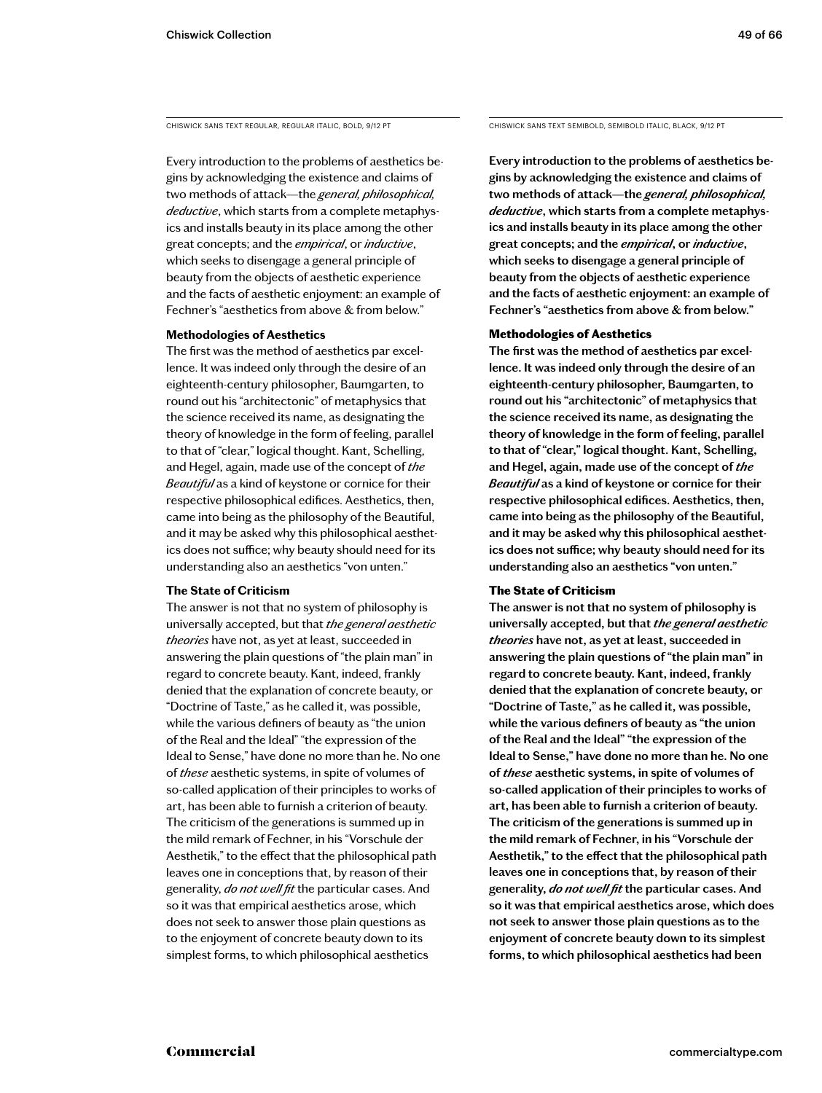Every introduction to the problems of aesthetics begins by acknowledging the existence and claims of two methods of attack—the *general, philosophical, deductive*, which starts from a complete metaphysics and installs beauty in its place among the other great concepts; and the *empirical*, or *inductive*, which seeks to disengage a general principle of beauty from the objects of aesthetic experience and the facts of aesthetic enjoyment: an example of Fechner's "aesthetics from above & from below."

### **Methodologies of Aesthetics**

The first was the method of aesthetics par excellence. It was indeed only through the desire of an eighteenth-century philosopher, Baumgarten, to round out his "architectonic" of metaphysics that the science received its name, as designating the theory of knowledge in the form of feeling, parallel to that of "clear," logical thought. Kant, Schelling, and Hegel, again, made use of the concept of *the Beautiful* as a kind of keystone or cornice for their respective philosophical edifices. Aesthetics, then, came into being as the philosophy of the Beautiful, and it may be asked why this philosophical aesthetics does not suffice; why beauty should need for its understanding also an aesthetics "von unten."

### **The State of Criticism**

The answer is not that no system of philosophy is universally accepted, but that *the general aesthetic theories* have not, as yet at least, succeeded in answering the plain questions of "the plain man" in regard to concrete beauty. Kant, indeed, frankly denied that the explanation of concrete beauty, or "Doctrine of Taste," as he called it, was possible, while the various definers of beauty as "the union of the Real and the Ideal" "the expression of the Ideal to Sense," have done no more than he. No one of *these* aesthetic systems, in spite of volumes of so-called application of their principles to works of art, has been able to furnish a criterion of beauty. The criticism of the generations is summed up in the mild remark of Fechner, in his "Vorschule der Aesthetik," to the effect that the philosophical path leaves one in conceptions that, by reason of their generality, *do not well fit* the particular cases. And so it was that empirical aesthetics arose, which does not seek to answer those plain questions as to the enjoyment of concrete beauty down to its simplest forms, to which philosophical aesthetics

CHISWICK SANS TEXT REGULAR, REGULAR ITALIC, BOLD, 9/12 PT CHISWICK SANS TEXT SEMIBOLD, SEMIBOLD ITALIC, BLACK, 9/12 PT

**Every introduction to the problems of aesthetics begins by acknowledging the existence and claims of two methods of attack—the** *general, philosophical, deductive***, which starts from a complete metaphysics and installs beauty in its place among the other great concepts; and the** *empirical***, or** *inductive***, which seeks to disengage a general principle of beauty from the objects of aesthetic experience and the facts of aesthetic enjoyment: an example of Fechner's "aesthetics from above & from below."** 

### Methodologies of Aesthetics

**The first was the method of aesthetics par excellence. It was indeed only through the desire of an eighteenth-century philosopher, Baumgarten, to round out his "architectonic" of metaphysics that the science received its name, as designating the theory of knowledge in the form of feeling, parallel to that of "clear," logical thought. Kant, Schelling, and Hegel, again, made use of the concept of** *the Beautiful* **as a kind of keystone or cornice for their respective philosophical edifices. Aesthetics, then, came into being as the philosophy of the Beautiful, and it may be asked why this philosophical aesthetics does not suffice; why beauty should need for its understanding also an aesthetics "von unten."** 

### The State of Criticism

**The answer is not that no system of philosophy is universally accepted, but that** *the general aesthetic theories* **have not, as yet at least, succeeded in answering the plain questions of "the plain man" in regard to concrete beauty. Kant, indeed, frankly denied that the explanation of concrete beauty, or "Doctrine of Taste," as he called it, was possible, while the various definers of beauty as "the union of the Real and the Ideal" "the expression of the Ideal to Sense," have done no more than he. No one of** *these* **aesthetic systems, in spite of volumes of so-called application of their principles to works of art, has been able to furnish a criterion of beauty. The criticism of the generations is summed up in the mild remark of Fechner, in his "Vorschule der Aesthetik," to the effect that the philosophical path leaves one in conceptions that, by reason of their generality,** *do not well fit* **the particular cases. And so it was that empirical aesthetics arose, which does not seek to answer those plain questions as to the enjoyment of concrete beauty down to its simplest forms, to which philosophical aesthetics had been**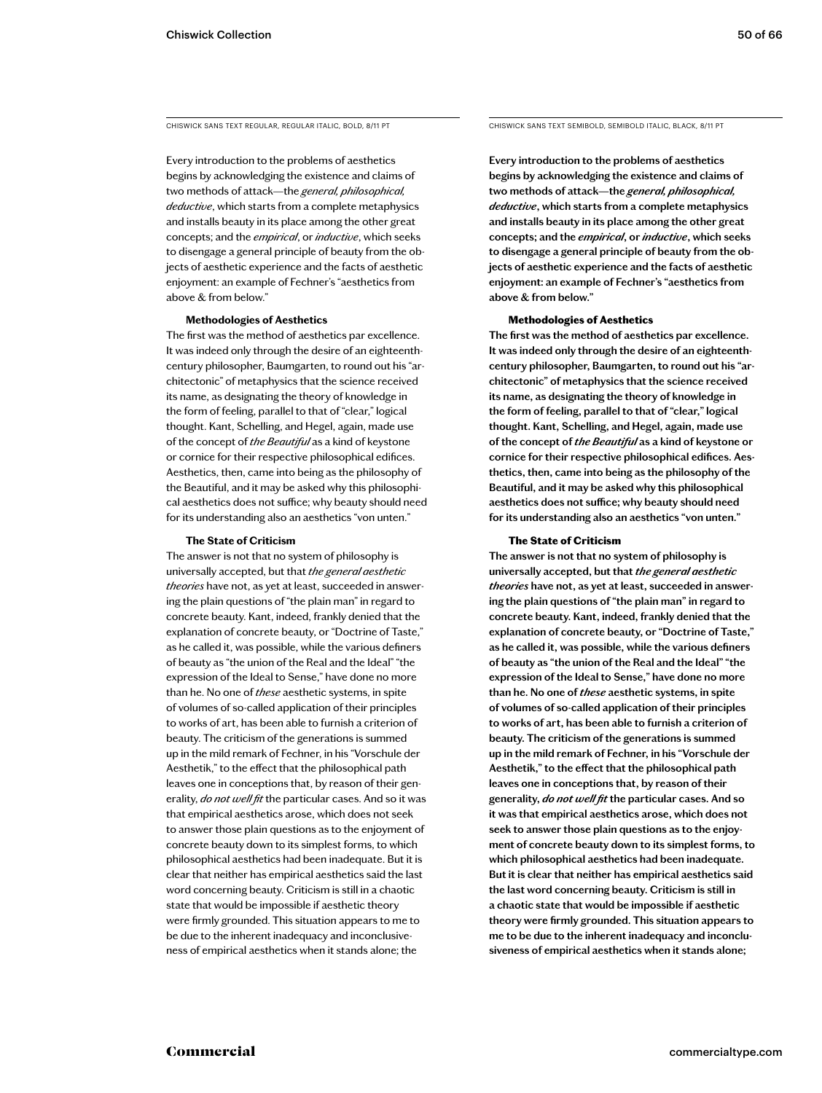Every introduction to the problems of aesthetics begins by acknowledging the existence and claims of two methods of attack—the *general, philosophical, deductive*, which starts from a complete metaphysics and installs beauty in its place among the other great concepts; and the *empirical*, or *inductive*, which seeks to disengage a general principle of beauty from the objects of aesthetic experience and the facts of aesthetic enjoyment: an example of Fechner's "aesthetics from above & from below."

### **Methodologies of Aesthetics**

The first was the method of aesthetics par excellence. It was indeed only through the desire of an eighteenthcentury philosopher, Baumgarten, to round out his "architectonic" of metaphysics that the science received its name, as designating the theory of knowledge in the form of feeling, parallel to that of "clear," logical thought. Kant, Schelling, and Hegel, again, made use of the concept of *the Beautiful* as a kind of keystone or cornice for their respective philosophical edifices. Aesthetics, then, came into being as the philosophy of the Beautiful, and it may be asked why this philosophical aesthetics does not suffice; why beauty should need for its understanding also an aesthetics "von unten."

### **The State of Criticism**

The answer is not that no system of philosophy is universally accepted, but that *the general aesthetic theories* have not, as yet at least, succeeded in answering the plain questions of "the plain man" in regard to concrete beauty. Kant, indeed, frankly denied that the explanation of concrete beauty, or "Doctrine of Taste," as he called it, was possible, while the various definers of beauty as "the union of the Real and the Ideal" "the expression of the Ideal to Sense," have done no more than he. No one of *these* aesthetic systems, in spite of volumes of so-called application of their principles to works of art, has been able to furnish a criterion of beauty. The criticism of the generations is summed up in the mild remark of Fechner, in his "Vorschule der Aesthetik," to the effect that the philosophical path leaves one in conceptions that, by reason of their generality, *do not well fit* the particular cases. And so it was that empirical aesthetics arose, which does not seek to answer those plain questions as to the enjoyment of concrete beauty down to its simplest forms, to which philosophical aesthetics had been inadequate. But it is clear that neither has empirical aesthetics said the last word concerning beauty. Criticism is still in a chaotic state that would be impossible if aesthetic theory were firmly grounded. This situation appears to me to be due to the inherent inadequacy and inconclusiveness of empirical aesthetics when it stands alone; the

CHISWICK SANS TEXT REGULAR, REGULAR ITALIC, BOLD, 8/11 PT CHISWICK SANS TEXT SEMIBOLD, SEMIBOLD ITALIC, BLACK, 8/11 PT

**Every introduction to the problems of aesthetics begins by acknowledging the existence and claims of two methods of attack—the** *general, philosophical, deductive***, which starts from a complete metaphysics and installs beauty in its place among the other great concepts; and the** *empirical***, or** *inductive***, which seeks to disengage a general principle of beauty from the objects of aesthetic experience and the facts of aesthetic enjoyment: an example of Fechner's "aesthetics from above & from below."** 

### Methodologies of Aesthetics

**The first was the method of aesthetics par excellence. It was indeed only through the desire of an eighteenthcentury philosopher, Baumgarten, to round out his "architectonic" of metaphysics that the science received its name, as designating the theory of knowledge in the form of feeling, parallel to that of "clear," logical thought. Kant, Schelling, and Hegel, again, made use of the concept of** *the Beautiful* **as a kind of keystone or cornice for their respective philosophical edifices. Aesthetics, then, came into being as the philosophy of the Beautiful, and it may be asked why this philosophical aesthetics does not suffice; why beauty should need for its understanding also an aesthetics "von unten."** 

### The State of Criticism

**The answer is not that no system of philosophy is universally accepted, but that** *the general aesthetic theories* **have not, as yet at least, succeeded in answering the plain questions of "the plain man" in regard to concrete beauty. Kant, indeed, frankly denied that the explanation of concrete beauty, or "Doctrine of Taste," as he called it, was possible, while the various definers of beauty as "the union of the Real and the Ideal" "the expression of the Ideal to Sense," have done no more than he. No one of** *these* **aesthetic systems, in spite of volumes of so-called application of their principles to works of art, has been able to furnish a criterion of beauty. The criticism of the generations is summed up in the mild remark of Fechner, in his "Vorschule der Aesthetik," to the effect that the philosophical path leaves one in conceptions that, by reason of their generality,** *do not well fit* **the particular cases. And so it was that empirical aesthetics arose, which does not seek to answer those plain questions as to the enjoyment of concrete beauty down to its simplest forms, to which philosophical aesthetics had been inadequate. But it is clear that neither has empirical aesthetics said the last word concerning beauty. Criticism is still in a chaotic state that would be impossible if aesthetic theory were firmly grounded. This situation appears to me to be due to the inherent inadequacy and inconclusiveness of empirical aesthetics when it stands alone;**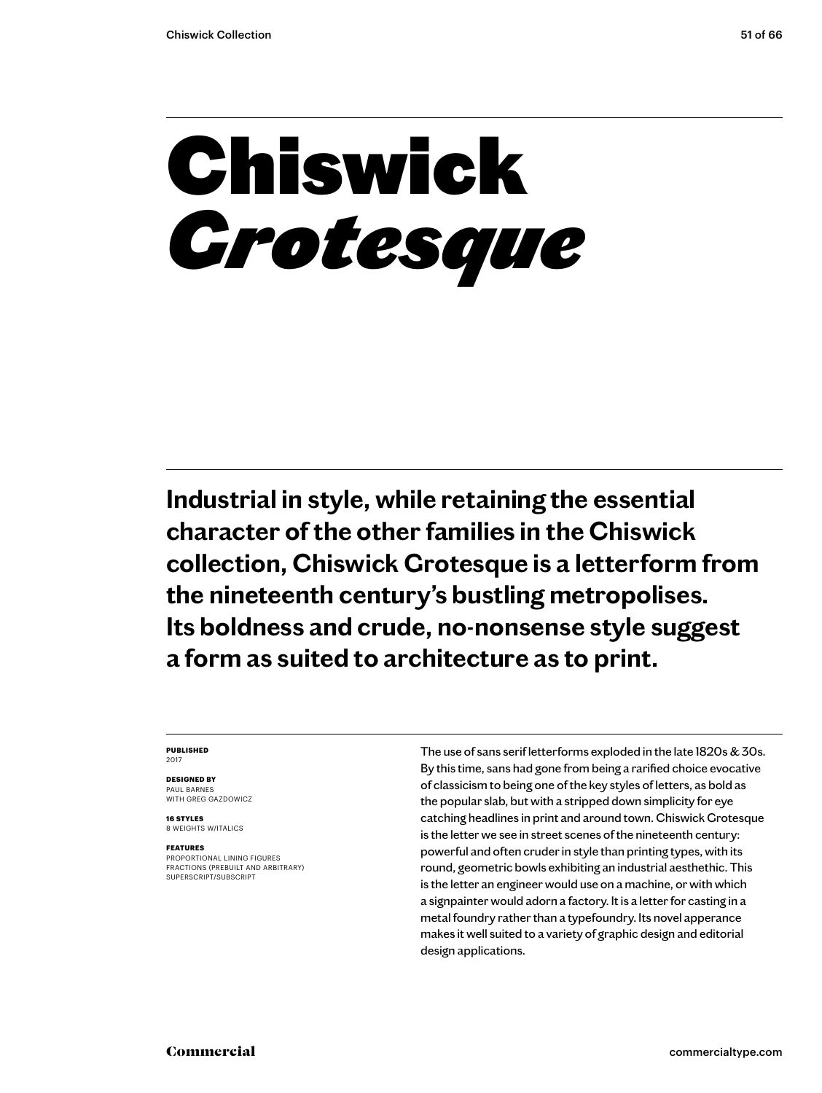### Chiswick *Grotesque*

**Industrial in style, while retaining the essential character of the other families in the Chiswick collection, Chiswick Grotesque is a letterform from the nineteenth century's bustling metropolises. Its boldness and crude, no-nonsense style suggest a form as suited to architecture as to print.**

### **PUBLISHED** 2017

### **DESIGNED BY** PAUL BARNES

WITH GREG GAZDOWICZ

**16 STYLES** 8 WEIGHTS W/ITALICS

### **FEATURES**

PROPORTIONAL LINING FIGURES FRACTIONS (PREBUILT AND ARBITRARY) SUPERSCRIPT/SUBSCRIPT

The use of sans serif letterforms exploded in the late 1820s & 30s. By this time, sans had gone from being a rarified choice evocative of classicism to being one of the key styles of letters, as bold as the popular slab, but with a stripped down simplicity for eye catching headlines in print and around town. Chiswick Grotesque is the letter we see in street scenes of the nineteenth century: powerful and often cruder in style than printing types, with its round, geometric bowls exhibiting an industrial aesthethic. This is the letter an engineer would use on a machine, or with which a signpainter would adorn a factory. It is a letter for casting in a metal foundry rather than a typefoundry. Its novel apperance makes it well suited to a variety of graphic design and editorial design applications.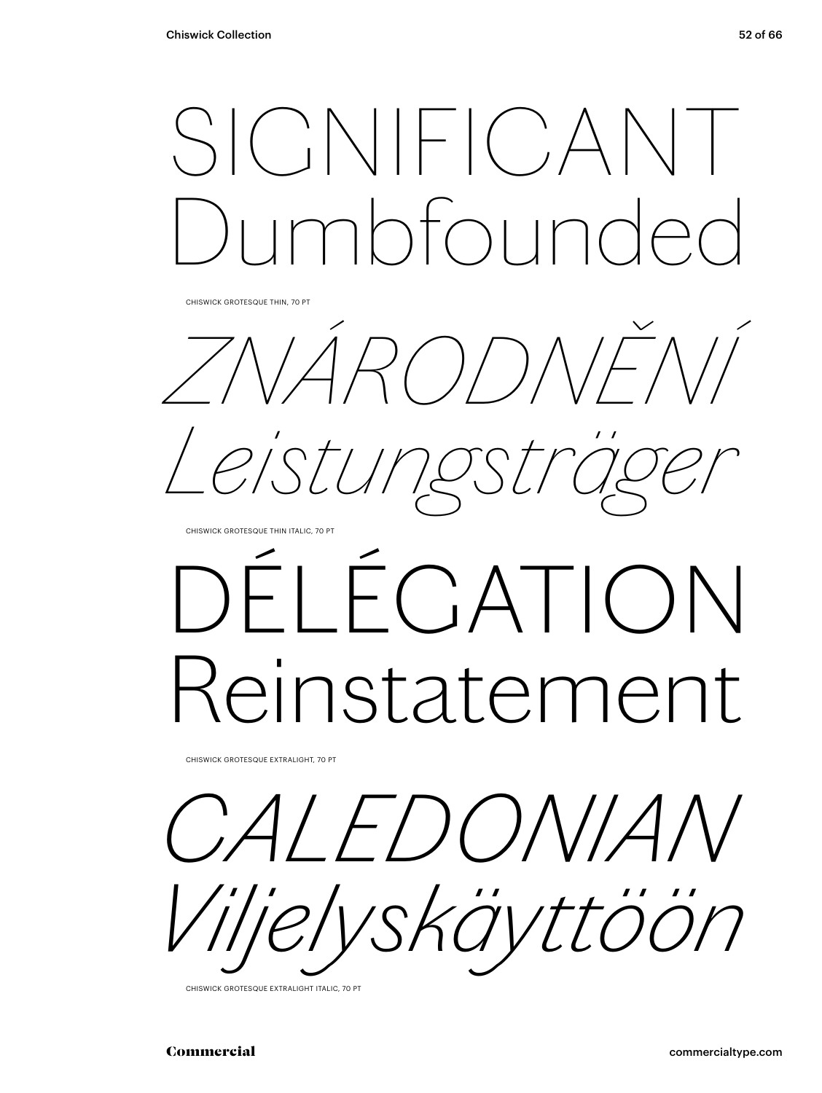### SIGNIFICA Dumbfounded

CHISWICK GROTESQUE THIN, 70 PT

*ZNÁRODNĚNÍ Leistungsträger*

CHISWICK GROTESQUE THIN ITALIC, 70 PT

## ÉCATION einstatement

CHISWICK GROTESQUE EXTRALIGHT, 70 PT

*CALEDONIAN Viljelyskäyttöön*

CHISWICK GROTESQUE EXTRALIGHT ITALIC, 70 PT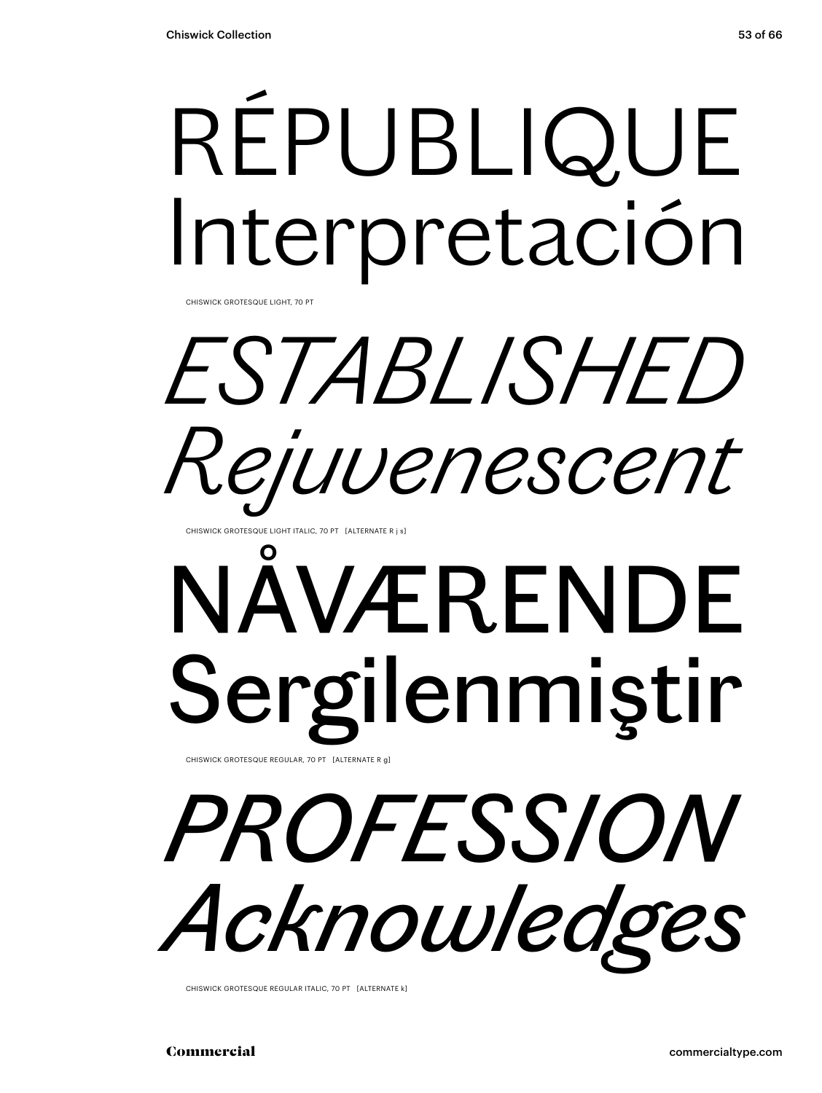## RÉPUBLIQUE Interpretación

CHISWICK GROTESQUE LIGHT, 70 PT

## *ESTABLISHED Rejuvenescent*

CHISWICK GROTESQUE LIGHT ITALIC, 70 PT [ALTERNATE R j s]

### NÅVÆRENDE Sergilenmiştir CHISWICK GROTESQUE REGULAR, 70 PT [ALTERNATE R g]

## *PROFESSION Acknowledges*

CHISWICK GROTESQUE REGULAR ITALIC, 70 PT [ALTERNATE k]

Commercial commercialtype.com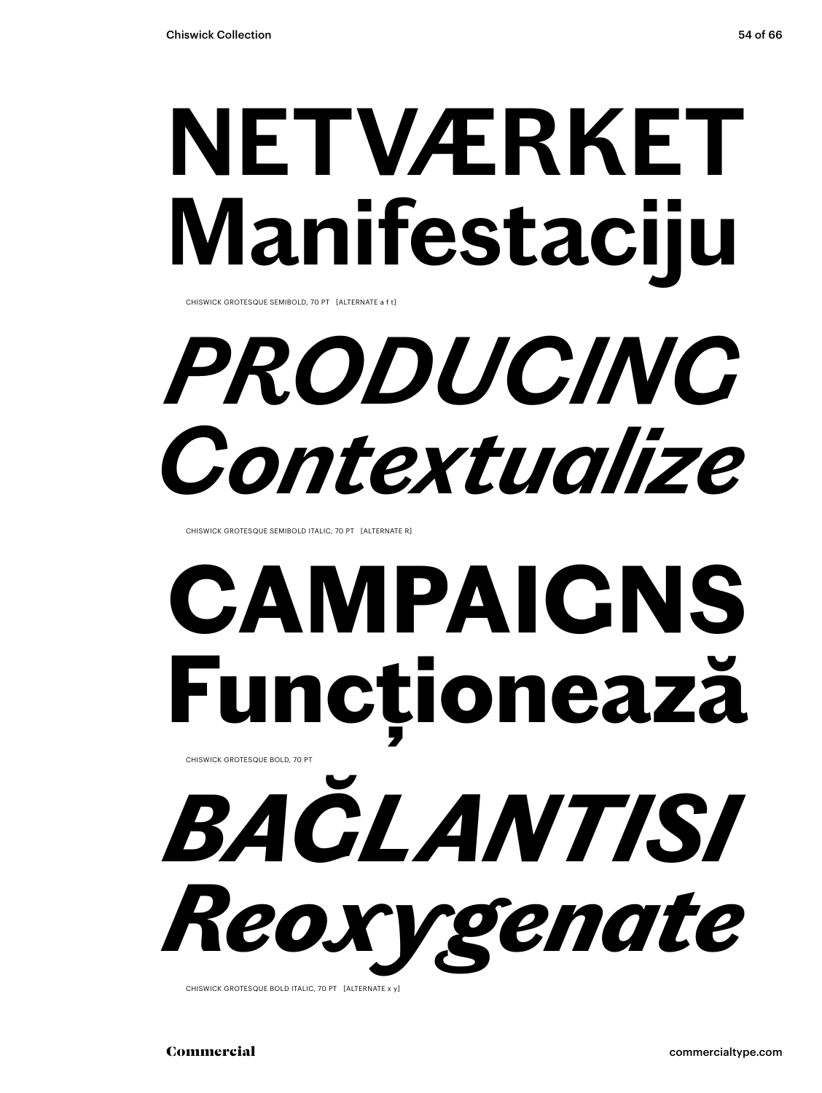## **NETVÆRKET Manifestaciju**

CHISWICK GROTESQUE SEMIBOLD, 70 PT [ALTERNATE a f t]

## *PRODUCING Contextualize*

CHISWICK GROTESQUE SEMIBOLD ITALIC, 70 PT [ALTERNATE R]

### **CAMPAIGNS Funcționează** CHISWICK GROTESQUE BOLD, 70 PT

*BAĞLANTISI Reoxygenate*

CHISWICK GROTESQUE BOLD ITALIC, 70 PT [ALTERNATE x v]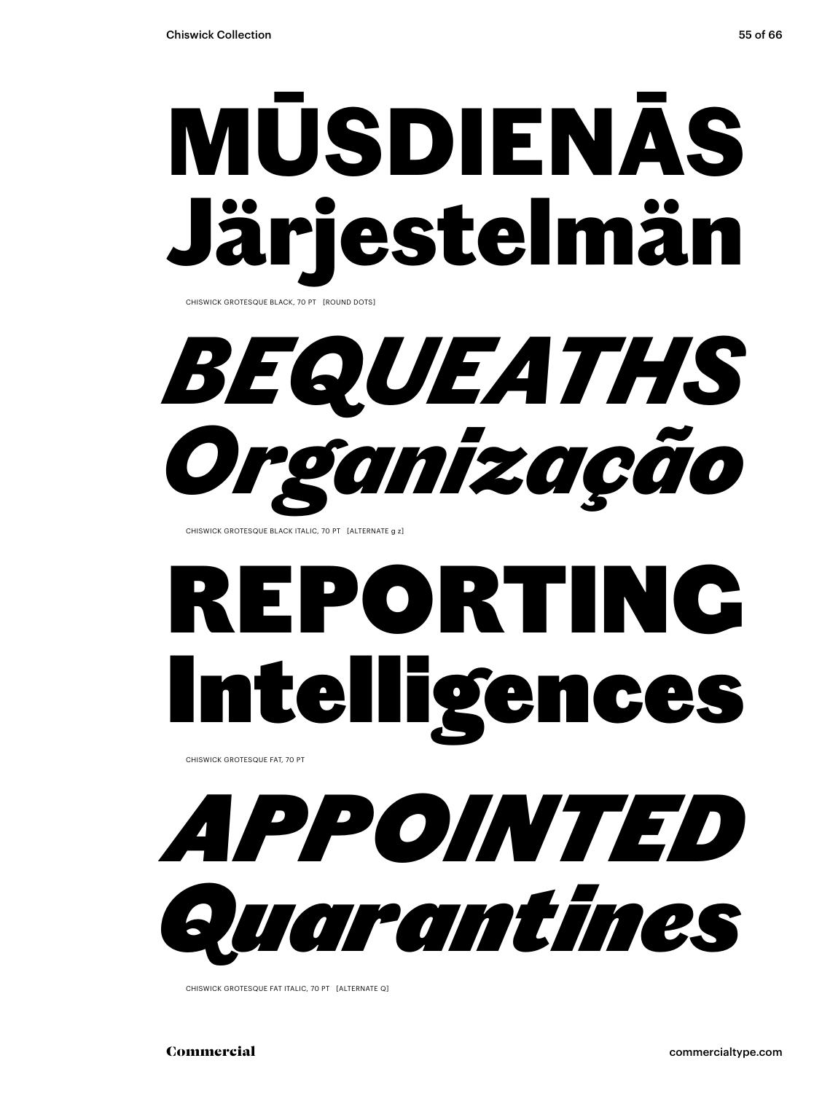## MŪSDIENĀS iestelmän

CHISWICK GROTESQUE BLACK, 70 PT [ROUND DOTS]

*BEQUEATHS Organização*

CHISWICK GROTESQUE BLACK ITALIC, 70 PT [ALTERNATE g z]

## REPORTING Intelligences

CHISWICK GROTESQUE FAT, 70 PT

*APPOINTED Quarantines*

CHISWICK GROTESQUE FAT ITALIC, 70 PT [ALTERNATE Q]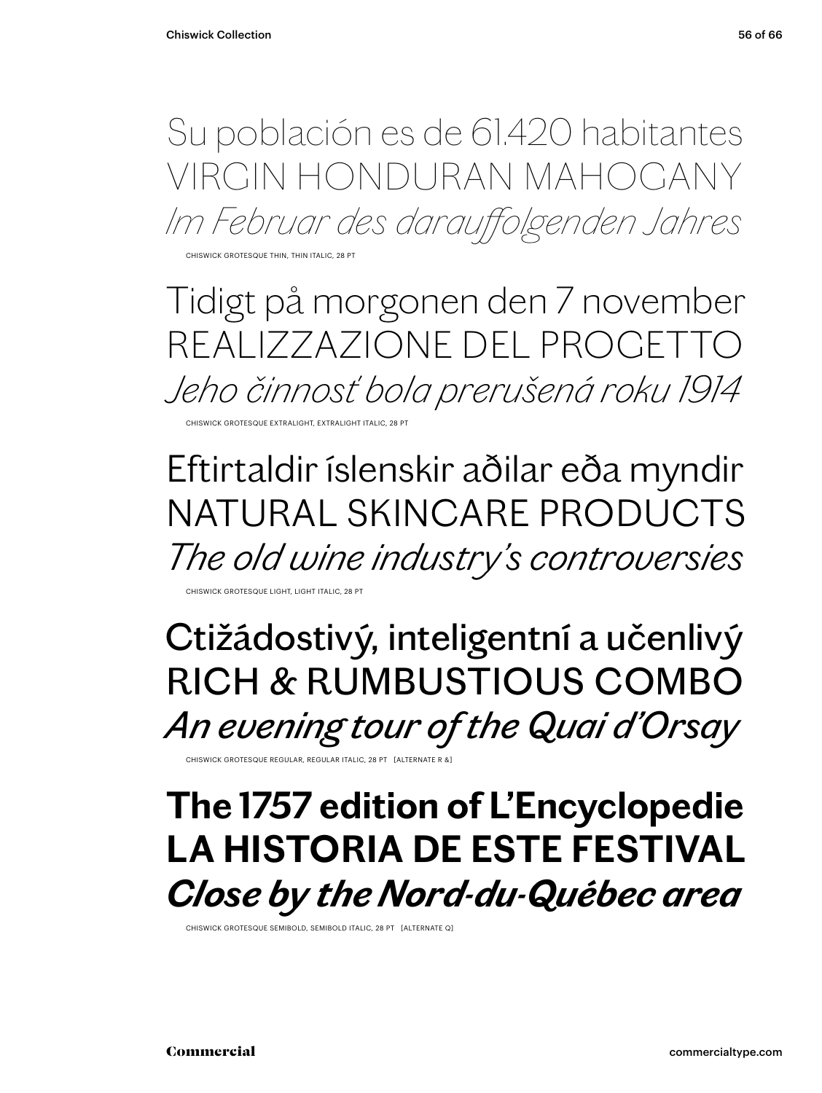Su población es de 61.420 habitantes VIRGIN HONDURAN MAHOGANY *Im Februar des darauffolgenden Jahres*

CHISWICK GROTESQUE THIN, THIN ITALIC, 28 PT

Tidigt på morgonen den 7 november REALIZZAZIONE DEL PROGETT *Jeho činnosť bola prerušená roku 1914*

CHISWICK GROTESQUE EXTRALIGHT, EXTRALIGHT ITALIC, 28

### Eftirtaldir íslenskir aðilar eða myndir NATURAL SKINCARE PRODUCTS *The old wine industry's controversies*

CHISWICK GROTESQUE LIGHT, LIGHT ITALIC, 28

Ctižádostivý, inteligentní a učenlivý RICH & RUMBUSTIOUS COMBO *An evening tour of the Quai d'Orsay*

CHISWICK GROTESQUE REGULAR, REGULAR ITALIC, 28 PT [ALTERNATE R &

### **The 1757 edition of L'Encyclopedie LA HISTORIA DE ESTE FESTIVAL** *Close by the Nord-du-Québec area*

CHISWICK GROTESQUE SEMIBOLD, SEMIBOLD ITALIC, 28 PT [ALTERNATE Q]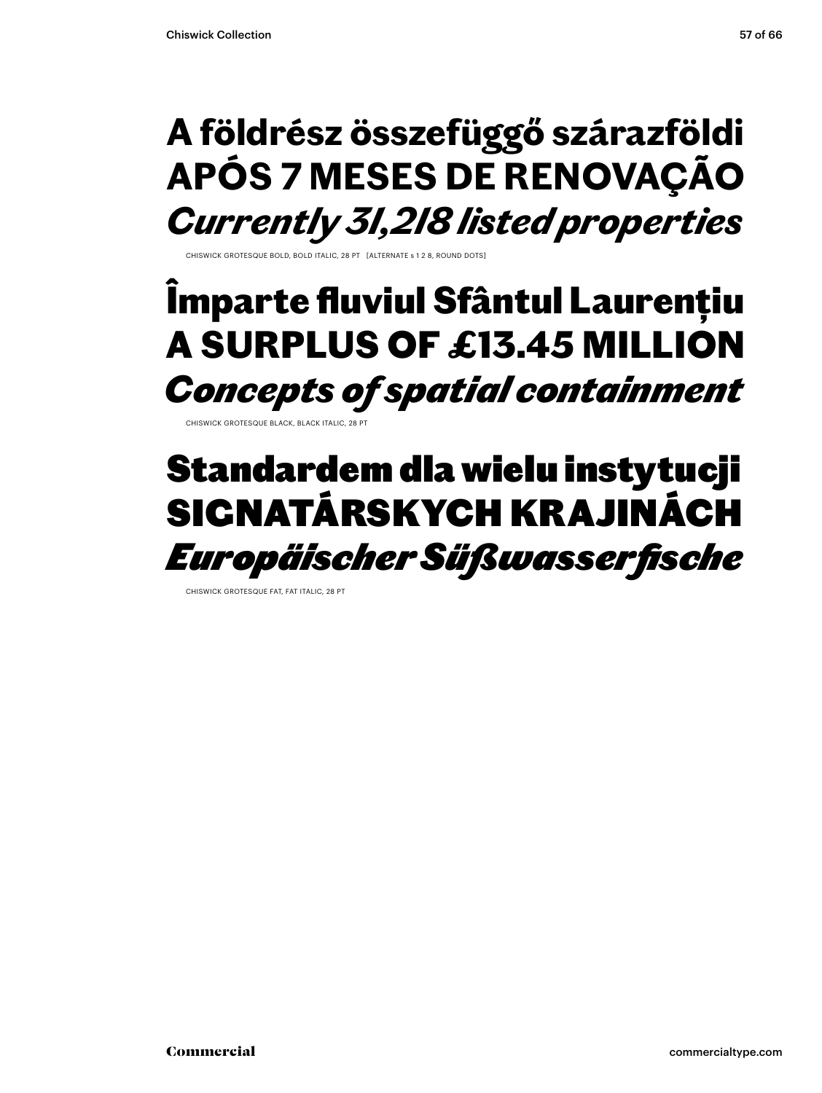### **A földrész összefüggő szárazföldi APÓS 7 MESES DE RENOVAÇÃO** *Currently 31,218 listed properties*

CHISWICK GROTESQUE BOLD, BOLD ITALIC, 28 PT [ALTERNATE s 1 2 8, ROUND DOTS]

### Împarte fluviul Sfântul Laurențiu A SURPLUS OF £13.45 MILLION *Concepts of spatial containment*

CHISWICK GROTESQUE BLACK, BLACK ITALIC, 28

### Standardem dla wielu instytucji SIGNATÁRSKYCH KRAJINÁCH *Europäischer Süßwasserfische*

CHISWICK GROTESQUE FAT, FAT ITALIC, 28 PT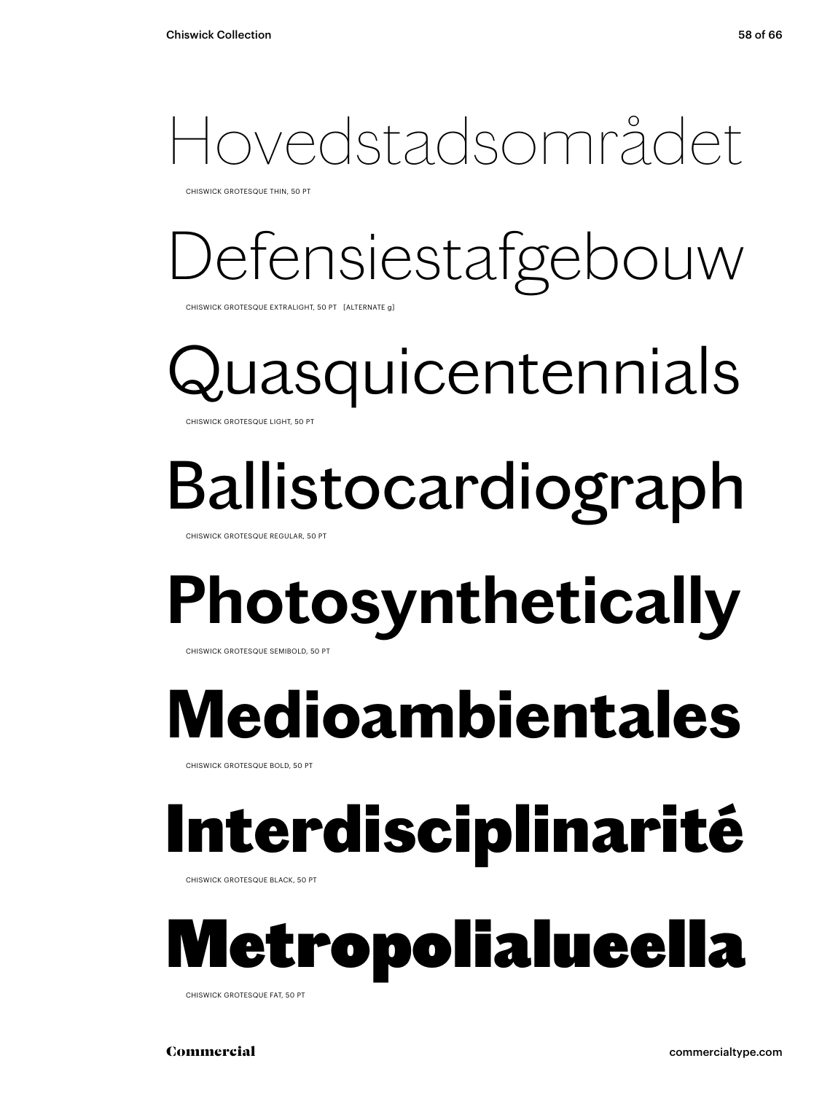### Hovedstadsområdet

CHISWICK GROTESQUE THIN, 50 PT

### Defensiestafgebouw

CHISWICK GROTESQUE EXTRALIGHT, 50 PT [ALTERNATE g]

uasquicentennials CHISWICK GROTESQUE LIGHT, 50 PT

### Ballistocardiograph

CHISWICK GROTESQUE REGULAR, 50 PT

### **Photosynthetically**

CHISWICK GROTESQUE SEMIBOLD, 50 PT

### **Medioambientales**

CHISWICK GROTESQUE BOLD, 50 PT

### Interdisciplinarité

CHISWICK GROTESQUE BLACK, 50 PT



CHISWICK GROTESQUE FAT, 50 PT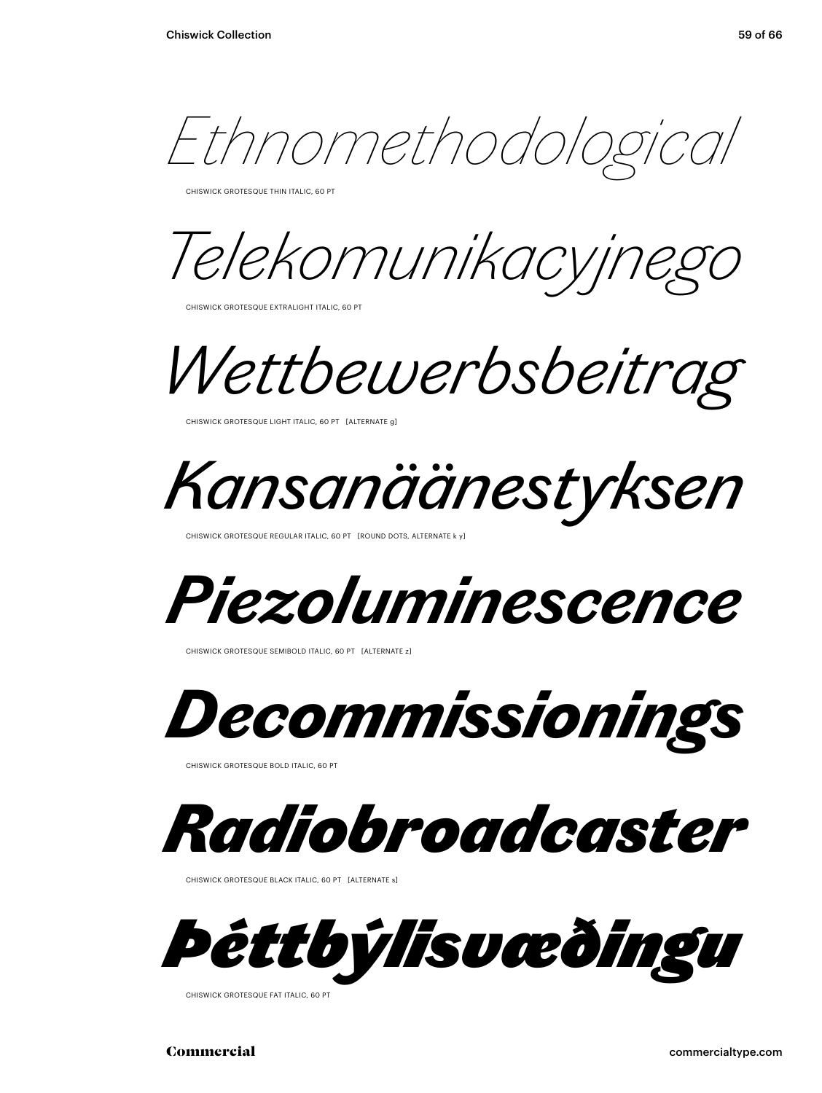*Ethnomethodological*

CHISWICK GROTESQUE THIN ITALIC, 60 PT

*Telekomunikacyjnego* 

CHISWICK GROTESQUE EXTRALIGHT ITALIC, 60 PT

*Wettbewerbsbeitrag*

CHISWICK GROTESQUE LIGHT ITALIC, 60 PT [ALTERNATE g]

*Kansanäänestyksen*

CHISWICK GROTESQUE REGULAR ITALIC, 60 PT [ROUND DOTS, ALTERNATE k y]



CHISWICK GROTESQUE SEMIBOLD ITALIC, 60 PT [ALTERNATE z]



CHISWICK GROTESQUE BOLD ITALIC, 60 PT



CHISWICK GROTESQUE BLACK ITALIC, 60 PT [ALTERNATE s]



CHISWICK GROTESQUE FAT ITALIC, 60 PT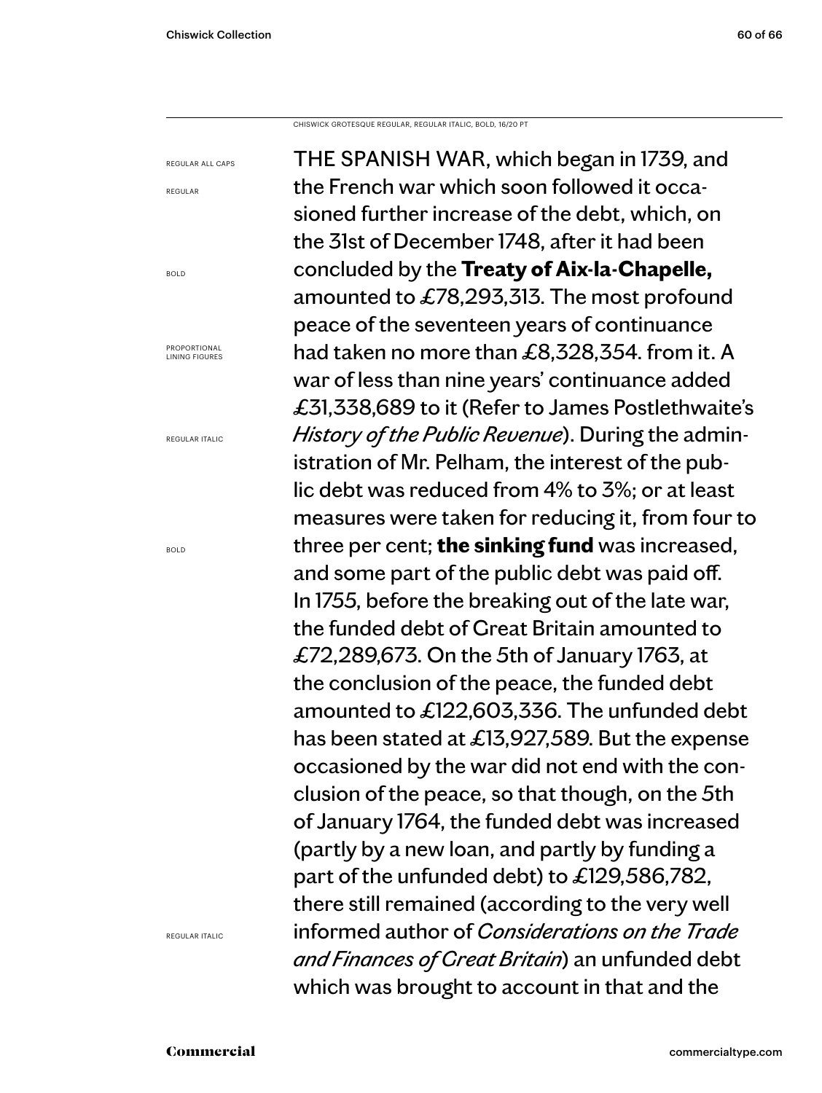CHISWICK GROTESQUE REGULAR, REGULAR ITALIC, BOLD, 16/20 PT

REGULAR ALL CAPS

REGULAR

BOLD

PROPORTIONAL LINING FIGURES

REGULAR ITALIC

BOLD

THE SPANISH WAR, which began in 1739, and the French war which soon followed it occasioned further increase of the debt, which, on the 31st of December 1748, after it had been concluded by the **Treaty of Aix-la-Chapelle,**  amounted to £78,293,313. The most profound peace of the seventeen years of continuance had taken no more than £8,328,354. from it. A war of less than nine years' continuance added £31,338,689 to it (Refer to James Postlethwaite's *History of the Public Revenue*). During the administration of Mr. Pelham, the interest of the public debt was reduced from 4% to 3%; or at least measures were taken for reducing it, from four to three per cent; **the sinking fund** was increased, and some part of the public debt was paid off. In 1755, before the breaking out of the late war, the funded debt of Great Britain amounted to £72,289,673. On the 5th of January 1763, at the conclusion of the peace, the funded debt amounted to £122,603,336. The unfunded debt has been stated at £13,927,589. But the expense occasioned by the war did not end with the conclusion of the peace, so that though, on the 5th of January 1764, the funded debt was increased (partly by a new loan, and partly by funding a part of the unfunded debt) to £129,586,782, there still remained (according to the very well informed author of *Considerations on the Trade and Finances of Great Britain*) an unfunded debt which was brought to account in that and the

REGULAR ITALIC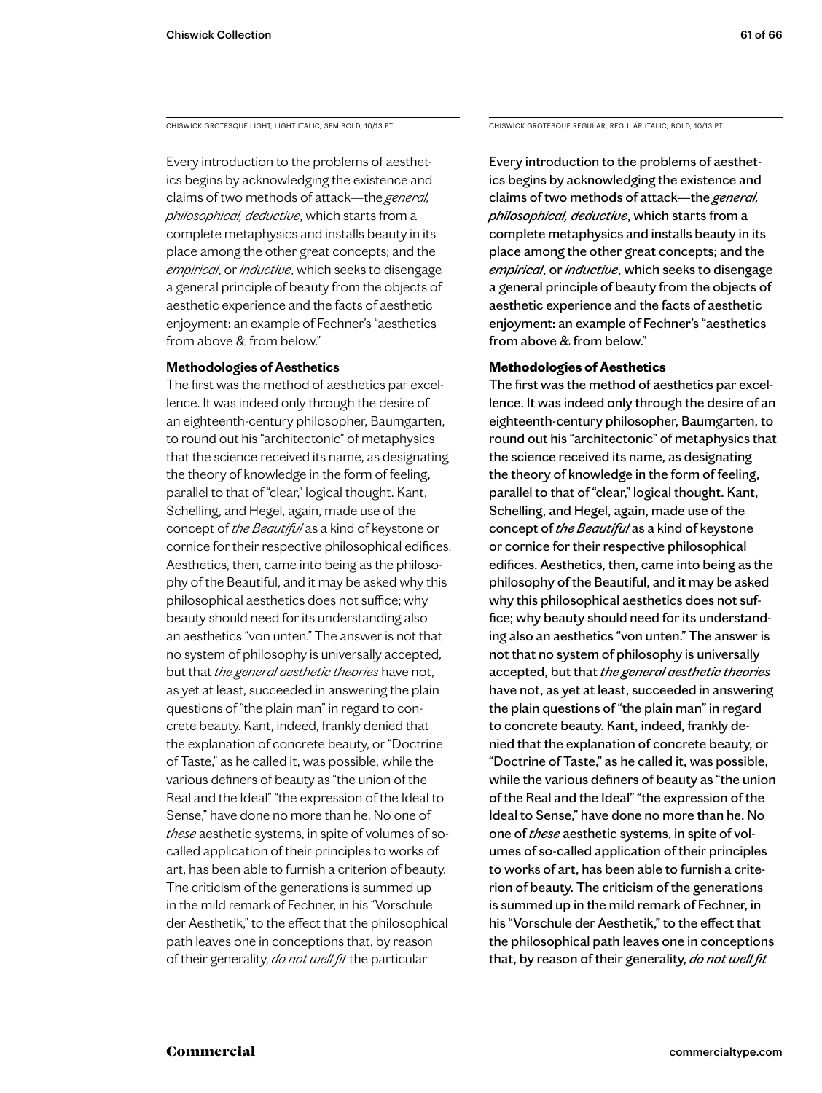Every introduction to the problems of aesthetics begins by acknowledging the existence and claims of two methods of attack—the *general, philosophical, deductive*, which starts from a complete metaphysics and installs beauty in its place among the other great concepts; and the *empirical*, or *inductive*, which seeks to disengage a general principle of beauty from the objects of aesthetic experience and the facts of aesthetic enjoyment: an example of Fechner's "aesthetics from above & from below."

### **Methodologies of Aesthetics**

The first was the method of aesthetics par excellence. It was indeed only through the desire of an eighteenth-century philosopher, Baumgarten, to round out his "architectonic" of metaphysics that the science received its name, as designating the theory of knowledge in the form of feeling, parallel to that of "clear," logical thought. Kant, Schelling, and Hegel, again, made use of the concept of *the Beautiful* as a kind of keystone or cornice for their respective philosophical edifices. Aesthetics, then, came into being as the philosophy of the Beautiful, and it may be asked why this philosophical aesthetics does not suffice; why beauty should need for its understanding also an aesthetics "von unten." The answer is not that no system of philosophy is universally accepted, but that *the general aesthetic theories* have not, as yet at least, succeeded in answering the plain questions of "the plain man" in regard to concrete beauty. Kant, indeed, frankly denied that the explanation of concrete beauty, or "Doctrine of Taste," as he called it, was possible, while the various definers of beauty as "the union of the Real and the Ideal" "the expression of the Ideal to Sense," have done no more than he. No one of *these* aesthetic systems, in spite of volumes of socalled application of their principles to works of art, has been able to furnish a criterion of beauty. The criticism of the generations is summed up in the mild remark of Fechner, in his "Vorschule der Aesthetik," to the effect that the philosophical path leaves one in conceptions that, by reason of their generality, *do not well fit* the particular

CHISWICK GROTESQUE LIGHT, LIGHT ITALIC, SEMIBOLD, 10/13 PT CHISWICK GROTESQUE REGULAR, REGULAR ITALIC, BOLD, 10/13 PT

Every introduction to the problems of aesthetics begins by acknowledging the existence and claims of two methods of attack—the *general, philosophical, deductive*, which starts from a complete metaphysics and installs beauty in its place among the other great concepts; and the *empirical*, or *inductive*, which seeks to disengage a general principle of beauty from the objects of aesthetic experience and the facts of aesthetic enjoyment: an example of Fechner's "aesthetics from above & from below."

### **Methodologies of Aesthetics**

The first was the method of aesthetics par excellence. It was indeed only through the desire of an eighteenth-century philosopher, Baumgarten, to round out his "architectonic" of metaphysics that the science received its name, as designating the theory of knowledge in the form of feeling, parallel to that of "clear," logical thought. Kant, Schelling, and Hegel, again, made use of the concept of *the Beautiful* as a kind of keystone or cornice for their respective philosophical edifices. Aesthetics, then, came into being as the philosophy of the Beautiful, and it may be asked why this philosophical aesthetics does not suffice; why beauty should need for its understanding also an aesthetics "von unten." The answer is not that no system of philosophy is universally accepted, but that *the general aesthetic theories*  have not, as yet at least, succeeded in answering the plain questions of "the plain man" in regard to concrete beauty. Kant, indeed, frankly denied that the explanation of concrete beauty, or "Doctrine of Taste," as he called it, was possible, while the various definers of beauty as "the union of the Real and the Ideal" "the expression of the Ideal to Sense," have done no more than he. No one of *these* aesthetic systems, in spite of volumes of so-called application of their principles to works of art, has been able to furnish a criterion of beauty. The criticism of the generations is summed up in the mild remark of Fechner, in his "Vorschule der Aesthetik," to the effect that the philosophical path leaves one in conceptions that, by reason of their generality, *do not well fit*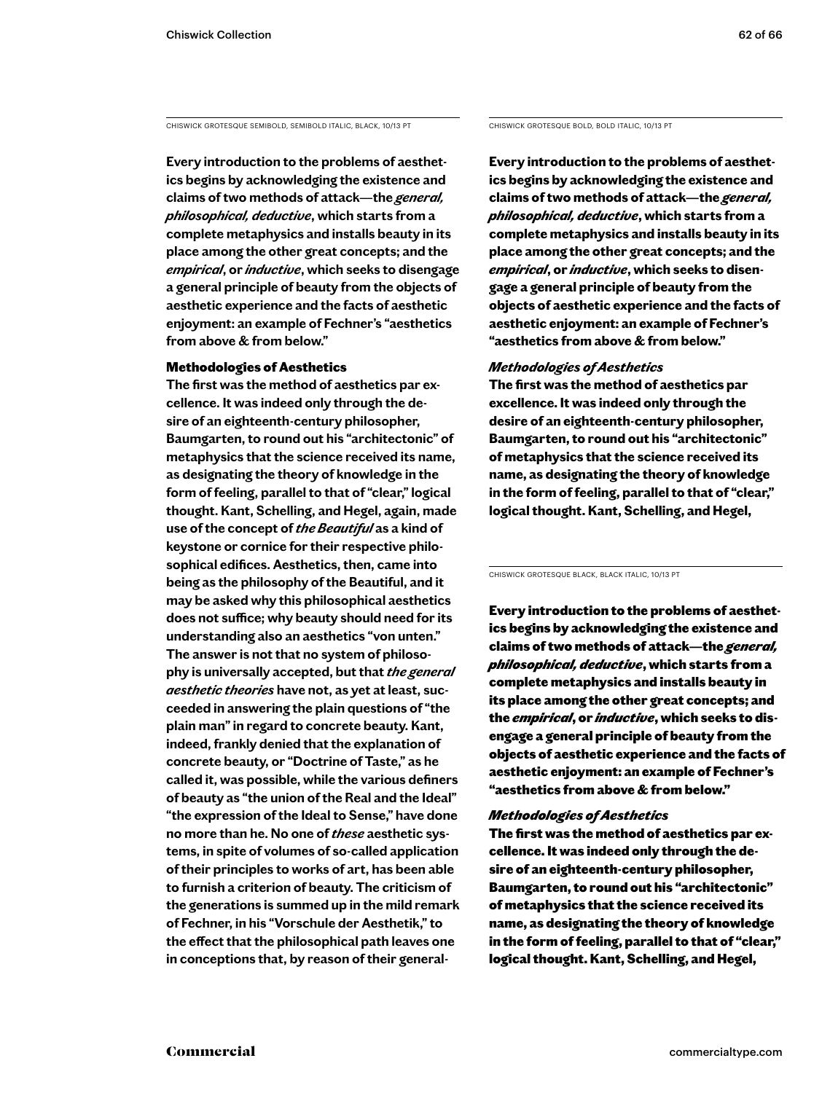CHISWICK GROTESQUE SEMIBOLD, SEMIBOLD ITALIC, BLACK, 10/13 PT

**Every introduction to the problems of aesthetics begins by acknowledging the existence and claims of two methods of attack—the** *general, philosophical, deductive***, which starts from a complete metaphysics and installs beauty in its place among the other great concepts; and the**  *empirical***, or** *inductive***, which seeks to disengage a general principle of beauty from the objects of aesthetic experience and the facts of aesthetic enjoyment: an example of Fechner's "aesthetics from above & from below."** 

### Methodologies of Aesthetics

**The first was the method of aesthetics par excellence. It was indeed only through the desire of an eighteenth-century philosopher, Baumgarten, to round out his "architectonic" of metaphysics that the science received its name, as designating the theory of knowledge in the form of feeling, parallel to that of "clear," logical thought. Kant, Schelling, and Hegel, again, made use of the concept of** *the Beautiful* **as a kind of keystone or cornice for their respective philosophical edifices. Aesthetics, then, came into being as the philosophy of the Beautiful, and it may be asked why this philosophical aesthetics does not suffice; why beauty should need for its understanding also an aesthetics "von unten." The answer is not that no system of philosophy is universally accepted, but that** *the general aesthetic theories* **have not, as yet at least, succeeded in answering the plain questions of "the plain man" in regard to concrete beauty. Kant, indeed, frankly denied that the explanation of concrete beauty, or "Doctrine of Taste," as he called it, was possible, while the various definers of beauty as "the union of the Real and the Ideal" "the expression of the Ideal to Sense," have done no more than he. No one of** *these* **aesthetic systems, in spite of volumes of so-called application of their principles to works of art, has been able to furnish a criterion of beauty. The criticism of the generations is summed up in the mild remark of Fechner, in his "Vorschule der Aesthetik," to the effect that the philosophical path leaves one in conceptions that, by reason of their general-** CHISWICK GROTESQUE BOLD, BOLD ITALIC, 10/13 PT

**Every introduction to the problems of aesthetics begins by acknowledging the existence and claims of two methods of attack—the** *general, philosophical, deductive***, which starts from a complete metaphysics and installs beauty in its place among the other great concepts; and the**  *empirical***, or** *inductive***, which seeks to disengage a general principle of beauty from the objects of aesthetic experience and the facts of aesthetic enjoyment: an example of Fechner's "aesthetics from above & from below."** 

### *Methodologies of Aesthetics*

**The first was the method of aesthetics par excellence. It was indeed only through the desire of an eighteenth-century philosopher, Baumgarten, to round out his "architectonic" of metaphysics that the science received its name, as designating the theory of knowledge in the form of feeling, parallel to that of "clear," logical thought. Kant, Schelling, and Hegel,** 

CHISWICK GROTESQUE BLACK, BLACK ITALIC, 10/13 PT

Every introduction to the problems of aesthetics begins by acknowledging the existence and claims of two methods of attack—the *general, philosophical, deductive*, which starts from a complete metaphysics and installs beauty in its place among the other great concepts; and the *empirical*, or *inductive*, which seeks to disengage a general principle of beauty from the objects of aesthetic experience and the facts of aesthetic enjoyment: an example of Fechner's "aesthetics from above & from below."

### *Methodologies of Aesthetics*

The first was the method of aesthetics par excellence. It was indeed only through the desire of an eighteenth-century philosopher, Baumgarten, to round out his "architectonic" of metaphysics that the science received its name, as designating the theory of knowledge in the form of feeling, parallel to that of "clear," logical thought. Kant, Schelling, and Hegel,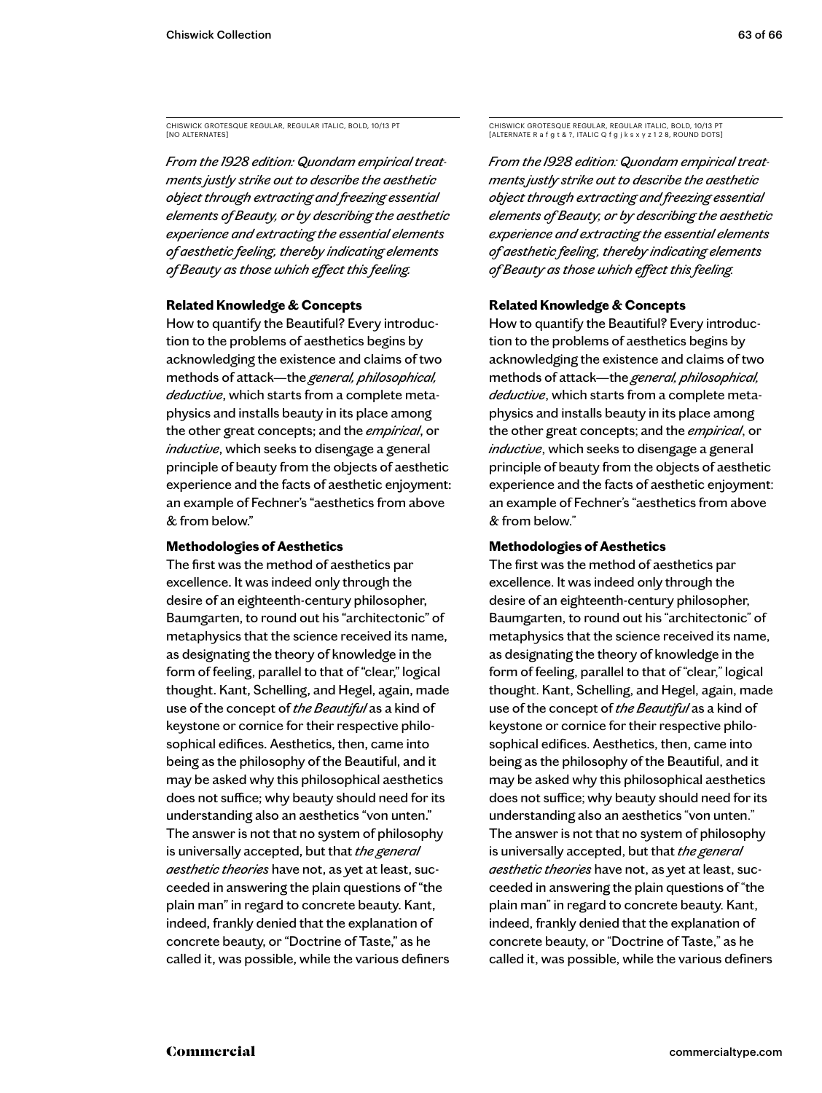CHISWICK GROTESQUE REGULAR, REGULAR ITALIC, BOLD, 10/13 PT [NO ALTERNATES]

*From the 1928 edition: Quondam empirical treatments justly strike out to describe the aesthetic object through extracting and freezing essential elements of Beauty, or by describing the aesthetic experience and extracting the essential elements of aesthetic feeling, thereby indicating elements of Beauty as those which effect this feeling.*

### **Related Knowledge & Concepts**

How to quantify the Beautiful? Every introduction to the problems of aesthetics begins by acknowledging the existence and claims of two methods of attack—the *general, philosophical, deductive*, which starts from a complete metaphysics and installs beauty in its place among the other great concepts; and the *empirical*, or *inductive*, which seeks to disengage a general principle of beauty from the objects of aesthetic experience and the facts of aesthetic enjoyment: an example of Fechner's "aesthetics from above & from below."

### **Methodologies of Aesthetics**

The first was the method of aesthetics par excellence. It was indeed only through the desire of an eighteenth-century philosopher, Baumgarten, to round out his "architectonic" of metaphysics that the science received its name, as designating the theory of knowledge in the form of feeling, parallel to that of "clear," logical thought. Kant, Schelling, and Hegel, again, made use of the concept of *the Beautiful* as a kind of keystone or cornice for their respective philosophical edifices. Aesthetics, then, came into being as the philosophy of the Beautiful, and it may be asked why this philosophical aesthetics does not suffice; why beauty should need for its understanding also an aesthetics "von unten." The answer is not that no system of philosophy is universally accepted, but that *the general aesthetic theories* have not, as yet at least, succeeded in answering the plain questions of "the plain man" in regard to concrete beauty. Kant, indeed, frankly denied that the explanation of concrete beauty, or "Doctrine of Taste," as he called it, was possible, while the various definers

CHISWICK GROTESQUE REGULAR, REGULAR ITALIC, BOLD, 10/13 PT [ALTERNATE R a f g t & ?, ITALIC Q f g j k s x y z 1 2 8, ROUND DOTS]

*From the 1928 edition: Quondam empirical treatments justly strike out to describe the aesthetic object through extracting and freezing essential elements of Beauty, or by describing the aesthetic experience and extracting the essential elements of aesthetic feeling, thereby indicating elements of Beauty as those which effect this feeling.*

### **Related Knowledge & Concepts**

How to quantify the Beautiful? Every introduction to the problems of aesthetics begins by acknowledging the existence and claims of two methods of attack—the *general, philosophical, deductive*, which starts from a complete metaphysics and installs beauty in its place among the other great concepts; and the *empirical*, or *inductive*, which seeks to disengage a general principle of beauty from the objects of aesthetic experience and the facts of aesthetic enjoyment: an example of Fechner's "aesthetics from above & from below."

### **Methodologies of Aesthetics**

The first was the method of aesthetics par excellence. It was indeed only through the desire of an eighteenth-century philosopher, Baumgarten, to round out his "architectonic" of metaphysics that the science received its name, as designating the theory of knowledge in the form of feeling, parallel to that of "clear," logical thought. Kant, Schelling, and Hegel, again, made use of the concept of *the Beautiful* as a kind of keystone or cornice for their respective philosophical edifices. Aesthetics, then, came into being as the philosophy of the Beautiful, and it may be asked why this philosophical aesthetics does not suffice; why beauty should need for its understanding also an aesthetics "von unten." The answer is not that no system of philosophy is universally accepted, but that *the general aesthetic theories* have not, as yet at least, succeeded in answering the plain questions of "the plain man" in regard to concrete beauty. Kant, indeed, frankly denied that the explanation of concrete beauty, or "Doctrine of Taste," as he called it, was possible, while the various definers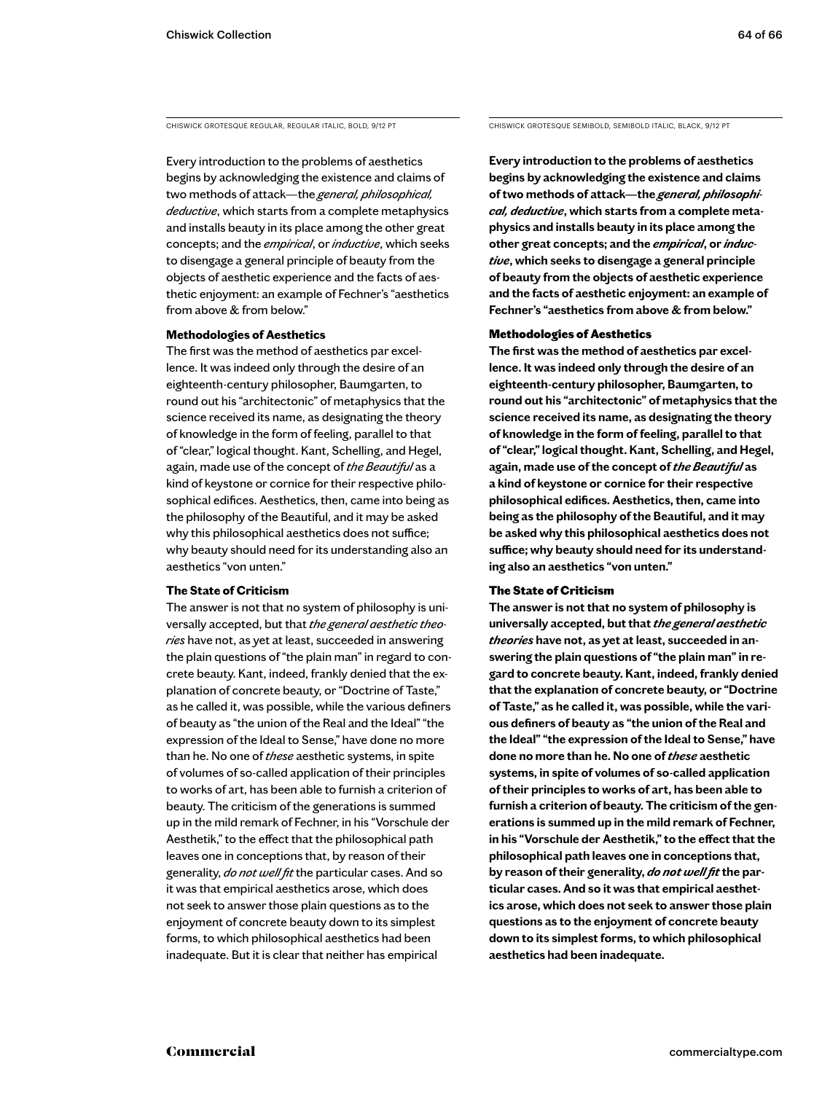Every introduction to the problems of aesthetics begins by acknowledging the existence and claims of two methods of attack—the *general, philosophical, deductive*, which starts from a complete metaphysics and installs beauty in its place among the other great concepts; and the *empirical*, or *inductive*, which seeks to disengage a general principle of beauty from the objects of aesthetic experience and the facts of aesthetic enjoyment: an example of Fechner's "aesthetics from above & from below."

### **Methodologies of Aesthetics**

The first was the method of aesthetics par excellence. It was indeed only through the desire of an eighteenth-century philosopher, Baumgarten, to round out his "architectonic" of metaphysics that the science received its name, as designating the theory of knowledge in the form of feeling, parallel to that of "clear," logical thought. Kant, Schelling, and Hegel, again, made use of the concept of *the Beautiful* as a kind of keystone or cornice for their respective philosophical edifices. Aesthetics, then, came into being as the philosophy of the Beautiful, and it may be asked why this philosophical aesthetics does not suffice; why beauty should need for its understanding also an aesthetics "von unten."

### **The State of Criticism**

The answer is not that no system of philosophy is universally accepted, but that *the general aesthetic theories* have not, as yet at least, succeeded in answering the plain questions of "the plain man" in regard to concrete beauty. Kant, indeed, frankly denied that the explanation of concrete beauty, or "Doctrine of Taste," as he called it, was possible, while the various definers of beauty as "the union of the Real and the Ideal" "the expression of the Ideal to Sense," have done no more than he. No one of *these* aesthetic systems, in spite of volumes of so-called application of their principles to works of art, has been able to furnish a criterion of beauty. The criticism of the generations is summed up in the mild remark of Fechner, in his "Vorschule der Aesthetik," to the effect that the philosophical path leaves one in conceptions that, by reason of their generality, *do not well fit* the particular cases. And so it was that empirical aesthetics arose, which does not seek to answer those plain questions as to the enjoyment of concrete beauty down to its simplest forms, to which philosophical aesthetics had been inadequate. But it is clear that neither has empirical

CHISWICK GROTESQUE REGULAR, REGULAR ITALIC, BOLD, 9/12 PT CHISWICK GROTESQUE SEMIBOLD, SEMIBOLD ITALIC, BLACK, 9/12 PT

**Every introduction to the problems of aesthetics begins by acknowledging the existence and claims of two methods of attack—the** *general, philosophical, deductive***, which starts from a complete metaphysics and installs beauty in its place among the other great concepts; and the** *empirical***, or** *inductive***, which seeks to disengage a general principle of beauty from the objects of aesthetic experience and the facts of aesthetic enjoyment: an example of Fechner's "aesthetics from above & from below."** 

### Methodologies of Aesthetics

**The first was the method of aesthetics par excellence. It was indeed only through the desire of an eighteenth-century philosopher, Baumgarten, to round out his "architectonic" of metaphysics that the science received its name, as designating the theory of knowledge in the form of feeling, parallel to that of "clear," logical thought. Kant, Schelling, and Hegel, again, made use of the concept of** *the Beautiful* **as a kind of keystone or cornice for their respective philosophical edifices. Aesthetics, then, came into being as the philosophy of the Beautiful, and it may be asked why this philosophical aesthetics does not suffice; why beauty should need for its understanding also an aesthetics "von unten."** 

### The State of Criticism

**The answer is not that no system of philosophy is universally accepted, but that** *the general aesthetic theories* **have not, as yet at least, succeeded in answering the plain questions of "the plain man" in regard to concrete beauty. Kant, indeed, frankly denied that the explanation of concrete beauty, or "Doctrine of Taste," as he called it, was possible, while the various definers of beauty as "the union of the Real and the Ideal" "the expression of the Ideal to Sense," have done no more than he. No one of** *these* **aesthetic systems, in spite of volumes of so-called application of their principles to works of art, has been able to furnish a criterion of beauty. The criticism of the generations is summed up in the mild remark of Fechner, in his "Vorschule der Aesthetik," to the effect that the philosophical path leaves one in conceptions that, by reason of their generality,** *do not well fit* **the particular cases. And so it was that empirical aesthetics arose, which does not seek to answer those plain questions as to the enjoyment of concrete beauty down to its simplest forms, to which philosophical aesthetics had been inadequate.**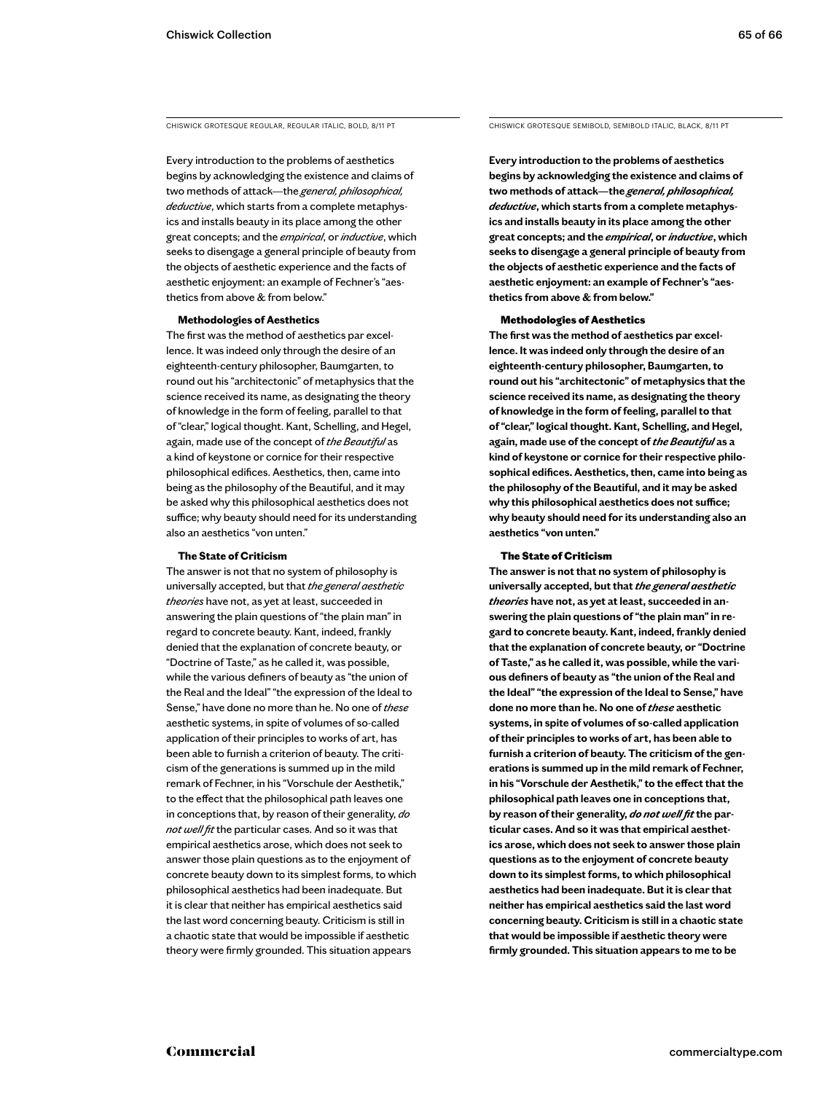Every introduction to the problems of aesthetics begins by acknowledging the existence and claims of two methods of attack—the *general, philosophical, deductive*, which starts from a complete metaphysics and installs beauty in its place among the other great concepts; and the *empirical*, or *inductive*, which seeks to disengage a general principle of beauty from the objects of aesthetic experience and the facts of aesthetic enjoyment: an example of Fechner's "aesthetics from above & from below."

### **Methodologies of Aesthetics**

The first was the method of aesthetics par excellence. It was indeed only through the desire of an eighteenth-century philosopher, Baumgarten, to round out his "architectonic" of metaphysics that the science received its name, as designating the theory of knowledge in the form of feeling, parallel to that of "clear," logical thought. Kant, Schelling, and Hegel, again, made use of the concept of *the Beautiful* as a kind of keystone or cornice for their respective philosophical edifices. Aesthetics, then, came into being as the philosophy of the Beautiful, and it may be asked why this philosophical aesthetics does not suffice; why beauty should need for its understanding also an aesthetics "von unten."

### **The State of Criticism**

The answer is not that no system of philosophy is universally accepted, but that *the general aesthetic theories* have not, as yet at least, succeeded in answering the plain questions of "the plain man" in regard to concrete beauty. Kant, indeed, frankly denied that the explanation of concrete beauty, or "Doctrine of Taste," as he called it, was possible, while the various definers of beauty as "the union of the Real and the Ideal" "the expression of the Ideal to Sense," have done no more than he. No one of *these* aesthetic systems, in spite of volumes of so-called application of their principles to works of art, has been able to furnish a criterion of beauty. The criticism of the generations is summed up in the mild remark of Fechner, in his "Vorschule der Aesthetik," to the effect that the philosophical path leaves one in conceptions that, by reason of their generality, *do not well fit* the particular cases. And so it was that empirical aesthetics arose, which does not seek to answer those plain questions as to the enjoyment of concrete beauty down to its simplest forms, to which philosophical aesthetics had been inadequate. But it is clear that neither has empirical aesthetics said the last word concerning beauty. Criticism is still in a chaotic state that would be impossible if aesthetic theory were firmly grounded. This situation appears

CHISWICK GROTESQUE REGULAR, REGULAR ITALIC, BOLD, 8/11 PT CHISWICK GROTESQUE SEMIBOLD, SEMIBOLD ITALIC, BLACK, 8/11 PT

**Every introduction to the problems of aesthetics begins by acknowledging the existence and claims of two methods of attack—the** *general, philosophical, deductive***, which starts from a complete metaphysics and installs beauty in its place among the other great concepts; and the** *empirical***, or** *inductive***, which seeks to disengage a general principle of beauty from the objects of aesthetic experience and the facts of aesthetic enjoyment: an example of Fechner's "aesthetics from above & from below."** 

### Methodologies of Aesthetics

**The first was the method of aesthetics par excellence. It was indeed only through the desire of an eighteenth-century philosopher, Baumgarten, to round out his "architectonic" of metaphysics that the science received its name, as designating the theory of knowledge in the form of feeling, parallel to that of "clear," logical thought. Kant, Schelling, and Hegel, again, made use of the concept of** *the Beautiful* **as a kind of keystone or cornice for their respective philosophical edifices. Aesthetics, then, came into being as the philosophy of the Beautiful, and it may be asked why this philosophical aesthetics does not suffice; why beauty should need for its understanding also an aesthetics "von unten."** 

### The State of Criticism

**The answer is not that no system of philosophy is universally accepted, but that** *the general aesthetic theories* **have not, as yet at least, succeeded in answering the plain questions of "the plain man" in regard to concrete beauty. Kant, indeed, frankly denied that the explanation of concrete beauty, or "Doctrine of Taste," as he called it, was possible, while the various definers of beauty as "the union of the Real and the Ideal" "the expression of the Ideal to Sense," have done no more than he. No one of** *these* **aesthetic systems, in spite of volumes of so-called application of their principles to works of art, has been able to furnish a criterion of beauty. The criticism of the generations is summed up in the mild remark of Fechner, in his "Vorschule der Aesthetik," to the effect that the philosophical path leaves one in conceptions that, by reason of their generality,** *do not well fit* **the particular cases. And so it was that empirical aesthetics arose, which does not seek to answer those plain questions as to the enjoyment of concrete beauty down to its simplest forms, to which philosophical aesthetics had been inadequate. But it is clear that neither has empirical aesthetics said the last word concerning beauty. Criticism is still in a chaotic state that would be impossible if aesthetic theory were firmly grounded. This situation appears to me to be**